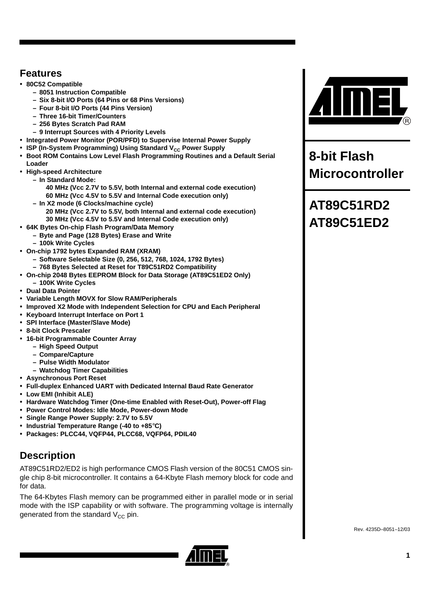### **Features**

- **80C52 Compatible**
	- **8051 Instruction Compatible**
	- **Six 8-bit I/O Ports (64 Pins or 68 Pins Versions)**
	- **Four 8-bit I/O Ports (44 Pins Version)**
	- **Three 16-bit Timer/Counters**
	- **256 Bytes Scratch Pad RAM**
	- **9 Interrupt Sources with 4 Priority Levels**
- **Integrated Power Monitor (POR/PFD) to Supervise Internal Power Supply**
- **ISP (In-System Programming) Using Standard V<sub>CC</sub> Power Supply**
- **Boot ROM Contains Low Level Flash Programming Routines and a Default Serial Loader**
- **High-speed Architecture**
- **In Standard Mode:**

**40 MHz (Vcc 2.7V to 5.5V, both Internal and external code execution) 60 MHz (Vcc 4.5V to 5.5V and Internal Code execution only)**

- **In X2 mode (6 Clocks/machine cycle)** 
	- **20 MHz (Vcc 2.7V to 5.5V, both Internal and external code execution) 30 MHz (Vcc 4.5V to 5.5V and Internal Code execution only)**
- **64K Bytes On-chip Flash Program/Data Memory**
	- **Byte and Page (128 Bytes) Erase and Write**
	- **100k Write Cycles**
- **On-chip 1792 bytes Expanded RAM (XRAM)**
	- **Software Selectable Size (0, 256, 512, 768, 1024, 1792 Bytes)**
	- **768 Bytes Selected at Reset for T89C51RD2 Compatibility**
- **On-chip 2048 Bytes EEPROM Block for Data Storage (AT89C51ED2 Only) – 100K Write Cycles**
- **Dual Data Pointer**
- **Variable Length MOVX for Slow RAM/Peripherals**
- **Improved X2 Mode with Independent Selection for CPU and Each Peripheral**
- **Keyboard Interrupt Interface on Port 1**
- **SPI Interface (Master/Slave Mode)**
- **8-bit Clock Prescaler**
- **16-bit Programmable Counter Array**
	- **High Speed Output**
		- **Compare/Capture**
		- **Pulse Width Modulator**
		- **Watchdog Timer Capabilities**
- **Asynchronous Port Reset**
- **Full-duplex Enhanced UART with Dedicated Internal Baud Rate Generator**
- **Low EMI (Inhibit ALE)**
- **Hardware Watchdog Timer (One-time Enabled with Reset-Out), Power-off Flag**
- **Power Control Modes: Idle Mode, Power-down Mode**
- **Single Range Power Supply: 2.7V to 5.5V**
- **Industrial Temperature Range (-40 to +85**°**C)**
- **Packages: PLCC44, VQFP44, PLCC68, VQFP64, PDIL40**

## **Description**

AT89C51RD2/ED2 is high performance CMOS Flash version of the 80C51 CMOS single chip 8-bit microcontroller. It contains a 64-Kbyte Flash memory block for code and for data.

The 64-Kbytes Flash memory can be programmed either in parallel mode or in serial mode with the ISP capability or with software. The programming voltage is internally generated from the standard  $V_{CC}$  pin.





**8-bit Flash Microcontroller** 

# **AT89C51RD2 AT89C51ED2**

Rev. 4235D–8051–12/03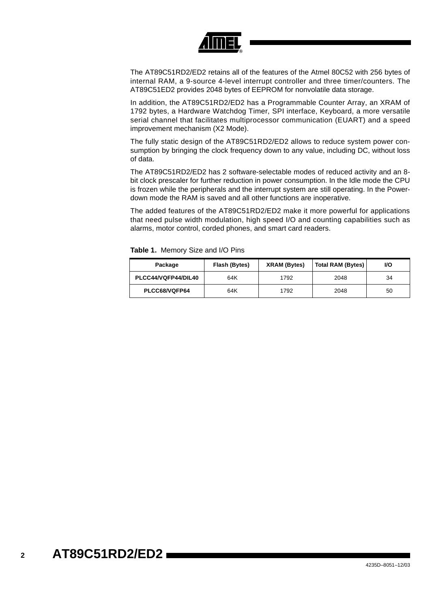

The AT89C51RD2/ED2 retains all of the features of the Atmel 80C52 with 256 bytes of internal RAM, a 9-source 4-level interrupt controller and three timer/counters. The AT89C51ED2 provides 2048 bytes of EEPROM for nonvolatile data storage.

In addition, the AT89C51RD2/ED2 has a Programmable Counter Array, an XRAM of 1792 bytes, a Hardware Watchdog Timer, SPI interface, Keyboard, a more versatile serial channel that facilitates multiprocessor communication (EUART) and a speed improvement mechanism (X2 Mode).

The fully static design of the AT89C51RD2/ED2 allows to reduce system power consumption by bringing the clock frequency down to any value, including DC, without loss of data.

The AT89C51RD2/ED2 has 2 software-selectable modes of reduced activity and an 8 bit clock prescaler for further reduction in power consumption. In the Idle mode the CPU is frozen while the peripherals and the interrupt system are still operating. In the Powerdown mode the RAM is saved and all other functions are inoperative.

The added features of the AT89C51RD2/ED2 make it more powerful for applications that need pulse width modulation, high speed I/O and counting capabilities such as alarms, motor control, corded phones, and smart card readers.

| Package             | Flash (Bytes) | XRAM (Bytes) | <b>Total RAM (Bytes)</b> | VO. |
|---------------------|---------------|--------------|--------------------------|-----|
| PLCC44/VQFP44/DIL40 | 64K           | 1792         | 2048                     | 34  |
| PLCC68/VQFP64       | 64K           | 1792         | 2048                     | 50  |

**Table 1.** Memory Size and I/O Pins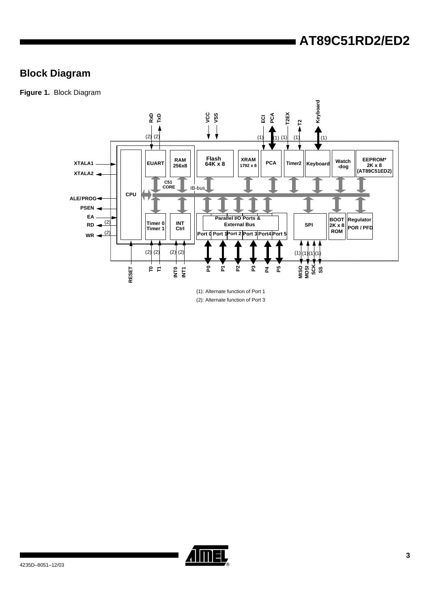## **Block Diagram**

**Figure 1.** Block Diagram



(1): Alternate function of Port 1 (2): Alternate function of Port 3

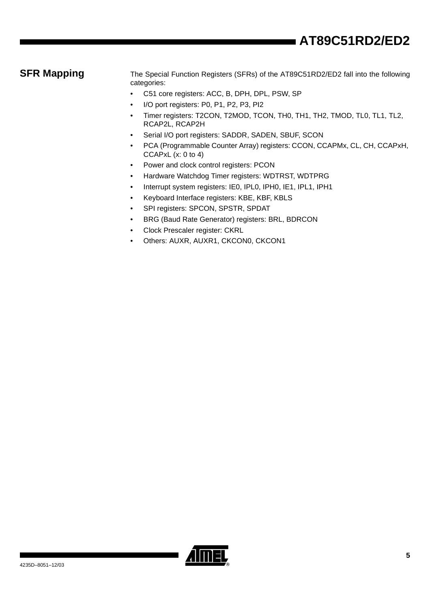**SFR Mapping** The Special Function Registers (SFRs) of the AT89C51RD2/ED2 fall into the following categories:

- C51 core registers: ACC, B, DPH, DPL, PSW, SP
- I/O port registers: P0, P1, P2, P3, PI2
- Timer registers: T2CON, T2MOD, TCON, TH0, TH1, TH2, TMOD, TL0, TL1, TL2, RCAP2L, RCAP2H
- Serial I/O port registers: SADDR, SADEN, SBUF, SCON
- PCA (Programmable Counter Array) registers: CCON, CCAPMx, CL, CH, CCAPxH, CCAPxL (x: 0 to 4)
- Power and clock control registers: PCON
- Hardware Watchdog Timer registers: WDTRST, WDTPRG
- Interrupt system registers: IE0, IPL0, IPH0, IE1, IPL1, IPH1
- Keyboard Interface registers: KBE, KBF, KBLS
- SPI registers: SPCON, SPSTR, SPDAT
- BRG (Baud Rate Generator) registers: BRL, BDRCON
- Clock Prescaler register: CKRL
- Others: AUXR, AUXR1, CKCON0, CKCON1

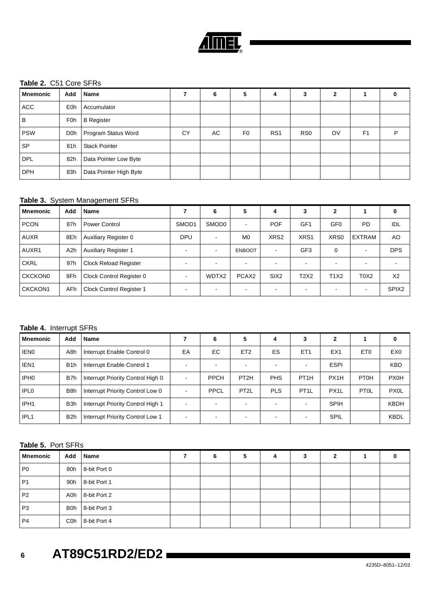

### **Table 2.** C51 Core SFRs

| <b>Mnemonic</b> | Add        | Name                   |    | 6  | 5              | 4               | 3               | 2  |                | 0 |
|-----------------|------------|------------------------|----|----|----------------|-----------------|-----------------|----|----------------|---|
| <b>ACC</b>      | <b>E0h</b> | Accumulator            |    |    |                |                 |                 |    |                |   |
| B               | <b>F0h</b> | <b>B</b> Register      |    |    |                |                 |                 |    |                |   |
| <b>PSW</b>      | D0h        | Program Status Word    | CY | AC | F <sub>0</sub> | RS <sub>1</sub> | R <sub>S0</sub> | OV | F <sub>1</sub> | P |
| <b>SP</b>       | 81h        | <b>Stack Pointer</b>   |    |    |                |                 |                 |    |                |   |
| <b>DPL</b>      | 82h        | Data Pointer Low Byte  |    |    |                |                 |                 |    |                |   |
| <b>DPH</b>      | 83h        | Data Pointer High Byte |    |    |                |                 |                 |    |                |   |

### **Table 3.** System Management SFRs

| <b>Mnemonic</b> | Add              | Name                         |            | 6                        | 5                 | 4                | 3               | $\mathbf{2}$             |                               | 0                 |
|-----------------|------------------|------------------------------|------------|--------------------------|-------------------|------------------|-----------------|--------------------------|-------------------------------|-------------------|
| <b>PCON</b>     | 87h              | Power Control                | SMOD1      | SMOD <sub>0</sub>        | $\sim$            | <b>POF</b>       | GF1             | GF <sub>0</sub>          | <b>PD</b>                     | IDL               |
| <b>AUXR</b>     | 8Eh              | Auxiliary Register 0         | <b>DPU</b> | $\overline{\phantom{a}}$ | M <sub>0</sub>    | XRS <sub>2</sub> | XRS1            | XRS0                     | <b>EXTRAM</b>                 | AO                |
| AUXR1           | A <sub>2</sub> h | <b>Auxiliary Register 1</b>  |            | $\overline{\phantom{a}}$ | <b>ENBOOT</b>     |                  | GF <sub>3</sub> | 0                        | $\overline{\phantom{0}}$      | <b>DPS</b>        |
| <b>CKRL</b>     | 97h              | <b>Clock Reload Register</b> |            | $\overline{\phantom{a}}$ | $\sim$            |                  |                 | $\overline{\phantom{a}}$ | $\overline{\phantom{0}}$      |                   |
| <b>CKCKON0</b>  | 8Fh              | Clock Control Register 0     |            | WDTX2                    | PCAX <sub>2</sub> | SIX <sub>2</sub> | T2X2            | <b>T1X2</b>              | T <sub>0</sub> X <sub>2</sub> | X <sub>2</sub>    |
| <b>CKCKON1</b>  | AFh              | Clock Control Register 1     |            | $\overline{\phantom{a}}$ | $\sim$            |                  |                 |                          |                               | SPIX <sub>2</sub> |

### **Table 4.** Interrupt SFRs

| <b>Mnemonic</b>  | Add              | <b>Name</b>                       |    | 6                        | 5                        | 4          | 3                 | 2                 |                   | 0               |
|------------------|------------------|-----------------------------------|----|--------------------------|--------------------------|------------|-------------------|-------------------|-------------------|-----------------|
| <b>IEN0</b>      | A8h              | Interrupt Enable Control 0        | EA | EC                       | ET <sub>2</sub>          | ES         | ET <sub>1</sub>   | EX <sub>1</sub>   | ET <sub>0</sub>   | EX <sub>0</sub> |
| IEN <sub>1</sub> | B <sub>1</sub> h | Interrupt Enable Control 1        |    | $\overline{\phantom{a}}$ | $\sim$                   |            |                   | <b>ESPI</b>       |                   | <b>KBD</b>      |
| IPH <sub>0</sub> | B7h              | Interrupt Priority Control High 0 |    | <b>PPCH</b>              | PT <sub>2</sub> H        | <b>PHS</b> | PT <sub>1</sub> H | PX <sub>1</sub> H | PT <sub>0</sub> H | PX0H            |
| <b>IPLO</b>      | B <sub>8</sub> h | Interrupt Priority Control Low 0  |    | PPCL                     | PT <sub>2</sub> L        | <b>PLS</b> | PT <sub>1</sub> L | PX <sub>1</sub> L | <b>PTOL</b>       | <b>PX0L</b>     |
| IPH <sub>1</sub> | B <sub>3</sub> h | Interrupt Priority Control High 1 |    | $\overline{\phantom{a}}$ |                          |            |                   | <b>SPIH</b>       |                   | <b>KBDH</b>     |
| IPL <sub>1</sub> | B <sub>2</sub> h | Interrupt Priority Control Low 1  |    |                          | $\overline{\phantom{0}}$ |            |                   | <b>SPIL</b>       |                   | <b>KBDL</b>     |

#### **Table 5.** Port SFRs

| <b>Mnemonic</b> | Add              | <b>Name</b>      | 6 |  |  |  |
|-----------------|------------------|------------------|---|--|--|--|
| P <sub>0</sub>  | 80h              | 8-bit Port 0     |   |  |  |  |
| P <sub>1</sub>  | 90h              | 8-bit Port 1     |   |  |  |  |
| P <sub>2</sub>  |                  | A0h 8-bit Port 2 |   |  |  |  |
| P <sub>3</sub>  | <b>B</b> 0h      | 8-bit Port 3     |   |  |  |  |
| P <sub>4</sub>  | C <sub>0</sub> h | 8-bit Port 4     |   |  |  |  |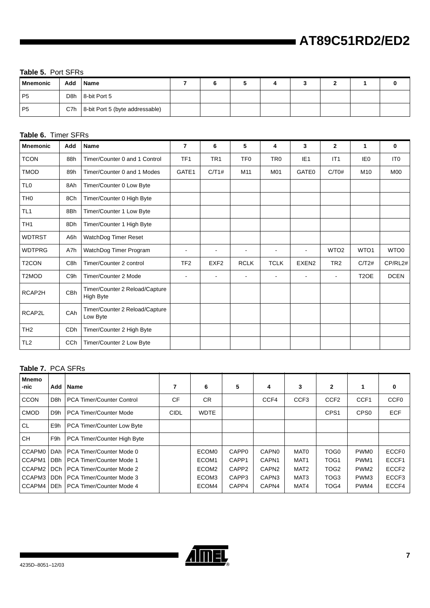#### **Table 5.** Port SFRs

| l Mnemonic     | Add | <b>Name</b>                         |  |  |  |  |
|----------------|-----|-------------------------------------|--|--|--|--|
| P <sub>5</sub> |     | D8h 8-bit Port 5                    |  |  |  |  |
| P <sub>5</sub> |     | C7h 8-bit Port 5 (byte addressable) |  |  |  |  |

### **Table 6.** Timer SFRs

| <b>Mnemonic</b>    | Add              | <b>Name</b>                                 | 7               | 6                        | 5                        | 4               | 3               | $\mathbf{2}$     | 1                 | 0                |
|--------------------|------------------|---------------------------------------------|-----------------|--------------------------|--------------------------|-----------------|-----------------|------------------|-------------------|------------------|
| <b>TCON</b>        | 88h              | Timer/Counter 0 and 1 Control               | TF <sub>1</sub> | TR <sub>1</sub>          | TF <sub>0</sub>          | TR <sub>0</sub> | IE <sub>1</sub> | IT1              | IE <sub>0</sub>   | IT <sub>0</sub>  |
| <b>TMOD</b>        | 89h              | Timer/Counter 0 and 1 Modes                 | GATE1           | C/T1#                    | M11                      | M01             | <b>GATE0</b>    | C/T0#            | M <sub>10</sub>   | <b>M00</b>       |
| <b>TLO</b>         | 8Ah              | Timer/Counter 0 Low Byte                    |                 |                          |                          |                 |                 |                  |                   |                  |
| TH <sub>0</sub>    | 8Ch              | Timer/Counter 0 High Byte                   |                 |                          |                          |                 |                 |                  |                   |                  |
| TL <sub>1</sub>    | 8Bh              | Timer/Counter 1 Low Byte                    |                 |                          |                          |                 |                 |                  |                   |                  |
| TH <sub>1</sub>    | 8Dh              | Timer/Counter 1 High Byte                   |                 |                          |                          |                 |                 |                  |                   |                  |
| <b>WDTRST</b>      | A6h              | WatchDog Timer Reset                        |                 |                          |                          |                 |                 |                  |                   |                  |
| <b>WDTPRG</b>      | A7h              | WatchDog Timer Program                      |                 |                          |                          |                 |                 | WTO <sub>2</sub> | WTO <sub>1</sub>  | WTO <sub>0</sub> |
| T <sub>2</sub> CON | C <sub>8h</sub>  | Timer/Counter 2 control                     | TF <sub>2</sub> | EXF <sub>2</sub>         | <b>RCLK</b>              | <b>TCLK</b>     | EXEN2           | TR <sub>2</sub>  | C/T2#             | CP/RL2#          |
| T2MOD              | C <sub>9</sub> h | Timer/Counter 2 Mode                        |                 | $\overline{\phantom{a}}$ | $\overline{\phantom{a}}$ | $\blacksquare$  |                 | $\blacksquare$   | T <sub>2</sub> OE | <b>DCEN</b>      |
| RCAP2H             | CBh              | Timer/Counter 2 Reload/Capture<br>High Byte |                 |                          |                          |                 |                 |                  |                   |                  |
| RCAP2L             | CAh              | Timer/Counter 2 Reload/Capture<br>Low Byte  |                 |                          |                          |                 |                 |                  |                   |                  |
| TH <sub>2</sub>    | CDh              | Timer/Counter 2 High Byte                   |                 |                          |                          |                 |                 |                  |                   |                  |
| TL <sub>2</sub>    | CCh              | Timer/Counter 2 Low Byte                    |                 |                          |                          |                 |                 |                  |                   |                  |

#### **Table 7.** PCA SFRs

| <b>Mnemo</b><br>-nic | Add              | Name                             | 7           | 6                 | 5                 | 4                 | 3                | $\mathbf{2}$     |                  | 0                 |
|----------------------|------------------|----------------------------------|-------------|-------------------|-------------------|-------------------|------------------|------------------|------------------|-------------------|
| <b>CCON</b>          | D <sub>8</sub> h | <b>PCA Timer/Counter Control</b> | <b>CF</b>   | <b>CR</b>         |                   | CCF4              | CCF <sub>3</sub> | CCF <sub>2</sub> | CCF <sub>1</sub> | CCF <sub>0</sub>  |
| <b>CMOD</b>          | D <sub>9</sub> h | <b>PCA Timer/Counter Mode</b>    | <b>CIDL</b> | <b>WDTE</b>       |                   |                   |                  | CPS <sub>1</sub> | CPS <sub>0</sub> | <b>ECF</b>        |
| <b>CL</b>            | E9h              | PCA Timer/Counter Low Byte       |             |                   |                   |                   |                  |                  |                  |                   |
| <b>CH</b>            | F9h              | PCA Timer/Counter High Byte      |             |                   |                   |                   |                  |                  |                  |                   |
| CCAPM0               | <b>DAh</b>       | PCA Timer/Counter Mode 0         |             | ECOM <sub>0</sub> | CAPP <sub>0</sub> | <b>CAPN0</b>      | MAT0             | TOG0             | <b>PWM0</b>      | <b>ECCF0</b>      |
| CCAPM1               | <b>DBh</b>       | PCA Timer/Counter Mode 1         |             | ECOM1             | CAPP1             | CAPN1             | MAT <sub>1</sub> | TOG <sub>1</sub> | PWM <sub>1</sub> | ECCF1             |
| CCAPM2               | <b>DCh</b>       | PCA Timer/Counter Mode 2         |             | ECOM2             | CAPP2             | CAPN <sub>2</sub> | MAT <sub>2</sub> | TOG <sub>2</sub> | PWM <sub>2</sub> | ECCF <sub>2</sub> |
| CCAPM3 DDh           |                  | PCA Timer/Counter Mode 3         |             | ECOM3             | CAPP3             | CAPN3             | MAT <sub>3</sub> | TOG <sub>3</sub> | PWM3             | ECCF3             |
| CCAPM4               | l DEh            | PCA Timer/Counter Mode 4         |             | ECOM4             | CAPP4             | CAPN4             | MAT4             | TOG4             | PWM4             | ECCF4             |

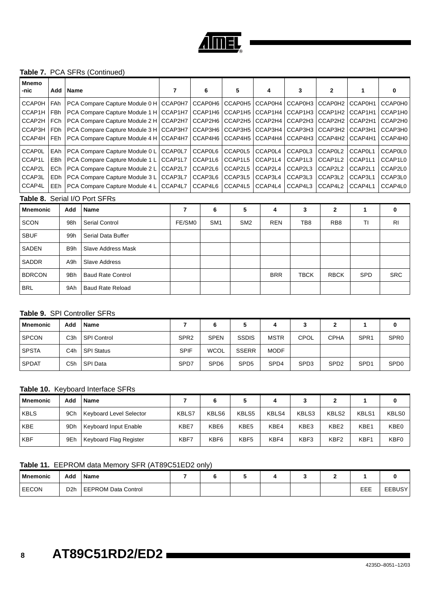

#### **Table 7.** PCA SFRs (Continued)

| <b>Mnemo</b><br>-nic | Add        | Name             |                                          | 7       |        | 6       |                 | 5               | 4          | 3           | $\mathbf{2}$    | 1          | 0              |
|----------------------|------------|------------------|------------------------------------------|---------|--------|---------|-----------------|-----------------|------------|-------------|-----------------|------------|----------------|
| <b>CCAP0H</b>        | FAh        |                  | PCA Compare Capture Module 0 H   CCAP0H7 |         |        | CCAP0H6 |                 | CCAP0H5         | CCAP0H4    | CCAP0H3     | CCAP0H2         | CCAP0H1    | CCAP0H0        |
| CCAP1H               | FBh        |                  | PCA Compare Capture Module 1 H   CCAP1H7 |         |        | CCAP1H6 |                 | CCAP1H5         | CCAP1H4    | CCAP1H3     | CCAP1H2         | CCAP1H1    | CCAP1H0        |
| CCAP2H               | FCh        |                  | PCA Compare Capture Module 2 H   CCAP2H7 |         |        | CCAP2H6 |                 | CCAP2H5         | CCAP2H4    | CCAP2H3     | CCAP2H2         | CCAP2H1    | CCAP2H0        |
| CCAP3H               | FDh        |                  | PCA Compare Capture Module 3 H   CCAP3H7 |         |        | CCAP3H6 |                 | CCAP3H5         | CCAP3H4    | CCAP3H3     | CCAP3H2         | CCAP3H1    | CCAP3H0        |
| CCAP4H               | FEh        |                  | PCA Compare Capture Module 4 H   CCAP4H7 |         |        | CCAP4H6 |                 | CCAP4H5         | CCAP4H4    | CCAP4H3     | CCAP4H2         | CCAP4H1    | CCAP4H0        |
| <b>CCAP0L</b>        | EAh        |                  | PCA Compare Capture Module 0 L           | CCAP0L7 |        | CCAP0L6 |                 | CCAP0L5         | CCAP0L4    | CCAP0L3     | CCAP0L2         | CCAP0L1    | <b>CCAP0L0</b> |
| CCAP1L               | EBh        |                  | PCA Compare Capture Module 1 L           | CCAP1L7 |        | CCAP1L6 |                 | CCAP1L5         | CCAP1L4    | CCAP1L3     | CCAP1L2         | CCAP1L1    | CCAP1L0        |
| CCAP2L               | <b>ECh</b> |                  | PCA Compare Capture Module 2 L           | CCAP2L7 |        | CCAP2L6 |                 | CCAP2L5         | CCAP2L4    | CCAP2L3     | CCAP2L2         | CCAP2L1    | CCAP2L0        |
| CCAP3L               | EDh        |                  | PCA Compare Capture Module 3 L           | CCAP3L7 |        | CCAP3L6 |                 | CCAP3L5         | CCAP3L4    | CCAP3L3     | CCAP3L2         | CCAP3L1    | CCAP3L0        |
| CCAP4L               | EEh        |                  | PCA Compare Capture Module 4 L           | CCAP4L7 |        | CCAP4L6 |                 | CCAP4L5         | CCAP4L4    | CCAP4L3     | CCAP4L2         | CCAP4L1    | CCAP4L0        |
|                      |            |                  | Table 8. Serial I/O Port SFRs            |         |        |         |                 |                 |            |             |                 |            |                |
| <b>Mnemonic</b>      |            | Add              | Name                                     |         | 7      | 6       |                 | 5               | 4          | 3           | $\mathbf{2}$    | 1          | 0              |
| <b>SCON</b>          |            | 98h              | <b>Serial Control</b>                    |         | FE/SM0 |         | SM <sub>1</sub> | SM <sub>2</sub> | <b>REN</b> | TB8         | RB <sub>8</sub> | ΤI         | R <sub>l</sub> |
| <b>SBUF</b>          |            | 99h              | Serial Data Buffer                       |         |        |         |                 |                 |            |             |                 |            |                |
| SADEN                |            | B <sub>9</sub> h | <b>Slave Address Mask</b>                |         |        |         |                 |                 |            |             |                 |            |                |
| SADDR                |            | A <sub>9</sub> h | <b>Slave Address</b>                     |         |        |         |                 |                 |            |             |                 |            |                |
| <b>BDRCON</b>        |            | 9Bh              | <b>Baud Rate Control</b>                 |         |        |         |                 |                 | <b>BRR</b> | <b>TBCK</b> | <b>RBCK</b>     | <b>SPD</b> | <b>SRC</b>     |
| <b>BRL</b>           |            | 9Ah              | <b>Baud Rate Reload</b>                  |         |        |         |                 |                 |            |             |                 |            |                |

### **Table 9.** SPI Controller SFRs

| <b>Mnemonic</b> | Add              | Name               |                  |                  |                  |                  | v.               |                  |                  | 0                |
|-----------------|------------------|--------------------|------------------|------------------|------------------|------------------|------------------|------------------|------------------|------------------|
| <b>SPCON</b>    | C <sub>3</sub> h | <b>SPI Control</b> | SPR <sub>2</sub> | <b>SPEN</b>      | <b>SSDIS</b>     | <b>MSTR</b>      | <b>CPOL</b>      | <b>CPHA</b>      | SPR <sub>1</sub> | SPR <sub>0</sub> |
| <b>SPSTA</b>    | C <sub>4</sub> h | <b>SPI Status</b>  | <b>SPIF</b>      | WCOL             | <b>SSERR</b>     | <b>MODF</b>      |                  |                  |                  |                  |
| <b>SPDAT</b>    | C <sub>5</sub> h | SPI Data           | SP <sub>D7</sub> | SPD <sub>6</sub> | SPD <sub>5</sub> | SP <sub>D4</sub> | SPD <sub>3</sub> | SP <sub>D2</sub> | SPD <sub>1</sub> | SPD <sub>0</sub> |

### **Table 10.** Keyboard Interface SFRs

| <b>Mnemonic</b> | Add             | Name                           |       |       |                  |       |       |                  |       |              |
|-----------------|-----------------|--------------------------------|-------|-------|------------------|-------|-------|------------------|-------|--------------|
| <b>KBLS</b>     | 9Ch             | <b>Keyboard Level Selector</b> | KBLS7 | KBLS6 | KBLS5            | KBLS4 | KBLS3 | KBLS2            | KBLS1 | <b>KBLS0</b> |
| <b>KBE</b>      | 9 <sub>Dh</sub> | Keyboard Input Enable          | KBE7  | KBE6  | KBE <sub>5</sub> | KBE4  | KBE3  | KBE <sub>2</sub> | KBE1  | KBE0         |
| <b>KBF</b>      | 9Eh             | Keyboard Flag Register         | KBF7  | KBF6  | KBF <sub>5</sub> | KBF4  | KBF3  | KBF <sub>2</sub> | KBF1  | KBF0         |

### **Table 11.** EEPROM data Memory SFR (AT89C51ED2 only)

| <b>Mnemonic</b> | Add              | Name                |  |  |  |     |               |
|-----------------|------------------|---------------------|--|--|--|-----|---------------|
| <b>EECON</b>    | D <sub>2</sub> h | EEPROM Data Control |  |  |  | EEE | <b>EEBUSY</b> |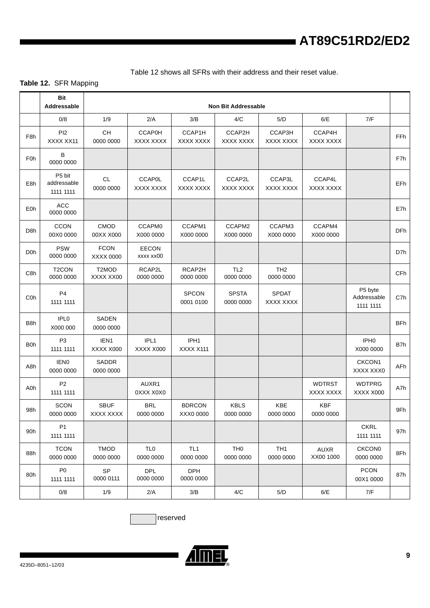[Table 12](#page-7-0) shows all SFRs with their address and their reset value.

### <span id="page-7-0"></span>**Table 12.** SFR Mapping

|                  | <b>Bit</b><br>Addressable          |                          |                              |                              | <b>Non Bit Addressable</b>   |                              |                            |                                     |            |
|------------------|------------------------------------|--------------------------|------------------------------|------------------------------|------------------------------|------------------------------|----------------------------|-------------------------------------|------------|
|                  | 0/8                                | 1/9                      | 2/A                          | 3/B                          | 4/C                          | 5/D                          | 6/E                        | 7/F                                 |            |
| F8h              | PI2<br>XXXX XX11                   | CH<br>0000 0000          | <b>CCAP0H</b><br>XXXX XXXX   | CCAP1H<br>XXXX XXXX          | CCAP2H<br>XXXX XXXX          | CCAP3H<br>XXXX XXXX          | CCAP4H<br>XXXX XXXX        |                                     | <b>FFh</b> |
| F <sub>0</sub> h | B<br>0000 0000                     |                          |                              |                              |                              |                              |                            |                                     | F7h        |
| E8h              | P5 bit<br>addressable<br>1111 1111 | <b>CL</b><br>0000 0000   | <b>CCAP0L</b><br>XXXX XXXX   | CCAP1L<br>XXXX XXXX          | CCAP2L<br>XXXX XXXX          | CCAP3L<br>XXXX XXXX          | CCAP4L<br>XXXX XXXX        |                                     | EFh.       |
| E0h              | <b>ACC</b><br>0000 0000            |                          |                              |                              |                              |                              |                            |                                     | E7h        |
| D <sub>8</sub> h | <b>CCON</b><br>00X0 0000           | CMOD<br>00XX X000        | CCAPM0<br>X000 0000          | CCAPM1<br>X000 0000          | CCAPM2<br>X000 0000          | CCAPM3<br>X000 0000          | CCAPM4<br>X000 0000        |                                     | <b>DFh</b> |
| D <sub>0</sub> h | <b>PSW</b><br>0000 0000            | <b>FCON</b><br>XXXX 0000 | <b>EECON</b><br>xxxx xx00    |                              |                              |                              |                            |                                     | D7h        |
| C8h              | T <sub>2</sub> CON<br>0000 0000    | T2MOD<br>XXXX XX00       | RCAP2L<br>0000 0000          | RCAP2H<br>0000 0000          | TL <sub>2</sub><br>0000 0000 | TH <sub>2</sub><br>0000 0000 |                            |                                     | <b>CFh</b> |
| C <sub>O</sub> h | P <sub>4</sub><br>1111 1111        |                          |                              | <b>SPCON</b><br>0001 0100    | <b>SPSTA</b><br>0000 0000    | <b>SPDAT</b><br>XXXX XXXX    |                            | P5 byte<br>Addressable<br>1111 1111 | C7h        |
| B8h              | IPL <sub>0</sub><br>X000 000       | SADEN<br>0000 0000       |                              |                              |                              |                              |                            |                                     | <b>BFh</b> |
| B0h              | P <sub>3</sub><br>1111 1111        | IEN1<br>XXXX X000        | IPL1<br>XXXX X000            | IPH1<br>XXXX X111            |                              |                              |                            | IPH <sub>0</sub><br>X000 0000       | B7h        |
| A8h              | <b>IEN0</b><br>0000 0000           | SADDR<br>0000 0000       |                              |                              |                              |                              |                            | CKCON <sub>1</sub><br>XXXX XXX0     | AFh        |
| A0h              | P <sub>2</sub><br>1111 1111        |                          | AUXR1<br>0XXX X0X0           |                              |                              |                              | <b>WDTRST</b><br>XXXX XXXX | <b>WDTPRG</b><br>XXXX X000          | A7h        |
| 98h              | <b>SCON</b><br>0000 0000           | <b>SBUF</b><br>XXXX XXXX | <b>BRL</b><br>0000 0000      | <b>BDRCON</b><br>XXX0 0000   | <b>KBLS</b><br>0000 0000     | <b>KBE</b><br>0000 0000      | <b>KBF</b><br>0000 0000    |                                     | 9Fh        |
| 90h              | <b>P1</b><br>1111 1111             |                          |                              |                              |                              |                              |                            | <b>CKRL</b><br>1111 1111            | 97h        |
| 88h              | <b>TCON</b><br>0000 0000           | <b>TMOD</b><br>0000 0000 | TL <sub>0</sub><br>0000 0000 | TL <sub>1</sub><br>0000 0000 | TH <sub>0</sub><br>0000 0000 | TH <sub>1</sub><br>0000 0000 | AUXR<br>XX00 1000          | <b>CKCON0</b><br>0000 0000          | 8Fh        |
| 80h              | P <sub>0</sub><br>1111 1111        | <b>SP</b><br>0000 0111   | <b>DPL</b><br>0000 0000      | <b>DPH</b><br>0000 0000      |                              |                              |                            | <b>PCON</b><br>00X1 0000            | 87h        |
|                  | 0/8                                | 1/9                      | 2/A                          | 3/B                          | 4/C                          | 5/D                          | 6/E                        | 7/F                                 |            |

reserved

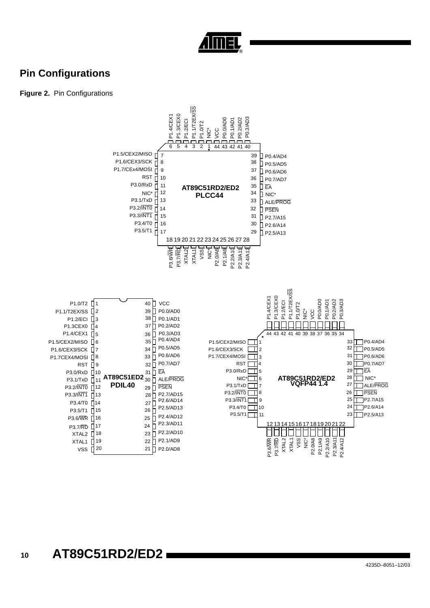

## **Pin Configurations**

### **Figure 2.** Pin Configurations

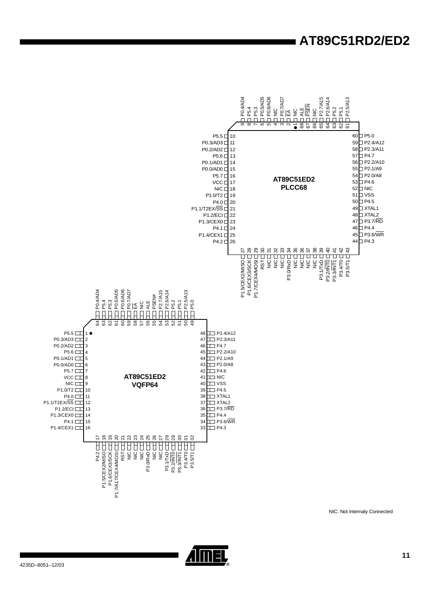

NIC: Not Internaly Connected

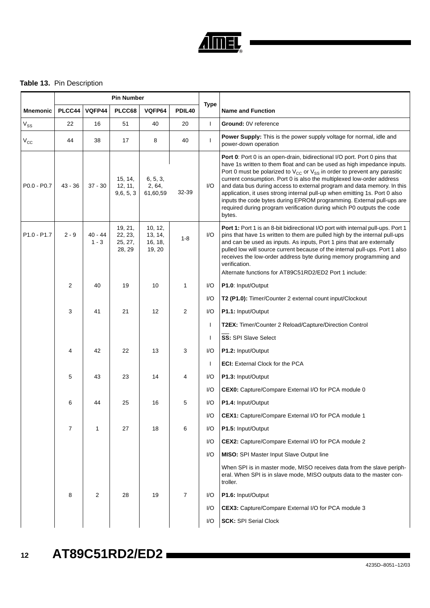

### **Table 13.** Pin Description

|                                     |                |                      | <b>Pin Number</b>                       |                                         |                    |                |                                                                                                                                                                                                                                                                                                                                                                                                                                                                                                                                                                                                                                          |
|-------------------------------------|----------------|----------------------|-----------------------------------------|-----------------------------------------|--------------------|----------------|------------------------------------------------------------------------------------------------------------------------------------------------------------------------------------------------------------------------------------------------------------------------------------------------------------------------------------------------------------------------------------------------------------------------------------------------------------------------------------------------------------------------------------------------------------------------------------------------------------------------------------------|
| <b>Mnemonic</b>                     | PLCC44         | VQFP44               | PLCC68                                  | VQFP64                                  | PDIL <sub>40</sub> | <b>Type</b>    | <b>Name and Function</b>                                                                                                                                                                                                                                                                                                                                                                                                                                                                                                                                                                                                                 |
| $V_{SS}$                            | 22             | 16                   | 51                                      | 40                                      | 20                 | $\overline{1}$ | Ground: 0V reference                                                                                                                                                                                                                                                                                                                                                                                                                                                                                                                                                                                                                     |
| $V_{\rm CC}$                        | 44             | 38                   | 17                                      | 8                                       | 40                 | $\mathbf{I}$   | <b>Power Supply:</b> This is the power supply voltage for normal, idle and<br>power-down operation                                                                                                                                                                                                                                                                                                                                                                                                                                                                                                                                       |
| $P0.0 - P0.7$                       | $43 - 36$      | $37 - 30$            | 15, 14,<br>12, 11,<br>9,6,5,3           | 6, 5, 3,<br>2, 64,<br>61,60,59          | 32-39              | I/O            | Port 0: Port 0 is an open-drain, bidirectional I/O port. Port 0 pins that<br>have 1s written to them float and can be used as high impedance inputs.<br>Port 0 must be polarized to $V_{CC}$ or $V_{SS}$ in order to prevent any parasitic<br>current consumption. Port 0 is also the multiplexed low-order address<br>and data bus during access to external program and data memory. In this<br>application, it uses strong internal pull-up when emitting 1s. Port 0 also<br>inputs the code bytes during EPROM programming. External pull-ups are<br>required during program verification during which P0 outputs the code<br>bytes. |
| P <sub>1.0</sub> - P <sub>1.7</sub> | $2 - 9$        | $40 - 44$<br>$1 - 3$ | 19, 21,<br>22, 23,<br>25, 27,<br>28, 29 | 10, 12,<br>13, 14,<br>16, 18,<br>19, 20 | $1 - 8$            | I/O            | Port 1: Port 1 is an 8-bit bidirectional I/O port with internal pull-ups. Port 1<br>pins that have 1s written to them are pulled high by the internal pull-ups<br>and can be used as inputs. As inputs, Port 1 pins that are externally<br>pulled low will source current because of the internal pull-ups. Port 1 also<br>receives the low-order address byte during memory programming and<br>verification.<br>Alternate functions for AT89C51RD2/ED2 Port 1 include:                                                                                                                                                                  |
|                                     | 2              | 40                   | 19                                      | 10                                      | 1                  | I/O            | P1.0: Input/Output                                                                                                                                                                                                                                                                                                                                                                                                                                                                                                                                                                                                                       |
|                                     |                |                      |                                         |                                         |                    | I/O            | T2 (P1.0): Timer/Counter 2 external count input/Clockout                                                                                                                                                                                                                                                                                                                                                                                                                                                                                                                                                                                 |
|                                     | 3              | 41                   | 21                                      | 12                                      | $\overline{2}$     | I/O            | P1.1: Input/Output                                                                                                                                                                                                                                                                                                                                                                                                                                                                                                                                                                                                                       |
|                                     |                |                      |                                         |                                         |                    | $\mathbf{I}$   | T2EX: Timer/Counter 2 Reload/Capture/Direction Control                                                                                                                                                                                                                                                                                                                                                                                                                                                                                                                                                                                   |
|                                     |                |                      |                                         |                                         |                    | T              | SS: SPI Slave Select                                                                                                                                                                                                                                                                                                                                                                                                                                                                                                                                                                                                                     |
|                                     | 4              | 42                   | 22                                      | 13                                      | 3                  | I/O            | P1.2: Input/Output                                                                                                                                                                                                                                                                                                                                                                                                                                                                                                                                                                                                                       |
|                                     |                |                      |                                         |                                         |                    | $\mathbf{I}$   | <b>ECI:</b> External Clock for the PCA                                                                                                                                                                                                                                                                                                                                                                                                                                                                                                                                                                                                   |
|                                     | 5              | 43                   | 23                                      | 14                                      | 4                  | I/O            | P1.3: Input/Output                                                                                                                                                                                                                                                                                                                                                                                                                                                                                                                                                                                                                       |
|                                     |                |                      |                                         |                                         |                    | I/O            | CEX0: Capture/Compare External I/O for PCA module 0                                                                                                                                                                                                                                                                                                                                                                                                                                                                                                                                                                                      |
|                                     | 6              | 44                   | 25                                      | 16                                      | 5                  | I/O            | P1.4: Input/Output                                                                                                                                                                                                                                                                                                                                                                                                                                                                                                                                                                                                                       |
|                                     |                |                      |                                         |                                         |                    | I/O            | <b>CEX1:</b> Capture/Compare External I/O for PCA module 1                                                                                                                                                                                                                                                                                                                                                                                                                                                                                                                                                                               |
|                                     | $\overline{7}$ | 1                    | 27                                      | 18                                      | 6                  | I/O            | P1.5: Input/Output                                                                                                                                                                                                                                                                                                                                                                                                                                                                                                                                                                                                                       |
|                                     |                |                      |                                         |                                         |                    | I/O            | CEX2: Capture/Compare External I/O for PCA module 2                                                                                                                                                                                                                                                                                                                                                                                                                                                                                                                                                                                      |
|                                     |                |                      |                                         |                                         |                    | I/O            | <b>MISO:</b> SPI Master Input Slave Output line                                                                                                                                                                                                                                                                                                                                                                                                                                                                                                                                                                                          |
|                                     |                |                      |                                         |                                         |                    |                | When SPI is in master mode, MISO receives data from the slave periph-<br>eral. When SPI is in slave mode, MISO outputs data to the master con-<br>troller.                                                                                                                                                                                                                                                                                                                                                                                                                                                                               |
|                                     | 8              | 2                    | 28                                      | 19                                      | $\overline{7}$     | I/O            | P1.6: Input/Output                                                                                                                                                                                                                                                                                                                                                                                                                                                                                                                                                                                                                       |
|                                     |                |                      |                                         |                                         |                    | I/O            | <b>CEX3:</b> Capture/Compare External I/O for PCA module 3                                                                                                                                                                                                                                                                                                                                                                                                                                                                                                                                                                               |
|                                     |                |                      |                                         |                                         |                    | I/O            | <b>SCK: SPI Serial Clock</b>                                                                                                                                                                                                                                                                                                                                                                                                                                                                                                                                                                                                             |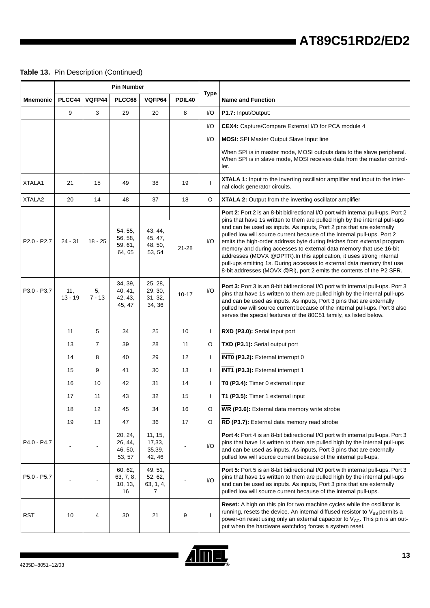### **Table 13.** Pin Description (Continued)

|                 |                  |                | <b>Pin Number</b>                       |                                                   |           |              |                                                                                                                                                                                                                                                                                                                                                                                                                                                                                                                                                                                                                                                                                              |
|-----------------|------------------|----------------|-----------------------------------------|---------------------------------------------------|-----------|--------------|----------------------------------------------------------------------------------------------------------------------------------------------------------------------------------------------------------------------------------------------------------------------------------------------------------------------------------------------------------------------------------------------------------------------------------------------------------------------------------------------------------------------------------------------------------------------------------------------------------------------------------------------------------------------------------------------|
| <b>Mnemonic</b> | PLCC44           | VQFP44         | PLCC68                                  | VQFP64                                            | PDIL40    | <b>Type</b>  | <b>Name and Function</b>                                                                                                                                                                                                                                                                                                                                                                                                                                                                                                                                                                                                                                                                     |
|                 | 9                | 3              | 29                                      | 20                                                | 8         | I/O          | P1.7: Input/Output:                                                                                                                                                                                                                                                                                                                                                                                                                                                                                                                                                                                                                                                                          |
|                 |                  |                |                                         |                                                   |           | I/O          | CEX4: Capture/Compare External I/O for PCA module 4                                                                                                                                                                                                                                                                                                                                                                                                                                                                                                                                                                                                                                          |
|                 |                  |                |                                         |                                                   |           | I/O          | <b>MOSI:</b> SPI Master Output Slave Input line                                                                                                                                                                                                                                                                                                                                                                                                                                                                                                                                                                                                                                              |
|                 |                  |                |                                         |                                                   |           |              | When SPI is in master mode, MOSI outputs data to the slave peripheral.<br>When SPI is in slave mode, MOSI receives data from the master control-<br>ler.                                                                                                                                                                                                                                                                                                                                                                                                                                                                                                                                     |
| XTALA1          | 21               | 15             | 49                                      | 38                                                | 19        | ı            | XTALA 1: Input to the inverting oscillator amplifier and input to the inter-<br>nal clock generator circuits.                                                                                                                                                                                                                                                                                                                                                                                                                                                                                                                                                                                |
| XTALA2          | 20               | 14             | 48                                      | 37                                                | 18        | $\circ$      | XTALA 2: Output from the inverting oscillator amplifier                                                                                                                                                                                                                                                                                                                                                                                                                                                                                                                                                                                                                                      |
| P2.0 - P2.7     | $24 - 31$        | $18 - 25$      | 54, 55,<br>56, 58,<br>59, 61,<br>64, 65 | 43, 44,<br>45, 47,<br>48, 50,<br>53, 54           | $21 - 28$ | I/O          | Port 2: Port 2 is an 8-bit bidirectional I/O port with internal pull-ups. Port 2<br>pins that have 1s written to them are pulled high by the internal pull-ups<br>and can be used as inputs. As inputs, Port 2 pins that are externally<br>pulled low will source current because of the internal pull-ups. Port 2<br>emits the high-order address byte during fetches from external program<br>memory and during accesses to external data memory that use 16-bit<br>addresses (MOVX @DPTR). In this application, it uses strong internal<br>pull-ups emitting 1s. During accesses to external data memory that use<br>8-bit addresses (MOVX @Ri), port 2 emits the contents of the P2 SFR. |
| P3.0 - P3.7     | 11,<br>$13 - 19$ | 5,<br>$7 - 13$ | 34, 39,<br>40, 41,<br>42, 43,<br>45, 47 | 25, 28,<br>29, 30,<br>31, 32,<br>34, 36           | $10 - 17$ | I/O          | Port 3: Port 3 is an 8-bit bidirectional I/O port with internal pull-ups. Port 3<br>pins that have 1s written to them are pulled high by the internal pull-ups<br>and can be used as inputs. As inputs, Port 3 pins that are externally<br>pulled low will source current because of the internal pull-ups. Port 3 also<br>serves the special features of the 80C51 family, as listed below.                                                                                                                                                                                                                                                                                                 |
|                 | 11               | 5              | 34                                      | 25                                                | 10        | $\mathbf{I}$ | RXD (P3.0): Serial input port                                                                                                                                                                                                                                                                                                                                                                                                                                                                                                                                                                                                                                                                |
|                 | 13               | $\overline{7}$ | 39                                      | 28                                                | 11        | O            | TXD (P3.1): Serial output port                                                                                                                                                                                                                                                                                                                                                                                                                                                                                                                                                                                                                                                               |
|                 | 14               | 8              | 40                                      | 29                                                | 12        | $\mathbf{I}$ | INTO (P3.2): External interrupt 0                                                                                                                                                                                                                                                                                                                                                                                                                                                                                                                                                                                                                                                            |
|                 | 15               | 9              | 41                                      | 30                                                | 13        | -1           | INT1 (P3.3): External interrupt 1                                                                                                                                                                                                                                                                                                                                                                                                                                                                                                                                                                                                                                                            |
|                 | 16               | 10             | 42                                      | 31                                                | 14        | $\mathbf{I}$ | T0 (P3.4): Timer 0 external input                                                                                                                                                                                                                                                                                                                                                                                                                                                                                                                                                                                                                                                            |
|                 | 17               | 11             | 43                                      | 32                                                | 15        | $\mathbf{I}$ | T1 (P3.5): Timer 1 external input                                                                                                                                                                                                                                                                                                                                                                                                                                                                                                                                                                                                                                                            |
|                 | 18               | 12             | 45                                      | 34                                                | 16        | O            | WR (P3.6): External data memory write strobe                                                                                                                                                                                                                                                                                                                                                                                                                                                                                                                                                                                                                                                 |
|                 | 19               | 13             | 47                                      | 36                                                | 17        | $\circ$      | RD (P3.7): External data memory read strobe                                                                                                                                                                                                                                                                                                                                                                                                                                                                                                                                                                                                                                                  |
| P4.0 - P4.7     |                  |                | 20, 24,<br>26, 44,<br>46, 50,<br>53, 57 | 11, 15,<br>17,33,<br>35,39,<br>42, 46             |           | I/O          | Port 4: Port 4 is an 8-bit bidirectional I/O port with internal pull-ups. Port 3<br>pins that have 1s written to them are pulled high by the internal pull-ups<br>and can be used as inputs. As inputs, Port 3 pins that are externally<br>pulled low will source current because of the internal pull-ups.                                                                                                                                                                                                                                                                                                                                                                                  |
| P5.0 - P5.7     |                  |                | 60, 62,<br>63, 7, 8,<br>10, 13,<br>16   | 49, 51,<br>52, 62,<br>63, 1, 4,<br>$\overline{7}$ |           | I/O          | Port 5: Port 5 is an 8-bit bidirectional I/O port with internal pull-ups. Port 3<br>pins that have 1s written to them are pulled high by the internal pull-ups<br>and can be used as inputs. As inputs, Port 3 pins that are externally<br>pulled low will source current because of the internal pull-ups.                                                                                                                                                                                                                                                                                                                                                                                  |
| <b>RST</b>      | 10               | 4              | 30                                      | 21                                                | 9         | $\mathsf{l}$ | <b>Reset:</b> A high on this pin for two machine cycles while the oscillator is<br>running, resets the device. An internal diffused resistor to $V_{SS}$ permits a<br>power-on reset using only an external capacitor to $V_{\text{CC}}$ . This pin is an out-<br>put when the hardware watchdog forces a system reset.                                                                                                                                                                                                                                                                                                                                                                      |

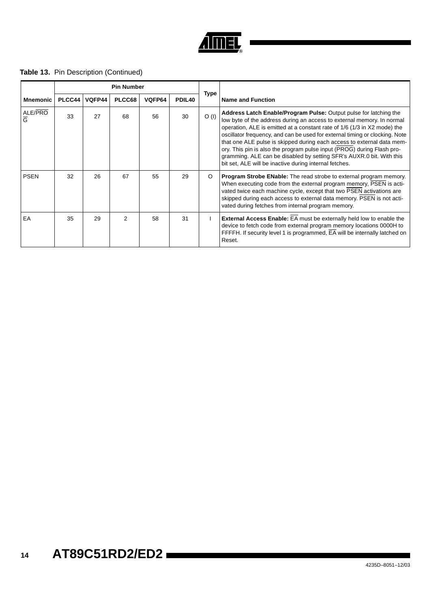

### **Table 13.** Pin Description (Continued)

|                           |        |        | <b>Pin Number</b> |        |        |             |                                                                                                                                                                                                                                                                                                                                                                                                                                                                                                                                                                                              |
|---------------------------|--------|--------|-------------------|--------|--------|-------------|----------------------------------------------------------------------------------------------------------------------------------------------------------------------------------------------------------------------------------------------------------------------------------------------------------------------------------------------------------------------------------------------------------------------------------------------------------------------------------------------------------------------------------------------------------------------------------------------|
| <b>Mnemonic</b>           | PLCC44 | VQFP44 | PLCC68            | VQFP64 | PDIL40 | <b>Type</b> | <b>Name and Function</b>                                                                                                                                                                                                                                                                                                                                                                                                                                                                                                                                                                     |
| ALE/PRO<br>$\overline{G}$ | 33     | 27     | 68                | 56     | 30     | O(1)        | Address Latch Enable/Program Pulse: Output pulse for latching the<br>low byte of the address during an access to external memory. In normal<br>operation, ALE is emitted at a constant rate of 1/6 (1/3 in X2 mode) the<br>oscillator frequency, and can be used for external timing or clocking. Note<br>that one ALE pulse is skipped during each access to external data mem-<br>ory. This pin is also the program pulse input (PROG) during Flash pro-<br>gramming. ALE can be disabled by setting SFR's AUXR.0 bit. With this<br>bit set, ALE will be inactive during internal fetches. |
| <b>PSEN</b>               | 32     | 26     | 67                | 55     | 29     | O           | <b>Program Strobe ENable:</b> The read strobe to external program memory.<br>When executing code from the external program memory, PSEN is acti-<br>vated twice each machine cycle, except that two PSEN activations are<br>skipped during each access to external data memory. PSEN is not acti-<br>vated during fetches from internal program memory.                                                                                                                                                                                                                                      |
| EA                        | 35     | 29     | $\mathcal{P}$     | 58     | 31     |             | External Access Enable: EA must be externally held low to enable the<br>device to fetch code from external program memory locations 0000H to<br>FFFFH. If security level 1 is programmed, EA will be internally latched on<br>Reset.                                                                                                                                                                                                                                                                                                                                                         |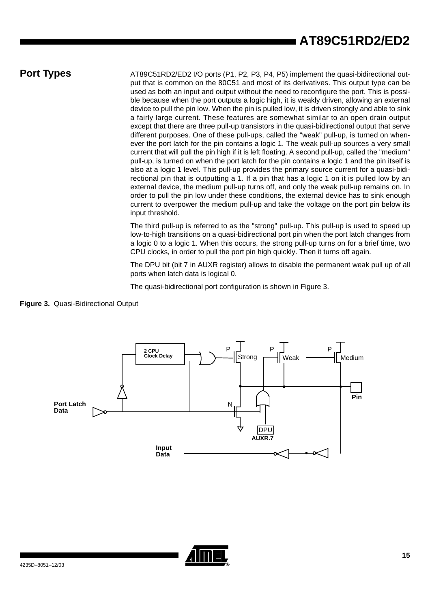**Port Types** AT89C51RD2/ED2 I/O ports (P1, P2, P3, P4, P5) implement the quasi-bidirectional output that is common on the 80C51 and most of its derivatives. This output type can be used as both an input and output without the need to reconfigure the port. This is possible because when the port outputs a logic high, it is weakly driven, allowing an external device to pull the pin low. When the pin is pulled low, it is driven strongly and able to sink a fairly large current. These features are somewhat similar to an open drain output except that there are three pull-up transistors in the quasi-bidirectional output that serve different purposes. One of these pull-ups, called the "weak" pull-up, is turned on whenever the port latch for the pin contains a logic 1. The weak pull-up sources a very small current that will pull the pin high if it is left floating. A second pull-up, called the "medium" pull-up, is turned on when the port latch for the pin contains a logic 1 and the pin itself is also at a logic 1 level. This pull-up provides the primary source current for a quasi-bidirectional pin that is outputting a 1. If a pin that has a logic 1 on it is pulled low by an external device, the medium pull-up turns off, and only the weak pull-up remains on. In order to pull the pin low under these conditions, the external device has to sink enough current to overpower the medium pull-up and take the voltage on the port pin below its input threshold.

> The third pull-up is referred to as the "strong" pull-up. This pull-up is used to speed up low-to-high transitions on a quasi-bidirectional port pin when the port latch changes from a logic 0 to a logic 1. When this occurs, the strong pull-up turns on for a brief time, two CPU clocks, in order to pull the port pin high quickly. Then it turns off again.

> The DPU bit (bit 7 in AUXR register) allows to disable the permanent weak pull up of all ports when latch data is logical 0.

The quasi-bidirectional port configuration is shown in [Figure 3.](#page-13-0)

<span id="page-13-0"></span>



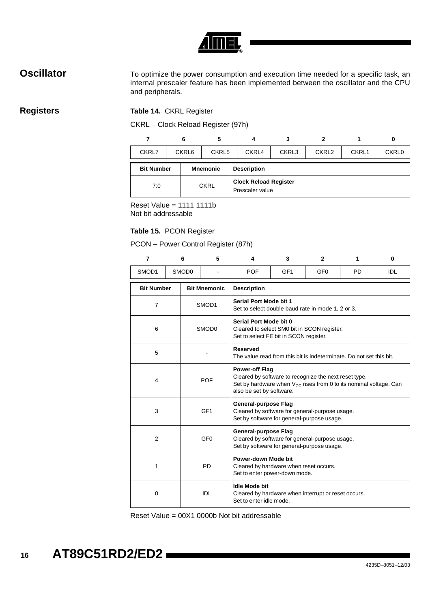

**Oscillator** To optimize the power consumption and execution time needed for a specific task, an internal prescaler feature has been implemented between the oscillator and the CPU and peripherals.

### **Registers Table 14.** CKRL Register

CKRL – Clock Reload Register (97h)

|                   |  | 6     | 5               | 4                                               | 3     | 2     |       | 0            |  |
|-------------------|--|-------|-----------------|-------------------------------------------------|-------|-------|-------|--------------|--|
| CKRL7             |  | CKRL6 | CKRL5           | CKRL4                                           | CKRL3 | CKRL2 | CKRL1 | <b>CKRL0</b> |  |
| <b>Bit Number</b> |  |       | <b>Mnemonic</b> | <b>Description</b>                              |       |       |       |              |  |
| 7:0               |  |       | <b>CKRL</b>     | <b>Clock Reload Register</b><br>Prescaler value |       |       |       |              |  |

Reset Value =  $1111 1111b$ Not bit addressable

#### **Table 15.** PCON Register

PCON – Power Control Register (87h)

|                | $\overline{7}$    |  | 6                                                                                              | 5                                               | 4                                                                                                                                                                                    | 3               | $\mathbf{2}$    | 1         | $\bf{0}$   |  |  |  |
|----------------|-------------------|--|------------------------------------------------------------------------------------------------|-------------------------------------------------|--------------------------------------------------------------------------------------------------------------------------------------------------------------------------------------|-----------------|-----------------|-----------|------------|--|--|--|
|                | SMOD1             |  | SMOD0                                                                                          |                                                 | <b>POF</b>                                                                                                                                                                           | GF <sub>1</sub> | GF <sub>0</sub> | <b>PD</b> | <b>IDL</b> |  |  |  |
|                | <b>Bit Number</b> |  |                                                                                                | <b>Bit Mnemonic</b>                             | <b>Description</b>                                                                                                                                                                   |                 |                 |           |            |  |  |  |
| $\overline{7}$ |                   |  |                                                                                                | SMOD1                                           | Serial Port Mode bit 1<br>Set to select double baud rate in mode 1, 2 or 3.                                                                                                          |                 |                 |           |            |  |  |  |
| 6              |                   |  | SMOD <sub>0</sub>                                                                              |                                                 | Serial Port Mode bit 0<br>Cleared to select SM0 bit in SCON register.<br>Set to select FE bit in SCON register.                                                                      |                 |                 |           |            |  |  |  |
|                | 5                 |  |                                                                                                |                                                 | <b>Reserved</b><br>The value read from this bit is indeterminate. Do not set this bit.                                                                                               |                 |                 |           |            |  |  |  |
|                | 4                 |  |                                                                                                | <b>POF</b>                                      | <b>Power-off Flag</b><br>Cleared by software to recognize the next reset type.<br>Set by hardware when $V_{CC}$ rises from 0 to its nominal voltage. Can<br>also be set by software. |                 |                 |           |            |  |  |  |
|                | 3                 |  |                                                                                                | GF <sub>1</sub>                                 | General-purpose Flag<br>Cleared by software for general-purpose usage.<br>Set by software for general-purpose usage.                                                                 |                 |                 |           |            |  |  |  |
|                | $\overline{2}$    |  |                                                                                                | GF <sub>0</sub>                                 | General-purpose Flag<br>Cleared by software for general-purpose usage.<br>Set by software for general-purpose usage.                                                                 |                 |                 |           |            |  |  |  |
|                | 1<br><b>PD</b>    |  | Power-down Mode bit<br>Cleared by hardware when reset occurs.<br>Set to enter power-down mode. |                                                 |                                                                                                                                                                                      |                 |                 |           |            |  |  |  |
| 0              |                   |  | <b>IDL</b>                                                                                     | <b>Idle Mode bit</b><br>Set to enter idle mode. | Cleared by hardware when interrupt or reset occurs.                                                                                                                                  |                 |                 |           |            |  |  |  |

Reset Value = 00X1 0000b Not bit addressable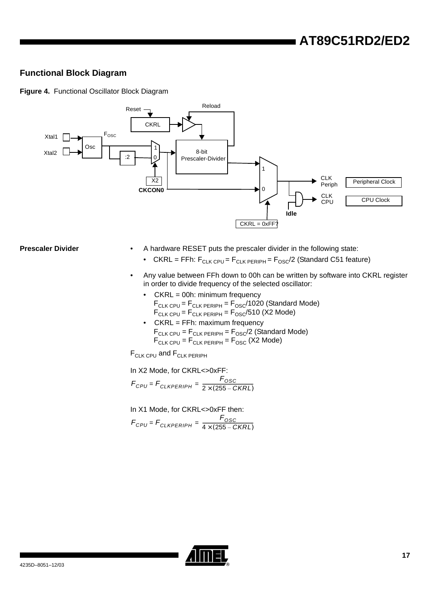### **Functional Block Diagram**

**Figure 4.** Functional Oscillator Block Diagram



- **Prescaler Divider** A hardware RESET puts the prescaler divider in the following state:
	- CKRL = FFh:  $F_{CLK CPU} = F_{CLK PERIPH} = F_{OSC}/2$  (Standard C51 feature)
	- Any value between FFh down to 00h can be written by software into CKRL register in order to divide frequency of the selected oscillator:
		- CKRL = 00h: minimum frequency  $F_{\text{CLK CPU}} = F_{\text{CLK PERIPH}} = F_{\text{OSC}} / 1020$  (Standard Mode)  $\mathsf{F}_{\mathsf{CLK} \mathsf{CPU}}$  =  $\mathsf{F}_{\mathsf{CLK} \mathsf{ PERIPH}}$  =  $\mathsf{F}_{\mathsf{OSC}}$ /510 (X2 Mode)
		- CKRL = FFh: maximum frequency  $F_{CLK CPU} = F_{CLK PERIPH} = F_{OSC}/2$  (Standard Mode)  $F_{\text{CLK CPU}} = F_{\text{CLK PERIPH}} = F_{\text{OSC}}$  (X2 Mode)

F<sub>CLK CPU</sub> and F<sub>CLK PERIPH</sub>

In X2 Mode, for CKRL<>0xFF:  $F_{CPU} = F_{CLKPERIPH} = \frac{F_{OSC}}{2 \times (255 - CKRL)}$ 

In X1 Mode, for CKRL<>0xFF then:  $F_{CPU} = F_{CLKPERIPH} = \frac{F_{OSC}}{4 \times (255 - CKRL)}$ 

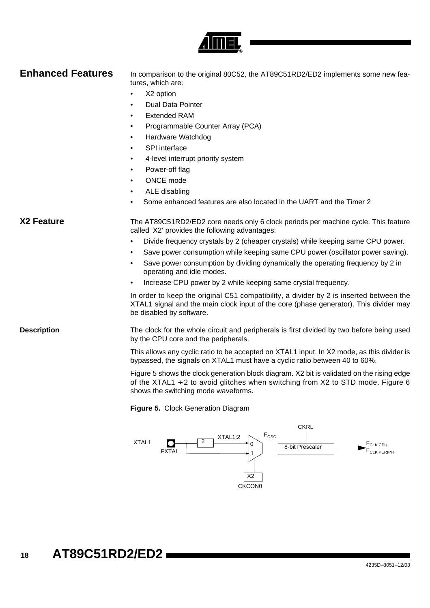

### **Enhanced Features** In comparison to the original 80C52, the AT89C51RD2/ED2 implements some new features, which are:

- X2 option
- Dual Data Pointer
- Extended RAM
- Programmable Counter Array (PCA)
- Hardware Watchdog
- SPI interface
- 4-level interrupt priority system
- Power-off flag
- ONCE mode
- ALE disabling
- Some enhanced features are also located in the UART and the Timer 2

**X2 Feature** The AT89C51RD2/ED2 core needs only 6 clock periods per machine cycle. This feature called 'X2' provides the following advantages:

- Divide frequency crystals by 2 (cheaper crystals) while keeping same CPU power.
- Save power consumption while keeping same CPU power (oscillator power saving).
- Save power consumption by dividing dynamically the operating frequency by 2 in operating and idle modes.
- Increase CPU power by 2 while keeping same crystal frequency.

In order to keep the original C51 compatibility, a divider by 2 is inserted between the XTAL1 signal and the main clock input of the core (phase generator). This divider may be disabled by software.

**Description** The clock for the whole circuit and peripherals is first divided by two before being used by the CPU core and the peripherals.

> This allows any cyclic ratio to be accepted on XTAL1 input. In X2 mode, as this divider is bypassed, the signals on XTAL1 must have a cyclic ratio between 40 to 60%.

> [Figure 5](#page-16-0) shows the clock generation block diagram. X2 bit is validated on the rising edge of the XTAL1  $\div$  2 to avoid glitches when switching from X2 to STD mode. [Figure 6](#page-17-0) shows the switching mode waveforms.

<span id="page-16-0"></span>**Figure 5.** Clock Generation Diagram

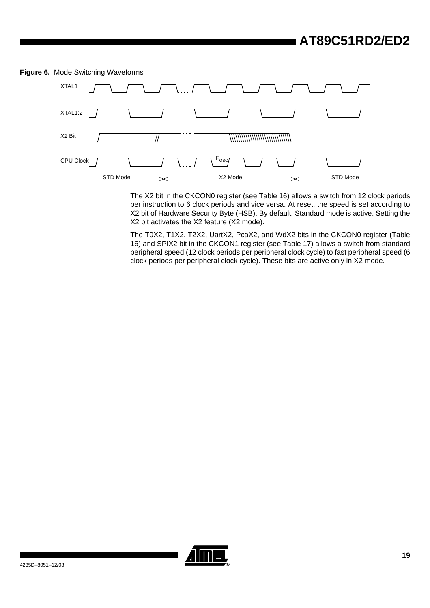

<span id="page-17-0"></span>**Figure 6.** Mode Switching Waveforms

The X2 bit in the CKCON0 register (see [Table 16](#page-18-0)) allows a switch from 12 clock periods per instruction to 6 clock periods and vice versa. At reset, the speed is set according to X2 bit of Hardware Security Byte (HSB). By default, Standard mode is active. Setting the X2 bit activates the X2 feature (X2 mode).

The T0X2, T1X2, T2X2, UartX2, PcaX2, and WdX2 bits in the CKCON0 register [\(Table](#page-18-0) [16\)](#page-18-0) and SPIX2 bit in the CKCON1 register (see [Table 17](#page-19-0)) allows a switch from standard peripheral speed (12 clock periods per peripheral clock cycle) to fast peripheral speed (6 clock periods per peripheral clock cycle). These bits are active only in X2 mode.

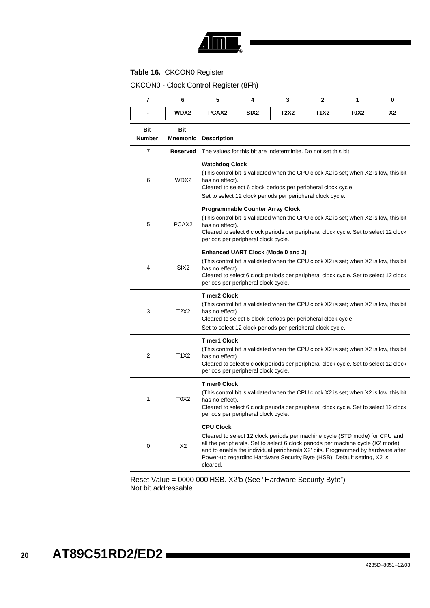

### <span id="page-18-0"></span>**Table 16.** CKCON0 Register

CKCON0 - Clock Control Register (8Fh)

| 7                           | 6                             | 5                                                                                                                                                                                                                                                                                                                                                           | 4                                                                                                                                                                                                                                                                                  | 3                                                                                                                                                                             | $\mathbf{2}$ | 1           | 0  |  |  |
|-----------------------------|-------------------------------|-------------------------------------------------------------------------------------------------------------------------------------------------------------------------------------------------------------------------------------------------------------------------------------------------------------------------------------------------------------|------------------------------------------------------------------------------------------------------------------------------------------------------------------------------------------------------------------------------------------------------------------------------------|-------------------------------------------------------------------------------------------------------------------------------------------------------------------------------|--------------|-------------|----|--|--|
|                             | WDX2                          | PCAX <sub>2</sub>                                                                                                                                                                                                                                                                                                                                           | SIX <sub>2</sub>                                                                                                                                                                                                                                                                   | T2X2                                                                                                                                                                          | T1X2         | <b>T0X2</b> | X2 |  |  |
| <b>Bit</b><br><b>Number</b> | <b>Bit</b><br><b>Mnemonic</b> | <b>Description</b>                                                                                                                                                                                                                                                                                                                                          |                                                                                                                                                                                                                                                                                    |                                                                                                                                                                               |              |             |    |  |  |
| $\overline{7}$              | <b>Reserved</b>               |                                                                                                                                                                                                                                                                                                                                                             | The values for this bit are indeterminite. Do not set this bit.                                                                                                                                                                                                                    |                                                                                                                                                                               |              |             |    |  |  |
| 6                           | WDX2                          | <b>Watchdog Clock</b><br>has no effect).<br>Cleared to select 6 clock periods per peripheral clock cycle.<br>Set to select 12 clock periods per peripheral clock cycle.                                                                                                                                                                                     | (This control bit is validated when the CPU clock X2 is set; when X2 is low, this bit                                                                                                                                                                                              |                                                                                                                                                                               |              |             |    |  |  |
| 5                           | PCAX <sub>2</sub>             |                                                                                                                                                                                                                                                                                                                                                             | <b>Programmable Counter Array Clock</b><br>(This control bit is validated when the CPU clock X2 is set; when X2 is low, this bit<br>has no effect).<br>Cleared to select 6 clock periods per peripheral clock cycle. Set to select 12 clock<br>periods per peripheral clock cycle. |                                                                                                                                                                               |              |             |    |  |  |
| 4                           | SIX <sub>2</sub>              |                                                                                                                                                                                                                                                                                                                                                             | Enhanced UART Clock (Mode 0 and 2)<br>(This control bit is validated when the CPU clock X2 is set; when X2 is low, this bit<br>has no effect).<br>Cleared to select 6 clock periods per peripheral clock cycle. Set to select 12 clock<br>periods per peripheral clock cycle.      |                                                                                                                                                                               |              |             |    |  |  |
| 3                           | <b>T2X2</b>                   |                                                                                                                                                                                                                                                                                                                                                             | <b>Timer2 Clock</b><br>(This control bit is validated when the CPU clock X2 is set; when X2 is low, this bit<br>has no effect).<br>Cleared to select 6 clock periods per peripheral clock cycle.<br>Set to select 12 clock periods per peripheral clock cycle.                     |                                                                                                                                                                               |              |             |    |  |  |
| $\overline{2}$              | T1X2                          | <b>Timer1 Clock</b><br>has no effect).                                                                                                                                                                                                                                                                                                                      | periods per peripheral clock cycle.                                                                                                                                                                                                                                                | (This control bit is validated when the CPU clock X2 is set; when X2 is low, this bit<br>Cleared to select 6 clock periods per peripheral clock cycle. Set to select 12 clock |              |             |    |  |  |
| 1                           | T0X2                          | <b>Timer0 Clock</b><br>(This control bit is validated when the CPU clock X2 is set; when X2 is low, this bit<br>has no effect).<br>Cleared to select 6 clock periods per peripheral clock cycle. Set to select 12 clock<br>periods per peripheral clock cycle.                                                                                              |                                                                                                                                                                                                                                                                                    |                                                                                                                                                                               |              |             |    |  |  |
| 0                           | X2                            | <b>CPU Clock</b><br>Cleared to select 12 clock periods per machine cycle (STD mode) for CPU and<br>all the peripherals. Set to select 6 clock periods per machine cycle (X2 mode)<br>and to enable the individual peripherals'X2' bits. Programmed by hardware after<br>Power-up regarding Hardware Security Byte (HSB), Default setting, X2 is<br>cleared. |                                                                                                                                                                                                                                                                                    |                                                                                                                                                                               |              |             |    |  |  |

Reset Value = 0000 000'HSB. X2'b (See "Hardware Security Byte") Not bit addressable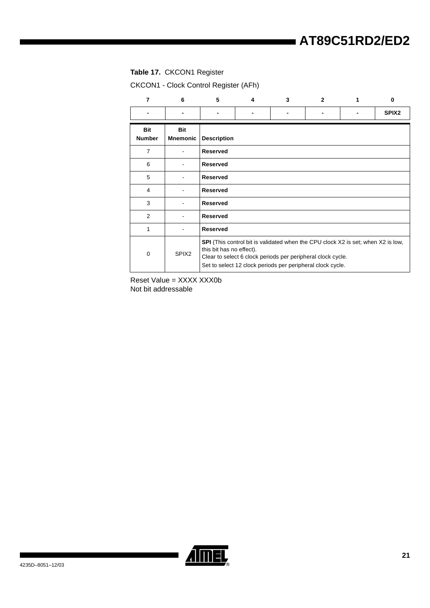### <span id="page-19-0"></span>**Table 17.** CKCON1 Register

CKCON1 - Clock Control Register (AFh)

| 7                           | 6                             | 5                        | 4 | 3                                                                                                                                                                                                                    | $\mathbf{2}$   | ŋ                 |
|-----------------------------|-------------------------------|--------------------------|---|----------------------------------------------------------------------------------------------------------------------------------------------------------------------------------------------------------------------|----------------|-------------------|
| $\blacksquare$              |                               |                          |   |                                                                                                                                                                                                                      | $\blacksquare$ | SPIX <sub>2</sub> |
| <b>Bit</b><br><b>Number</b> | <b>Bit</b><br><b>Mnemonic</b> | <b>Description</b>       |   |                                                                                                                                                                                                                      |                |                   |
| $\overline{7}$              |                               | <b>Reserved</b>          |   |                                                                                                                                                                                                                      |                |                   |
| 6                           |                               | <b>Reserved</b>          |   |                                                                                                                                                                                                                      |                |                   |
| 5                           |                               | <b>Reserved</b>          |   |                                                                                                                                                                                                                      |                |                   |
| 4                           |                               | <b>Reserved</b>          |   |                                                                                                                                                                                                                      |                |                   |
| 3                           |                               | <b>Reserved</b>          |   |                                                                                                                                                                                                                      |                |                   |
| 2                           |                               | <b>Reserved</b>          |   |                                                                                                                                                                                                                      |                |                   |
| 1                           |                               | <b>Reserved</b>          |   |                                                                                                                                                                                                                      |                |                   |
| $\mathbf 0$                 | SPIX <sub>2</sub>             | this bit has no effect). |   | <b>SPI</b> (This control bit is validated when the CPU clock X2 is set; when X2 is low,<br>Clear to select 6 clock periods per peripheral clock cycle.<br>Set to select 12 clock periods per peripheral clock cycle. |                |                   |

Reset Value = XXXX XXX0b Not bit addressable

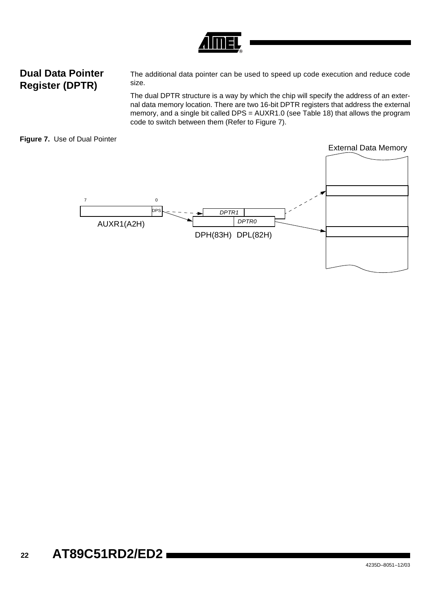## **Dual Data Pointer Register (DPTR)**

The additional data pointer can be used to speed up code execution and reduce code size.

The dual DPTR structure is a way by which the chip will specify the address of an external data memory location. There are two 16-bit DPTR registers that address the external memory, and a single bit called DPS = AUXR1.0 (see [Table 18\)](#page-21-0) that allows the program code to switch between them (Refer to [Figure 7](#page-20-0)).

### <span id="page-20-0"></span>**Figure 7.** Use of Dual Pointer

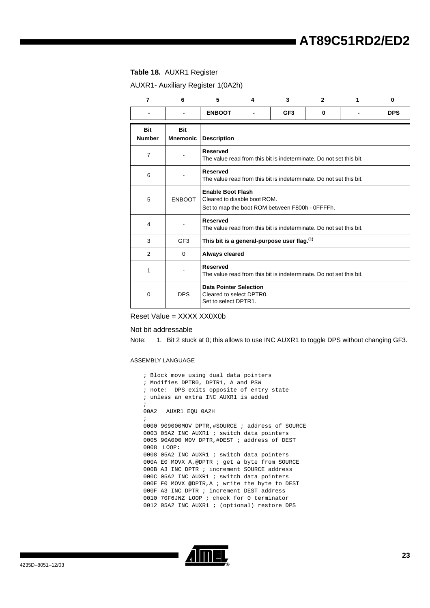### <span id="page-21-0"></span>**Table 18.** AUXR1 Register

AUXR1- Auxiliary Register 1(0A2h)

| $\overline{7}$       | 6                      | 5                  | 4                                                                                                           | 3                                                                   | $\overline{2}$ | 1 | 0          |  |  |
|----------------------|------------------------|--------------------|-------------------------------------------------------------------------------------------------------------|---------------------------------------------------------------------|----------------|---|------------|--|--|
|                      | $\blacksquare$         | <b>ENBOOT</b>      |                                                                                                             | GF <sub>3</sub>                                                     | 0              |   | <b>DPS</b> |  |  |
| Bit<br><b>Number</b> | Bit<br><b>Mnemonic</b> | <b>Description</b> |                                                                                                             |                                                                     |                |   |            |  |  |
| $\overline{7}$       |                        | <b>Reserved</b>    | The value read from this bit is indeterminate. Do not set this bit.                                         |                                                                     |                |   |            |  |  |
| 6                    |                        | <b>Reserved</b>    | The value read from this bit is indeterminate. Do not set this bit.                                         |                                                                     |                |   |            |  |  |
| 5                    | <b>ENBOOT</b>          |                    | <b>Enable Boot Flash</b><br>Cleared to disable boot ROM.<br>Set to map the boot ROM between F800h - 0FFFFh. |                                                                     |                |   |            |  |  |
| 4                    |                        | <b>Reserved</b>    |                                                                                                             | The value read from this bit is indeterminate. Do not set this bit. |                |   |            |  |  |
| 3                    | GF <sub>3</sub>        |                    |                                                                                                             | This bit is a general-purpose user flag. <sup>(1)</sup>             |                |   |            |  |  |
| 2                    | $\Omega$               | Always cleared     |                                                                                                             |                                                                     |                |   |            |  |  |
| 1                    |                        | <b>Reserved</b>    | The value read from this bit is indeterminate. Do not set this bit.                                         |                                                                     |                |   |            |  |  |
| $\Omega$             | <b>DPS</b>             |                    | <b>Data Pointer Selection</b><br>Cleared to select DPTR0.<br>Set to select DPTR1.                           |                                                                     |                |   |            |  |  |

Reset Value = XXXX XX0X0b

#### Not bit addressable

Note: 1. Bit 2 stuck at 0; this allows to use INC AUXR1 to toggle DPS without changing GF3.

#### ASSEMBLY LANGUAGE

| ; Block move using dual data pointers           |  |  |  |  |  |
|-------------------------------------------------|--|--|--|--|--|
| Modifies DPTRO, DPTR1, A and PSW<br>$\ddot{i}$  |  |  |  |  |  |
| ; note: DPS exits opposite of entry state       |  |  |  |  |  |
| ; unless an extra INC AUXR1 is added            |  |  |  |  |  |
| $\ddot{i}$                                      |  |  |  |  |  |
| 00A2 AUXR1 EOU 0A2H                             |  |  |  |  |  |
| $\ddot{ }$                                      |  |  |  |  |  |
| 0000 909000MOV DPTR,#SOURCE ; address of SOURCE |  |  |  |  |  |
| 0003 05A2 INC AUXR1 ; switch data pointers      |  |  |  |  |  |
| 0005 90A000 MOV DPTR, #DEST ; address of DEST   |  |  |  |  |  |
| 0008 LOOP:                                      |  |  |  |  |  |
| 0008 05A2 INC AUXR1 ; switch data pointers      |  |  |  |  |  |
| 000A E0 MOVX A, @DPTR ; get a byte from SOURCE  |  |  |  |  |  |
| 000B A3 INC DPTR ; increment SOURCE address     |  |  |  |  |  |
| 000C 05A2 INC AUXR1 ; switch data pointers      |  |  |  |  |  |
| 000E F0 MOVX @DPTR, A ; write the byte to DEST  |  |  |  |  |  |
| 000F A3 INC DPTR ; increment DEST address       |  |  |  |  |  |
| 0010 70F6JNZ LOOP ; check for 0 terminator      |  |  |  |  |  |
| 0012 05A2 INC AUXR1 ; (optional) restore DPS    |  |  |  |  |  |

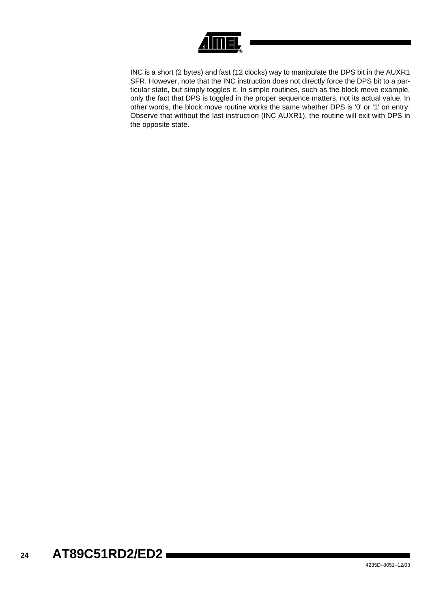

INC is a short (2 bytes) and fast (12 clocks) way to manipulate the DPS bit in the AUXR1 SFR. However, note that the INC instruction does not directly force the DPS bit to a particular state, but simply toggles it. In simple routines, such as the block move example, only the fact that DPS is toggled in the proper sequence matters, not its actual value. In other words, the block move routine works the same whether DPS is '0' or '1' on entry. Observe that without the last instruction (INC AUXR1), the routine will exit with DPS in the opposite state.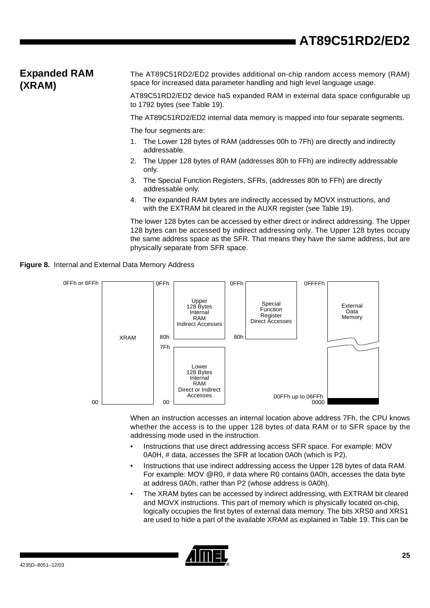## **Expanded RAM (XRAM)**

The AT89C51RD2/ED2 provides additional on-chip random access memory (RAM) space for increased data parameter handling and high level language usage.

AT89C51RD2/ED2 device haS expanded RAM in external data space configurable up to 1792 bytes (see [Table 19](#page-25-0)).

The AT89C51RD2/ED2 internal data memory is mapped into four separate segments.

The four segments are:

- 1. The Lower 128 bytes of RAM (addresses 00h to 7Fh) are directly and indirectly addressable.
- 2. The Upper 128 bytes of RAM (addresses 80h to FFh) are indirectly addressable only.
- 3. The Special Function Registers, SFRs, (addresses 80h to FFh) are directly addressable only.
- 4. The expanded RAM bytes are indirectly accessed by MOVX instructions, and with the EXTRAM bit cleared in the AUXR register (see [Table 19](#page-25-0)).

The lower 128 bytes can be accessed by either direct or indirect addressing. The Upper 128 bytes can be accessed by indirect addressing only. The Upper 128 bytes occupy the same address space as the SFR. That means they have the same address, but are physically separate from SFR space.





When an instruction accesses an internal location above address 7Fh, the CPU knows whether the access is to the upper 128 bytes of data RAM or to SFR space by the addressing mode used in the instruction.

- Instructions that use direct addressing access SFR space. For example: MOV 0A0H, # data, accesses the SFR at location 0A0h (which is P2).
- Instructions that use indirect addressing access the Upper 128 bytes of data RAM. For example: MOV @R0, # data where R0 contains 0A0h, accesses the data byte at address 0A0h, rather than P2 (whose address is 0A0h).
- The XRAM bytes can be accessed by indirect addressing, with EXTRAM bit cleared and MOVX instructions. This part of memory which is physically located on-chip, logically occupies the first bytes of external data memory. The bits XRS0 and XRS1 are used to hide a part of the available XRAM as explained in [Table 19](#page-25-0). This can be

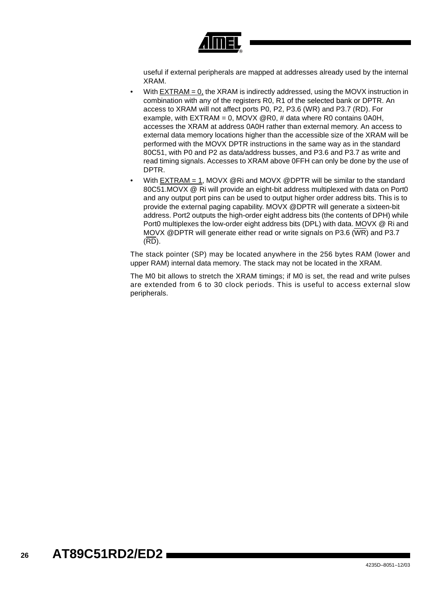

useful if external peripherals are mapped at addresses already used by the internal XRAM.

- With  $EXTRAM = 0$ , the  $XRAM$  is indirectly addressed, using the MOVX instruction in combination with any of the registers R0, R1 of the selected bank or DPTR. An access to XRAM will not affect ports P0, P2, P3.6 (WR) and P3.7 (RD). For example, with EXTRAM = 0, MOVX @R0, # data where R0 contains 0A0H, accesses the XRAM at address 0A0H rather than external memory. An access to external data memory locations higher than the accessible size of the XRAM will be performed with the MOVX DPTR instructions in the same way as in the standard 80C51, with P0 and P2 as data/address busses, and P3.6 and P3.7 as write and read timing signals. Accesses to XRAM above 0FFH can only be done by the use of DPTR.
- With EXTRAM = 1, MOVX @Ri and MOVX @DPTR will be similar to the standard 80C51.MOVX @ Ri will provide an eight-bit address multiplexed with data on Port0 and any output port pins can be used to output higher order address bits. This is to provide the external paging capability. MOVX @DPTR will generate a sixteen-bit address. Port2 outputs the high-order eight address bits (the contents of DPH) while Port0 multiplexes the low-order eight address bits (DPL) with data. MOVX @ Ri and MOVX @DPTR will generate either read or write signals on P3.6 (WR) and P3.7 (RD).

The stack pointer (SP) may be located anywhere in the 256 bytes RAM (lower and upper RAM) internal data memory. The stack may not be located in the XRAM.

The M0 bit allows to stretch the XRAM timings; if M0 is set, the read and write pulses are extended from 6 to 30 clock periods. This is useful to access external slow peripherals.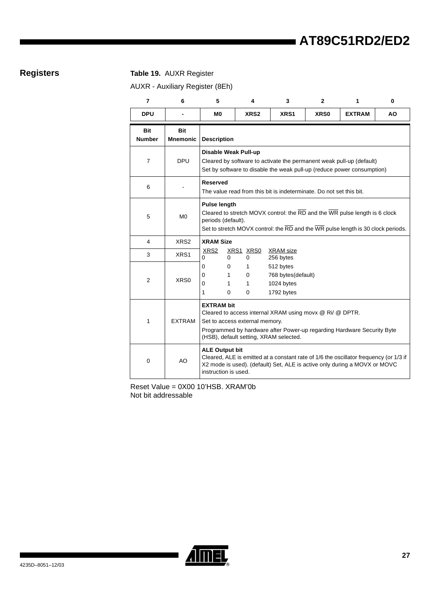### **Registers Table 19.** AUXR Register

<span id="page-25-0"></span>AUXR - Auxiliary Register (8Eh)

| $\overline{7}$              | 6                      | 5                                                                                                                                                                                                                                   | 4                                                                   | 3                                                                                                                                                                                        | $\mathbf{2}$ | 1             | 0   |  |
|-----------------------------|------------------------|-------------------------------------------------------------------------------------------------------------------------------------------------------------------------------------------------------------------------------------|---------------------------------------------------------------------|------------------------------------------------------------------------------------------------------------------------------------------------------------------------------------------|--------------|---------------|-----|--|
| <b>DPU</b>                  |                        | M0                                                                                                                                                                                                                                  | XRS2                                                                | XRS1                                                                                                                                                                                     | <b>XRS0</b>  | <b>EXTRAM</b> | AO. |  |
| <b>Bit</b><br><b>Number</b> | Bit<br><b>Mnemonic</b> | <b>Description</b>                                                                                                                                                                                                                  |                                                                     |                                                                                                                                                                                          |              |               |     |  |
| $\overline{7}$              | <b>DPU</b>             | Disable Weak Pull-up<br>Cleared by software to activate the permanent weak pull-up (default)<br>Set by software to disable the weak pull-up (reduce power consumption)                                                              |                                                                     |                                                                                                                                                                                          |              |               |     |  |
| 6                           |                        | <b>Reserved</b>                                                                                                                                                                                                                     | The value read from this bit is indeterminate. Do not set this bit. |                                                                                                                                                                                          |              |               |     |  |
| 5                           | M <sub>0</sub>         | Pulse length<br>periods (default).                                                                                                                                                                                                  |                                                                     | Cleared to stretch MOVX control: the $\overline{RD}$ and the $\overline{WR}$ pulse length is 6 clock<br>Set to stretch MOVX control: the RD and the WR pulse length is 30 clock periods. |              |               |     |  |
| 4                           | XRS <sub>2</sub>       | <b>XRAM Size</b>                                                                                                                                                                                                                    |                                                                     |                                                                                                                                                                                          |              |               |     |  |
| 3                           | XRS1                   | XRS <sub>2</sub><br>0<br>$\Omega$                                                                                                                                                                                                   | XRS1 XRS0<br>$\Omega$                                               | <b>XRAM</b> size<br>256 bytes                                                                                                                                                            |              |               |     |  |
| $\overline{2}$              | XRS0                   | 0<br>0<br>0<br>1<br>0<br>1<br>1<br>0                                                                                                                                                                                                | 1<br>$\Omega$<br>1<br>0                                             | 512 bytes<br>768 bytes(default)<br>1024 bytes<br>1792 bytes                                                                                                                              |              |               |     |  |
| 1                           | <b>EXTRAM</b>          | <b>EXTRAM bit</b><br>Cleared to access internal XRAM using movx @ Ri/ @ DPTR.<br>Set to access external memory.<br>Programmed by hardware after Power-up regarding Hardware Security Byte<br>(HSB), default setting, XRAM selected. |                                                                     |                                                                                                                                                                                          |              |               |     |  |
| $\mathbf 0$                 | AO                     | <b>ALE Output bit</b><br>Cleared, ALE is emitted at a constant rate of 1/6 the oscillator frequency (or 1/3 if<br>X2 mode is used). (default) Set, ALE is active only during a MOVX or MOVC<br>instruction is used.                 |                                                                     |                                                                                                                                                                                          |              |               |     |  |

Reset Value = 0X00 10'HSB. XRAM'0b Not bit addressable

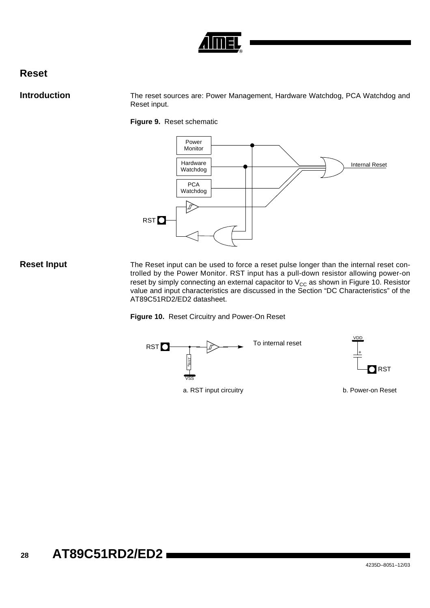

### **Reset**

**Introduction** The reset sources are: Power Management, Hardware Watchdog, PCA Watchdog and Reset input.

**Figure 9.** Reset schematic



**Reset Input** The Reset input can be used to force a reset pulse longer than the internal reset controlled by the Power Monitor. RST input has a pull-down resistor allowing power-on reset by simply connecting an external capacitor to  $\rm V_{CC}$  as shown in [Figure 10](#page-26-0). Resistor value and input characteristics are discussed in the Section "DC Characteristics" of the AT89C51RD2/ED2 datasheet.

<span id="page-26-0"></span>**Figure 10.** Reset Circuitry and Power-On Reset

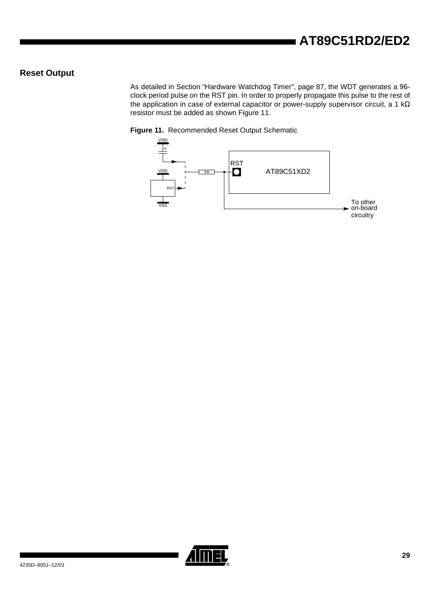### **Reset Output**

As detailed in [Section "Hardware Watchdog Timer", page 87,](#page-85-0) the WDT generates a 96 clock period pulse on the RST pin. In order to properly propagate this pulse to the rest of the application in case of external capacitor or power-supply supervisor circuit, a 1 kΩ resistor must be added as shown [Figure 11](#page-27-0).

### <span id="page-27-0"></span>**Figure 11.** Recommended Reset Output Schematic



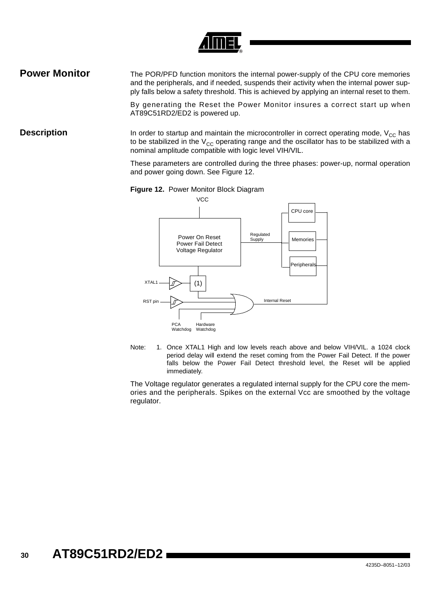

**Power Monitor** The POR/PFD function monitors the internal power-supply of the CPU core memories and the peripherals, and if needed, suspends their activity when the internal power supply falls below a safety threshold. This is achieved by applying an internal reset to them.

> By generating the Reset the Power Monitor insures a correct start up when AT89C51RD2/ED2 is powered up.

**Description** In order to startup and maintain the microcontroller in correct operating mode, V<sub>CC</sub> has to be stabilized in the  $V_{CC}$  operating range and the oscillator has to be stabilized with a nominal amplitude compatible with logic level VIH/VIL.

> These parameters are controlled during the three phases: power-up, normal operation and power going down. See [Figure 12](#page-28-0).

<span id="page-28-0"></span>



Note: 1. Once XTAL1 High and low levels reach above and below VIH/VIL. a 1024 clock period delay will extend the reset coming from the Power Fail Detect. If the power falls below the Power Fail Detect threshold level, the Reset will be applied immediately.

The Voltage regulator generates a regulated internal supply for the CPU core the memories and the peripherals. Spikes on the external Vcc are smoothed by the voltage regulator.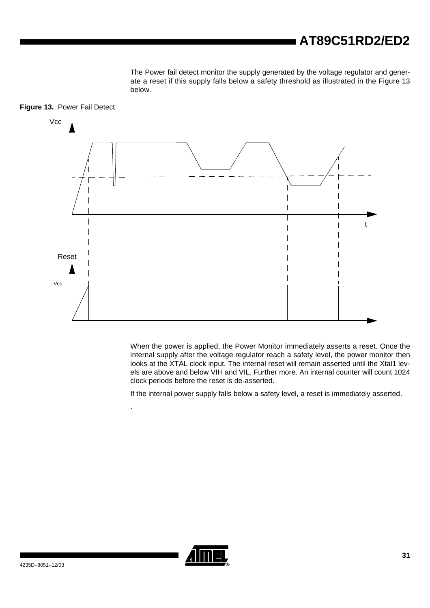The Power fail detect monitor the supply generated by the voltage regulator and generate a reset if this supply falls below a safety threshold as illustrated in the [Figure 13](#page-29-0) below.



<span id="page-29-0"></span>**Figure 13.** Power Fail Detect

When the power is applied, the Power Monitor immediately asserts a reset. Once the internal supply after the voltage regulator reach a safety level, the power monitor then looks at the XTAL clock input. The internal reset will remain asserted until the Xtal1 levels are above and below VIH and VIL. Further more. An internal counter will count 1024 clock periods before the reset is de-asserted.

If the internal power supply falls below a safety level, a reset is immediately asserted.



.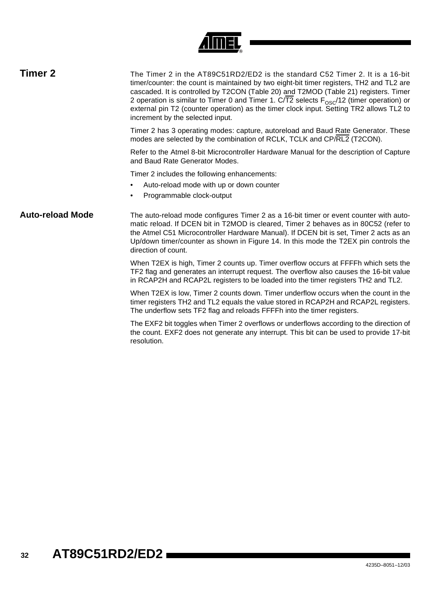| <b>Timer 2</b>          | The Timer 2 in the AT89C51RD2/ED2 is the standard C52 Timer 2. It is a 16-bit<br>timer/counter: the count is maintained by two eight-bit timer registers, TH2 and TL2 are<br>cascaded. It is controlled by T2CON (Table 20) and T2MOD (Table 21) registers. Timer<br>2 operation is similar to Timer 0 and Timer 1. C/T2 selects $F_{OS}/12$ (timer operation) or<br>external pin T2 (counter operation) as the timer clock input. Setting TR2 allows TL2 to<br>increment by the selected input. |  |  |  |  |  |
|-------------------------|--------------------------------------------------------------------------------------------------------------------------------------------------------------------------------------------------------------------------------------------------------------------------------------------------------------------------------------------------------------------------------------------------------------------------------------------------------------------------------------------------|--|--|--|--|--|
|                         | Timer 2 has 3 operating modes: capture, autoreload and Baud Rate Generator. These<br>modes are selected by the combination of RCLK, TCLK and CP/RL2 (T2CON).                                                                                                                                                                                                                                                                                                                                     |  |  |  |  |  |
|                         | Refer to the Atmel 8-bit Microcontroller Hardware Manual for the description of Capture<br>and Baud Rate Generator Modes.                                                                                                                                                                                                                                                                                                                                                                        |  |  |  |  |  |
|                         | Timer 2 includes the following enhancements:<br>Auto-reload mode with up or down counter<br>Programmable clock-output<br>$\bullet$                                                                                                                                                                                                                                                                                                                                                               |  |  |  |  |  |
| <b>Auto-reload Mode</b> | The auto-reload mode configures Timer 2 as a 16-bit timer or event counter with auto-<br>matic reload. If DCEN bit in T2MOD is cleared, Timer 2 behaves as in 80C52 (refer to<br>the Atmel C51 Microcontroller Hardware Manual). If DCEN bit is set, Timer 2 acts as an<br>Up/down timer/counter as shown in Figure 14. In this mode the T2EX pin controls the<br>direction of count.                                                                                                            |  |  |  |  |  |
|                         | When T2EX is high, Timer 2 counts up. Timer overflow occurs at FFFFh which sets the<br>TF2 flag and generates an interrupt request. The overflow also causes the 16-bit value<br>in RCAP2H and RCAP2L registers to be loaded into the timer registers TH2 and TL2.                                                                                                                                                                                                                               |  |  |  |  |  |
|                         | When T2EX is low, Timer 2 counts down. Timer underflow occurs when the count in the<br>timer registers TH2 and TL2 equals the value stored in RCAP2H and RCAP2L registers.<br>The underflow sets TF2 flag and reloads FFFFh into the timer registers.                                                                                                                                                                                                                                            |  |  |  |  |  |
|                         | The EXF2 bit toggles when Timer 2 overflows or underflows according to the direction of<br>the count. EXF2 does not generate any interrupt. This bit can be used to provide 17-bit<br>resolution.                                                                                                                                                                                                                                                                                                |  |  |  |  |  |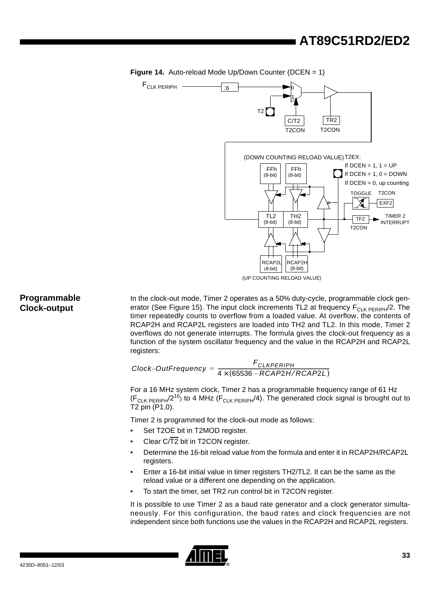<span id="page-31-0"></span>





### **Programmable Clock-output**

In the clock-out mode, Timer 2 operates as a 50% duty-cycle, programmable clock gen-erator (See [Figure 15](#page-32-0)). The input clock increments TL2 at frequency  $F_{\text{CI K PEPR}}/2$ . The timer repeatedly counts to overflow from a loaded value. At overflow, the contents of RCAP2H and RCAP2L registers are loaded into TH2 and TL2. In this mode, Timer 2 overflows do not generate interrupts. The formula gives the clock-out frequency as a function of the system oscillator frequency and the value in the RCAP2H and RCAP2L registers:

 ${Clock}\text{-}{OutFrequency} = \frac{{\color{red}F_{CLKPERIPH}}{4 \times (65536 - RCAP2H/RCAP2L)}}$ 

For a 16 MHz system clock, Timer 2 has a programmable frequency range of 61 Hz  $(F_{CLK PERIPH}/2^{16})$  to 4 MHz ( $F_{CLK PERIPH}/4$ ). The generated clock signal is brought out to T2 pin (P1.0).

Timer 2 is programmed for the clock-out mode as follows:

- Set T2OE bit in T2MOD register.
- Clear  $C\sqrt{T2}$  bit in T2CON register.
- Determine the 16-bit reload value from the formula and enter it in RCAP2H/RCAP2L registers.
- Enter a 16-bit initial value in timer registers TH2/TL2. It can be the same as the reload value or a different one depending on the application.
- To start the timer, set TR2 run control bit in T2CON register.

It is possible to use Timer 2 as a baud rate generator and a clock generator simultaneously. For this configuration, the baud rates and clock frequencies are not independent since both functions use the values in the RCAP2H and RCAP2L registers.

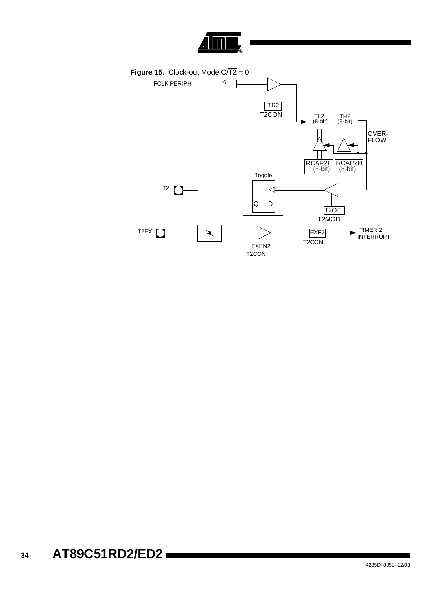

<span id="page-32-0"></span>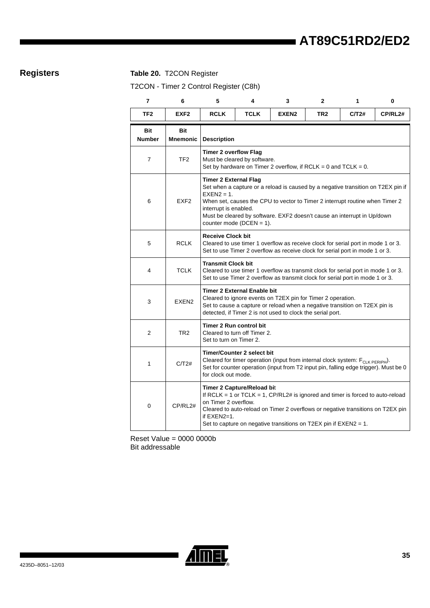### **Registers Table 20.** T2CON Register

<span id="page-33-0"></span>T2CON - Timer 2 Control Register (C8h)

| $\overline{7}$       | 6                      | 5                                                                                                                                                                                                                                                                                                                                                    | 4           | 3                 | $\mathbf{2}$    | 1     | 0       |  |
|----------------------|------------------------|------------------------------------------------------------------------------------------------------------------------------------------------------------------------------------------------------------------------------------------------------------------------------------------------------------------------------------------------------|-------------|-------------------|-----------------|-------|---------|--|
| TF <sub>2</sub>      | EXF <sub>2</sub>       | <b>RCLK</b>                                                                                                                                                                                                                                                                                                                                          | <b>TCLK</b> | EXEN <sub>2</sub> | TR <sub>2</sub> | C/T2# | CP/RL2# |  |
| Bit<br><b>Number</b> | Bit<br><b>Mnemonic</b> | <b>Description</b>                                                                                                                                                                                                                                                                                                                                   |             |                   |                 |       |         |  |
| 7                    | TF <sub>2</sub>        | <b>Timer 2 overflow Flag</b><br>Must be cleared by software.<br>Set by hardware on Timer 2 overflow, if RCLK = 0 and TCLK = $0$ .                                                                                                                                                                                                                    |             |                   |                 |       |         |  |
| 6                    | EXF <sub>2</sub>       | <b>Timer 2 External Flag</b><br>Set when a capture or a reload is caused by a negative transition on T2EX pin if<br>$EXEN2 = 1.$<br>When set, causes the CPU to vector to Timer 2 interrupt routine when Timer 2<br>interrupt is enabled.<br>Must be cleared by software. EXF2 doesn't cause an interrupt in Up/down<br>counter mode ( $DCEN = 1$ ). |             |                   |                 |       |         |  |
| 5                    | <b>RCLK</b>            | <b>Receive Clock bit</b><br>Cleared to use timer 1 overflow as receive clock for serial port in mode 1 or 3.<br>Set to use Timer 2 overflow as receive clock for serial port in mode 1 or 3.                                                                                                                                                         |             |                   |                 |       |         |  |
| 4                    | <b>TCLK</b>            | <b>Transmit Clock bit</b><br>Cleared to use timer 1 overflow as transmit clock for serial port in mode 1 or 3.<br>Set to use Timer 2 overflow as transmit clock for serial port in mode 1 or 3.                                                                                                                                                      |             |                   |                 |       |         |  |
| 3                    | EXEN <sub>2</sub>      | <b>Timer 2 External Enable bit</b><br>Cleared to ignore events on T2EX pin for Timer 2 operation.<br>Set to cause a capture or reload when a negative transition on T2EX pin is<br>detected, if Timer 2 is not used to clock the serial port.                                                                                                        |             |                   |                 |       |         |  |
| $\overline{2}$       | TR2                    | <b>Timer 2 Run control bit</b><br>Cleared to turn off Timer 2.<br>Set to turn on Timer 2.                                                                                                                                                                                                                                                            |             |                   |                 |       |         |  |
| 1                    | C/T2#                  | <b>Timer/Counter 2 select bit</b><br>Cleared for timer operation (input from internal clock system: F <sub>CLK PERIPH</sub> ).<br>Set for counter operation (input from T2 input pin, falling edge trigger). Must be 0<br>for clock out mode.                                                                                                        |             |                   |                 |       |         |  |
| 0                    | CP/RL2#                | <b>Timer 2 Capture/Reload bit</b><br>If RCLK = 1 or TCLK = 1, $CP/RL2#$ is ignored and timer is forced to auto-reload<br>on Timer 2 overflow.<br>Cleared to auto-reload on Timer 2 overflows or negative transitions on T2EX pin<br>if EXEN2=1.<br>Set to capture on negative transitions on T2EX pin if EXEN2 = 1.                                  |             |                   |                 |       |         |  |

Reset Value = 0000 0000b Bit addressable

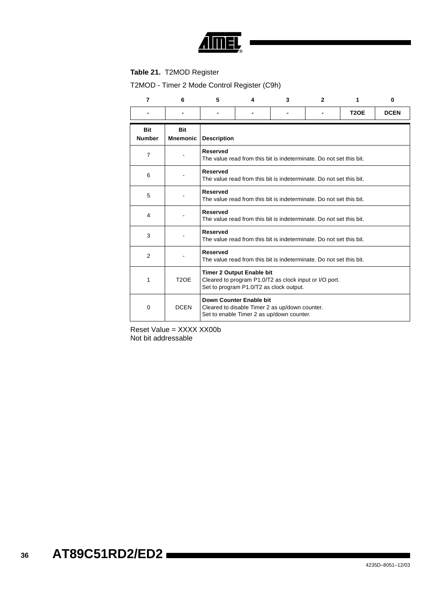

### <span id="page-34-0"></span>**Table 21.** T2MOD Register

T2MOD - Timer 2 Mode Control Register (C9h)

| $\overline{7}$              | 6                             | 5                                                                                                                                     | 4 | 3 | $\overline{2}$ | 1           | 0           |
|-----------------------------|-------------------------------|---------------------------------------------------------------------------------------------------------------------------------------|---|---|----------------|-------------|-------------|
|                             |                               |                                                                                                                                       |   |   |                | <b>T2OE</b> | <b>DCEN</b> |
| <b>Bit</b><br><b>Number</b> | <b>Bit</b><br><b>Mnemonic</b> | <b>Description</b>                                                                                                                    |   |   |                |             |             |
| $\overline{7}$              |                               | <b>Reserved</b><br>The value read from this bit is indeterminate. Do not set this bit.                                                |   |   |                |             |             |
| 6                           |                               | <b>Reserved</b><br>The value read from this bit is indeterminate. Do not set this bit.                                                |   |   |                |             |             |
| 5                           |                               | <b>Reserved</b><br>The value read from this bit is indeterminate. Do not set this bit.                                                |   |   |                |             |             |
| 4                           |                               | <b>Reserved</b><br>The value read from this bit is indeterminate. Do not set this bit.                                                |   |   |                |             |             |
| 3                           |                               | <b>Reserved</b><br>The value read from this bit is indeterminate. Do not set this bit.                                                |   |   |                |             |             |
| $\overline{2}$              |                               | <b>Reserved</b><br>The value read from this bit is indeterminate. Do not set this bit.                                                |   |   |                |             |             |
| 1                           | T <sub>2</sub> OE             | <b>Timer 2 Output Enable bit</b><br>Cleared to program P1.0/T2 as clock input or I/O port.<br>Set to program P1.0/T2 as clock output. |   |   |                |             |             |
| 0                           | <b>DCEN</b>                   | Down Counter Enable bit<br>Cleared to disable Timer 2 as up/down counter.<br>Set to enable Timer 2 as up/down counter.                |   |   |                |             |             |

Reset Value = XXXX XX00b Not bit addressable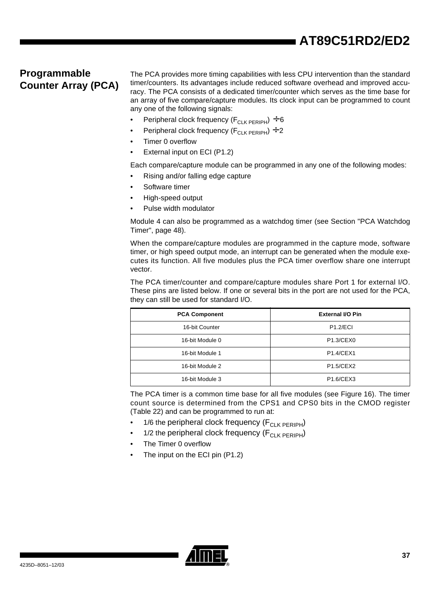### **Programmable Counter Array (PCA)**

The PCA provides more timing capabilities with less CPU intervention than the standard timer/counters. Its advantages include reduced software overhead and improved accuracy. The PCA consists of a dedicated timer/counter which serves as the time base for an array of five compare/capture modules. Its clock input can be programmed to count any one of the following signals:

- Peripheral clock frequency ( $F_{CLK PFRIPH}$ ) ÷ 6
- Peripheral clock frequency ( $F_{CLK\,PERIPH}$ ) ÷ 2
- Timer 0 overflow
- External input on ECI (P1.2)

Each compare/capture module can be programmed in any one of the following modes:

- Rising and/or falling edge capture
- Software timer
- High-speed output
- Pulse width modulator

Module 4 can also be programmed as a watchdog timer (see [Section "PCA Watchdog](#page-46-0) [Timer", page 48](#page-46-0)).

When the compare/capture modules are programmed in the capture mode, software timer, or high speed output mode, an interrupt can be generated when the module executes its function. All five modules plus the PCA timer overflow share one interrupt vector.

The PCA timer/counter and compare/capture modules share Port 1 for external I/O. These pins are listed below. If one or several bits in the port are not used for the PCA, they can still be used for standard I/O.

| <b>PCA Component</b> | <b>External I/O Pin</b>            |  |  |
|----------------------|------------------------------------|--|--|
| 16-bit Counter       | <b>P1.2/ECI</b>                    |  |  |
| 16-bit Module 0      | P1.3/CEX0                          |  |  |
| 16-bit Module 1      | <b>P1.4/CEX1</b>                   |  |  |
| 16-bit Module 2      | <b>P1.5/CEX2</b>                   |  |  |
| 16-bit Module 3      | P <sub>1.6</sub> /CEX <sub>3</sub> |  |  |

The PCA timer is a common time base for all five modules (see [Figure 16\)](#page-36-0). The timer count source is determined from the CPS1 and CPS0 bits in the CMOD register ([Table 22\)](#page-37-0) and can be programmed to run at:

- 1/6 the peripheral clock frequency  $(F_{\text{CI K PFRIPH}})$
- 1/2 the peripheral clock frequency  $(F_{\text{CI K PFRIPH}})$
- The Timer 0 overflow
- The input on the ECI pin (P1.2)

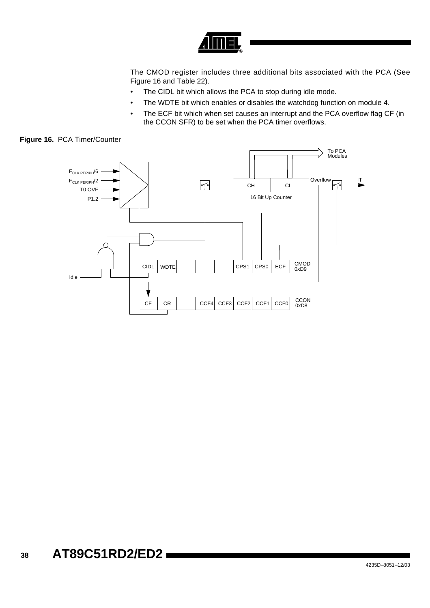

The CMOD register includes three additional bits associated with the PCA (See [Figure 16](#page-36-0) and [Table 22\)](#page-37-0).

- The CIDL bit which allows the PCA to stop during idle mode.
- The WDTE bit which enables or disables the watchdog function on module 4.
- The ECF bit which when set causes an interrupt and the PCA overflow flag CF (in the CCON SFR) to be set when the PCA timer overflows.

<span id="page-36-0"></span>

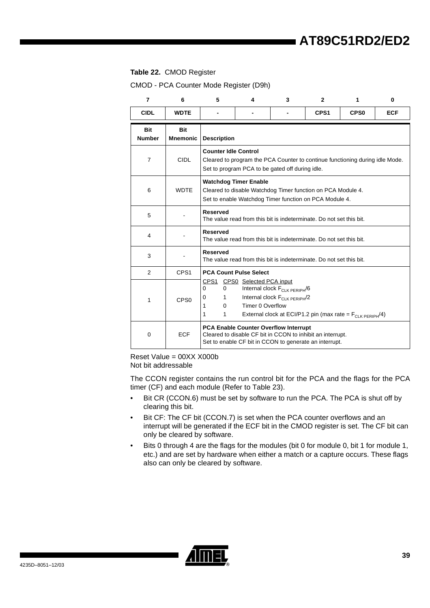#### <span id="page-37-0"></span>**Table 22.** CMOD Register

CMOD - PCA Counter Mode Register (D9h)

| $\overline{7}$              | 6                             | 5                                                                                             | 4                                                | 3                                                                              | $\mathbf{2}$                                                                                                          | 1                | $\bf{0}$   |
|-----------------------------|-------------------------------|-----------------------------------------------------------------------------------------------|--------------------------------------------------|--------------------------------------------------------------------------------|-----------------------------------------------------------------------------------------------------------------------|------------------|------------|
| <b>CIDL</b>                 | <b>WDTE</b>                   |                                                                                               |                                                  |                                                                                | CPS <sub>1</sub>                                                                                                      | CPS <sub>0</sub> | <b>ECF</b> |
| <b>Bit</b><br><b>Number</b> | <b>Bit</b><br><b>Mnemonic</b> | <b>Description</b>                                                                            |                                                  |                                                                                |                                                                                                                       |                  |            |
| $\overline{7}$              | <b>CIDL</b>                   | <b>Counter Idle Control</b>                                                                   |                                                  | Set to program PCA to be gated off during idle.                                | Cleared to program the PCA Counter to continue functioning during idle Mode.                                          |                  |            |
| 6                           | <b>WDTF</b>                   |                                                                                               | <b>Watchdog Timer Enable</b>                     |                                                                                | Cleared to disable Watchdog Timer function on PCA Module 4.<br>Set to enable Watchdog Timer function on PCA Module 4. |                  |            |
| 5                           |                               | <b>Reserved</b>                                                                               |                                                  |                                                                                | The value read from this bit is indeterminate. Do not set this bit.                                                   |                  |            |
| 4                           |                               | <b>Reserved</b>                                                                               |                                                  |                                                                                | The value read from this bit is indeterminate. Do not set this bit.                                                   |                  |            |
| 3                           |                               | <b>Reserved</b>                                                                               |                                                  |                                                                                | The value read from this bit is indeterminate. Do not set this bit.                                                   |                  |            |
| 2                           | CPS <sub>1</sub>              |                                                                                               | <b>PCA Count Pulse Select</b>                    |                                                                                |                                                                                                                       |                  |            |
| 1                           | CPS <sub>0</sub>              | $\Omega$<br>0<br>$\mathbf 0$<br>1<br>$\mathbf{1}$<br>$\Omega$<br>$\mathbf{1}$<br>$\mathbf{1}$ | CPS1 CPS0 Selected PCA input<br>Timer 0 Overflow | Internal clock F <sub>CLK PERIPH</sub> /6<br>Internal clock $F_{CLK PERIPH}/2$ | External clock at ECI/P1.2 pin (max rate = $F_{\text{CI K PFRIPH}}(4)$ )                                              |                  |            |
| $\mathbf 0$                 | <b>ECF</b>                    |                                                                                               |                                                  | PCA Enable Counter Overflow Interrupt                                          | Cleared to disable CF bit in CCON to inhibit an interrupt.<br>Set to enable CF bit in CCON to generate an interrupt.  |                  |            |

Reset Value = 00XX X000b Not bit addressable

The CCON register contains the run control bit for the PCA and the flags for the PCA timer (CF) and each module (Refer to [Table 23](#page-38-0)).

- Bit CR (CCON.6) must be set by software to run the PCA. The PCA is shut off by clearing this bit.
- Bit CF: The CF bit (CCON.7) is set when the PCA counter overflows and an interrupt will be generated if the ECF bit in the CMOD register is set. The CF bit can only be cleared by software.
- Bits 0 through 4 are the flags for the modules (bit 0 for module 0, bit 1 for module 1, etc.) and are set by hardware when either a match or a capture occurs. These flags also can only be cleared by software.

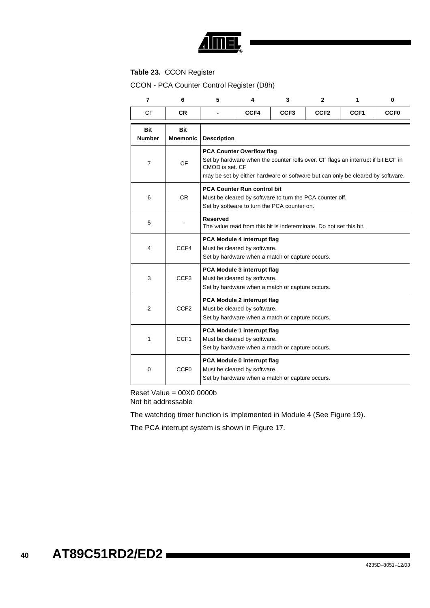

### <span id="page-38-0"></span>**Table 23.** CCON Register

CCON - PCA Counter Control Register (D8h)

| $\overline{7}$              | 6                             | 5                  | 4                                                                                                                                                                                                                         | 3                                                                                                       | 2                | 1    | 0           |  |  |  |
|-----------------------------|-------------------------------|--------------------|---------------------------------------------------------------------------------------------------------------------------------------------------------------------------------------------------------------------------|---------------------------------------------------------------------------------------------------------|------------------|------|-------------|--|--|--|
| <b>CF</b>                   | <b>CR</b>                     |                    | CCF4                                                                                                                                                                                                                      | CCF <sub>3</sub>                                                                                        | CCF <sub>2</sub> | CCF1 | <b>CCF0</b> |  |  |  |
| <b>Bit</b><br><b>Number</b> | <b>Bit</b><br><b>Mnemonic</b> | <b>Description</b> |                                                                                                                                                                                                                           |                                                                                                         |                  |      |             |  |  |  |
| $\overline{7}$              | <b>CF</b>                     |                    | <b>PCA Counter Overflow flag</b><br>Set by hardware when the counter rolls over. CF flags an interrupt if bit ECF in<br>CMOD is set. CF<br>may be set by either hardware or software but can only be cleared by software. |                                                                                                         |                  |      |             |  |  |  |
| 6                           | <b>CR</b>                     |                    | <b>PCA Counter Run control bit</b>                                                                                                                                                                                        | Must be cleared by software to turn the PCA counter off.<br>Set by software to turn the PCA counter on. |                  |      |             |  |  |  |
| 5                           |                               | <b>Reserved</b>    |                                                                                                                                                                                                                           | The value read from this bit is indeterminate. Do not set this bit.                                     |                  |      |             |  |  |  |
| 4                           | CCF4                          |                    | PCA Module 4 interrupt flag<br>Must be cleared by software.                                                                                                                                                               | Set by hardware when a match or capture occurs.                                                         |                  |      |             |  |  |  |
| 3                           | CCF <sub>3</sub>              |                    | PCA Module 3 interrupt flag<br>Must be cleared by software.                                                                                                                                                               | Set by hardware when a match or capture occurs.                                                         |                  |      |             |  |  |  |
| $\overline{2}$              | CCF <sub>2</sub>              |                    | PCA Module 2 interrupt flag<br>Must be cleared by software.                                                                                                                                                               | Set by hardware when a match or capture occurs.                                                         |                  |      |             |  |  |  |
| 1                           | CCF <sub>1</sub>              |                    | PCA Module 1 interrupt flag<br>Must be cleared by software.                                                                                                                                                               | Set by hardware when a match or capture occurs.                                                         |                  |      |             |  |  |  |
| 0                           | CCF <sub>0</sub>              |                    | PCA Module 0 interrupt flag<br>Must be cleared by software.                                                                                                                                                               | Set by hardware when a match or capture occurs.                                                         |                  |      |             |  |  |  |

Reset Value = 00X0 0000b Not bit addressable

The watchdog timer function is implemented in Module 4 (See [Figure 19](#page-44-0)).

The PCA interrupt system is shown in [Figure 17.](#page-39-0)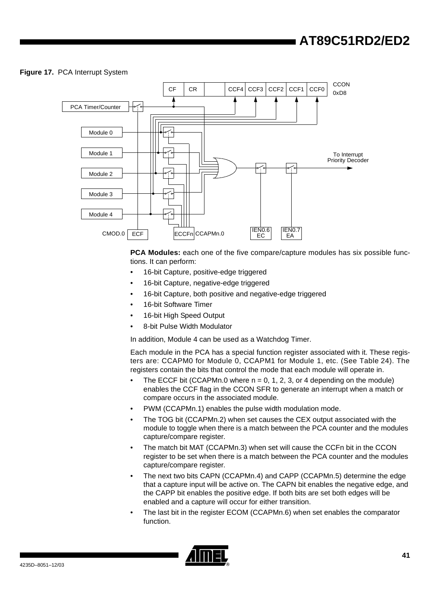### <span id="page-39-0"></span>**Figure 17.** PCA Interrupt System



**PCA Modules:** each one of the five compare/capture modules has six possible functions. It can perform:

- 16-bit Capture, positive-edge triggered
- 16-bit Capture, negative-edge triggered
- 16-bit Capture, both positive and negative-edge triggered
- 16-bit Software Timer
- 16-bit High Speed Output
- 8-bit Pulse Width Modulator

In addition, Module 4 can be used as a Watchdog Timer.

Each module in the PCA has a special function register associated with it. These registers are: CCAPM0 for Module 0, CCAPM1 for Module 1, etc. (See [Table 24\)](#page-40-0). The registers contain the bits that control the mode that each module will operate in.

- The ECCF bit (CCAPMn.0 where  $n = 0, 1, 2, 3$ , or 4 depending on the module) enables the CCF flag in the CCON SFR to generate an interrupt when a match or compare occurs in the associated module.
- PWM (CCAPMn.1) enables the pulse width modulation mode.
- The TOG bit (CCAPMn.2) when set causes the CEX output associated with the module to toggle when there is a match between the PCA counter and the modules capture/compare register.
- The match bit MAT (CCAPMn.3) when set will cause the CCFn bit in the CCON register to be set when there is a match between the PCA counter and the modules capture/compare register.
- The next two bits CAPN (CCAPMn.4) and CAPP (CCAPMn.5) determine the edge that a capture input will be active on. The CAPN bit enables the negative edge, and the CAPP bit enables the positive edge. If both bits are set both edges will be enabled and a capture will occur for either transition.
- The last bit in the register ECOM (CCAPMn.6) when set enables the comparator function.

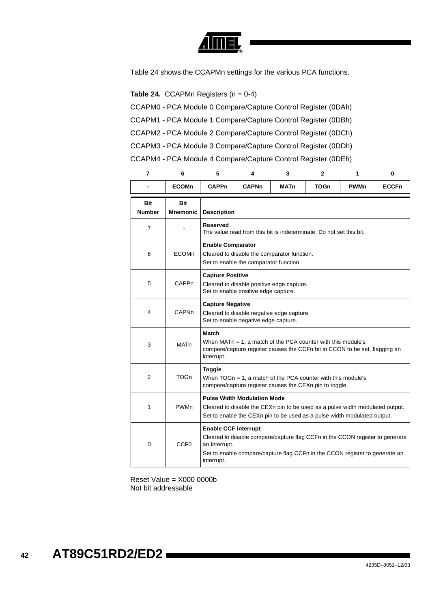

[Table 24](#page-40-0) shows the CCAPMn settings for the various PCA functions.

#### <span id="page-40-0"></span>**Table 24.** CCAPMn Registers  $(n = 0-4)$

- CCAPM0 PCA Module 0 Compare/Capture Control Register (0DAh)
- CCAPM1 PCA Module 1 Compare/Capture Control Register (0DBh)
- CCAPM2 PCA Module 2 Compare/Capture Control Register (0DCh)
- CCAPM3 PCA Module 3 Compare/Capture Control Register (0DDh)

CCAPM4 - PCA Module 4 Compare/Capture Control Register (0DEh)

| 7                    | 6                | 5                                                                                                            | 4                                                                                                                                                                                               | 3                                                                                                                                                            | 2           | 1           | 0            |  |  |
|----------------------|------------------|--------------------------------------------------------------------------------------------------------------|-------------------------------------------------------------------------------------------------------------------------------------------------------------------------------------------------|--------------------------------------------------------------------------------------------------------------------------------------------------------------|-------------|-------------|--------------|--|--|
|                      | <b>ECOMn</b>     | <b>CAPPn</b>                                                                                                 | <b>CAPNn</b>                                                                                                                                                                                    | <b>MATn</b>                                                                                                                                                  | <b>TOGn</b> | <b>PWMn</b> | <b>ECCFn</b> |  |  |
| Bit<br><b>Number</b> | Bit<br>Mnemonic  | <b>Description</b>                                                                                           |                                                                                                                                                                                                 |                                                                                                                                                              |             |             |              |  |  |
| $\overline{7}$       |                  | <b>Reserved</b>                                                                                              |                                                                                                                                                                                                 | The value read from this bit is indeterminate. Do not set this bit.                                                                                          |             |             |              |  |  |
| 6                    | <b>ECOMn</b>     | <b>Enable Comparator</b>                                                                                     | Set to enable the comparator function.                                                                                                                                                          | Cleared to disable the comparator function.                                                                                                                  |             |             |              |  |  |
| 5                    | CAPPn            | <b>Capture Positive</b>                                                                                      | Set to enable positive edge capture.                                                                                                                                                            | Cleared to disable positive edge capture.                                                                                                                    |             |             |              |  |  |
| 4                    | CAPNn            | <b>Capture Negative</b><br>Cleared to disable negative edge capture.<br>Set to enable negative edge capture. |                                                                                                                                                                                                 |                                                                                                                                                              |             |             |              |  |  |
| 3                    | <b>MATn</b>      | Match<br>interrupt.                                                                                          | When $MATn = 1$ , a match of the PCA counter with this module's<br>compare/capture register causes the CCFn bit in CCON to be set, flagging an                                                  |                                                                                                                                                              |             |             |              |  |  |
| 2                    | <b>TOGn</b>      | <b>Toggle</b>                                                                                                |                                                                                                                                                                                                 | When $TOGn = 1$ , a match of the PCA counter with this module's<br>compare/capture register causes the CEXn pin to toggle.                                   |             |             |              |  |  |
| 1                    | PWMn             |                                                                                                              | <b>Pulse Width Modulation Mode</b><br>Cleared to disable the CEXn pin to be used as a pulse width modulated output.<br>Set to enable the CEXn pin to be used as a pulse width modulated output. |                                                                                                                                                              |             |             |              |  |  |
| 0                    | CCF <sub>0</sub> | <b>Enable CCF interrupt</b><br>an interrupt.<br>interrupt.                                                   |                                                                                                                                                                                                 | Cleared to disable compare/capture flag CCFn in the CCON register to generate<br>Set to enable compare/capture flag CCFn in the CCON register to generate an |             |             |              |  |  |

Reset Value = X000 0000b Not bit addressable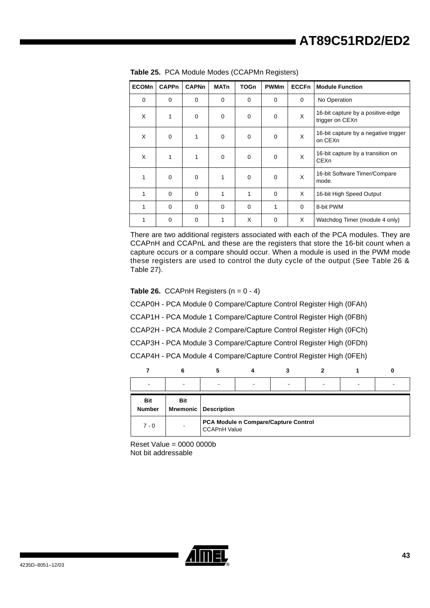| <b>ECOMn</b> | <b>CAPPn</b> | <b>CAPNn</b> | <b>MATn</b> | <b>TOGn</b>  | <b>PWMm</b> | <b>ECCFn</b> | <b>Module Function</b>                               |
|--------------|--------------|--------------|-------------|--------------|-------------|--------------|------------------------------------------------------|
| $\mathbf 0$  | 0            | 0            | $\Omega$    | $\Omega$     | $\Omega$    | $\Omega$     | No Operation                                         |
| X            | 1            | $\mathbf 0$  | $\mathbf 0$ | $\mathbf 0$  | $\Omega$    | X            | 16-bit capture by a positive-edge<br>trigger on CEXn |
| X            | $\mathbf 0$  | 1            | $\mathbf 0$ | $\mathbf 0$  | $\Omega$    | X            | 16-bit capture by a negative trigger<br>on CEXn      |
| X            | 1            | 1            | $\mathbf 0$ | $\mathbf 0$  | $\mathbf 0$ | X            | 16-bit capture by a transition on<br>CEXn            |
| 1            | $\mathbf 0$  | $\mathbf 0$  | 1           | $\mathbf 0$  | $\mathbf 0$ | X            | 16-bit Software Timer/Compare<br>mode.               |
| 1            | $\Omega$     | $\mathbf 0$  | 1           | $\mathbf{1}$ | $\Omega$    | X            | 16-bit High Speed Output                             |
| 1            | $\Omega$     | $\mathbf 0$  | $\Omega$    | $\Omega$     | 1           | $\Omega$     | 8-bit PWM                                            |
| 1            | 0            | 0            | 1           | X            | $\mathbf 0$ | X            | Watchdog Timer (module 4 only)                       |

|  | Table 25. PCA Module Modes (CCAPMn Registers) |  |  |  |  |
|--|-----------------------------------------------|--|--|--|--|
|--|-----------------------------------------------|--|--|--|--|

There are two additional registers associated with each of the PCA modules. They are CCAPnH and CCAPnL and these are the registers that store the 16-bit count when a capture occurs or a compare should occur. When a module is used in the PWM mode these registers are used to control the duty cycle of the output (See [Table 26](#page-41-0) & [Table 27](#page-42-0)).

<span id="page-41-0"></span>**Table 26.** CCAPnH Registers  $(n = 0 - 4)$ 

CCAP0H - PCA Module 0 Compare/Capture Control Register High (0FAh)

CCAP1H - PCA Module 1 Compare/Capture Control Register High (0FBh)

CCAP2H - PCA Module 2 Compare/Capture Control Register High (0FCh)

CCAP3H - PCA Module 3 Compare/Capture Control Register High (0FDh)

CCAP4H - PCA Module 4 Compare/Capture Control Register High (0FEh)

| $\overline{\phantom{a}}$    |     | $\overline{\phantom{0}}$    | $\overline{\phantom{0}}$ | -                                    | - |  |
|-----------------------------|-----|-----------------------------|--------------------------|--------------------------------------|---|--|
| <b>Bit</b><br><b>Number</b> | Bit | <b>Mnemonic</b> Description |                          |                                      |   |  |
| $7 - 0$                     |     | <b>CCAPnH Value</b>         |                          | PCA Module n Compare/Capture Control |   |  |

Reset Value =  $0000 0000$ Not bit addressable

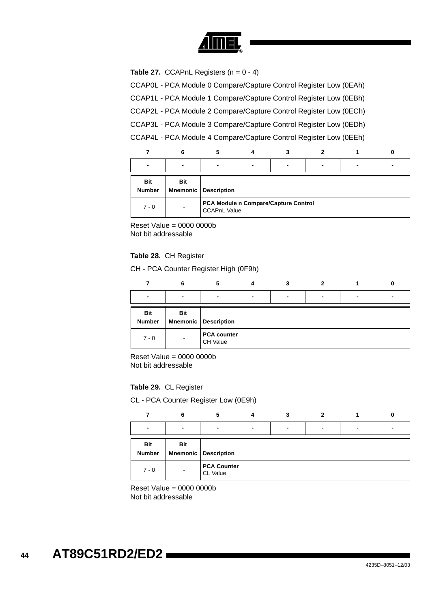

<span id="page-42-0"></span>**Table 27.** CCAPnL Registers  $(n = 0 - 4)$ 

CCAP0L - PCA Module 0 Compare/Capture Control Register Low (0EAh)

CCAP1L - PCA Module 1 Compare/Capture Control Register Low (0EBh)

CCAP2L - PCA Module 2 Compare/Capture Control Register Low (0ECh)

CCAP3L - PCA Module 3 Compare/Capture Control Register Low (0EDh)

CCAP4L - PCA Module 4 Compare/Capture Control Register Low (0EEh)

| $\blacksquare$              |                               | $\overline{\phantom{0}}$ | $\blacksquare$ |                                      | $\blacksquare$ |  |
|-----------------------------|-------------------------------|--------------------------|----------------|--------------------------------------|----------------|--|
| <b>Bit</b><br><b>Number</b> | <b>Bit</b><br><b>Mnemonic</b> | Description              |                |                                      |                |  |
| $7 - 0$                     | $\overline{\phantom{0}}$      | <b>CCAPnL Value</b>      |                | PCA Module n Compare/Capture Control |                |  |

Reset Value = 0000 0000b Not bit addressable

#### **Table 28.** CH Register

CH - PCA Counter Register High (0F9h)

|                             | 6                        |                                |                |                |                |  |
|-----------------------------|--------------------------|--------------------------------|----------------|----------------|----------------|--|
| $\blacksquare$              |                          | $\blacksquare$                 | $\blacksquare$ | $\blacksquare$ | $\blacksquare$ |  |
| <b>Bit</b><br><b>Number</b> | <b>Bit</b>               | <b>Mnemonic Description</b>    |                |                |                |  |
| $7 - 0$                     | $\overline{\phantom{a}}$ | <b>PCA counter</b><br>CH Value |                |                |                |  |

Reset Value = 0000 0000b Not bit addressable

#### **Table 29.** CL Register

CL - PCA Counter Register Low (0E9h)

|                             | 6                        | 5                              |                | 3 | $\mathbf{2}$ |                | 0 |
|-----------------------------|--------------------------|--------------------------------|----------------|---|--------------|----------------|---|
| $\blacksquare$              |                          | $\overline{\phantom{0}}$       | $\blacksquare$ |   |              | $\blacksquare$ |   |
| <b>Bit</b><br><b>Number</b> | <b>Bit</b>               | <b>Mnemonic Description</b>    |                |   |              |                |   |
| $7 - 0$                     | $\overline{\phantom{a}}$ | <b>PCA Counter</b><br>CL Value |                |   |              |                |   |

Reset Value = 0000 0000b Not bit addressable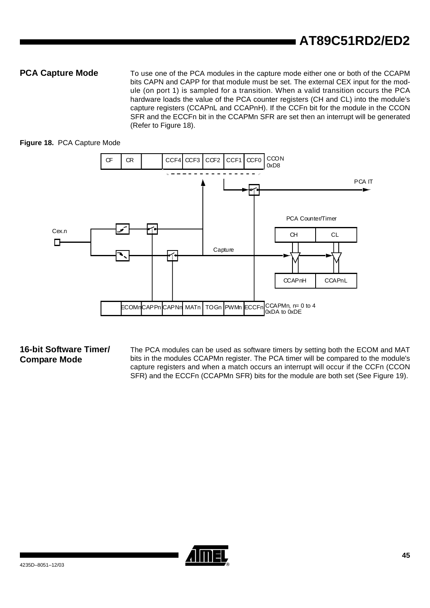**PCA Capture Mode** To use one of the PCA modules in the capture mode either one or both of the CCAPM bits CAPN and CAPP for that module must be set. The external CEX input for the module (on port 1) is sampled for a transition. When a valid transition occurs the PCA hardware loads the value of the PCA counter registers (CH and CL) into the module's capture registers (CCAPnL and CCAPnH). If the CCFn bit for the module in the CCON SFR and the ECCFn bit in the CCAPMn SFR are set then an interrupt will be generated (Refer to [Figure 18](#page-43-0)).

### <span id="page-43-0"></span>**Figure 18.** PCA Capture Mode



### **16-bit Software Timer/ Compare Mode**

The PCA modules can be used as software timers by setting both the ECOM and MAT bits in the modules CCAPMn register. The PCA timer will be compared to the module's capture registers and when a match occurs an interrupt will occur if the CCFn (CCON SFR) and the ECCFn (CCAPMn SFR) bits for the module are both set (See [Figure 19\)](#page-44-0).

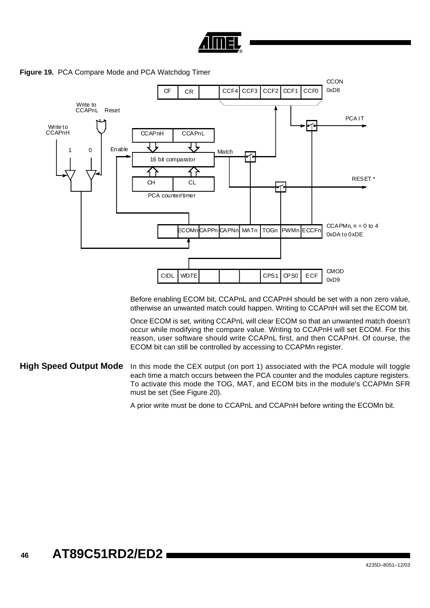



<span id="page-44-0"></span>**Figure 19.** PCA Compare Mode and PCA Watchdog Timer

Before enabling ECOM bit, CCAPnL and CCAPnH should be set with a non zero value, otherwise an unwanted match could happen. Writing to CCAPnH will set the ECOM bit.

Once ECOM is set, writing CCAPnL will clear ECOM so that an unwanted match doesn't occur while modifying the compare value. Writing to CCAPnH will set ECOM. For this reason, user software should write CCAPnL first, and then CCAPnH. Of course, the ECOM bit can still be controlled by accessing to CCAPMn register.

#### **High Speed Output Mode** In this mode the CEX output (on port 1) associated with the PCA module will toggle each time a match occurs between the PCA counter and the modules capture registers. To activate this mode the TOG, MAT, and ECOM bits in the module's CCAPMn SFR must be set (See [Figure 20\)](#page-45-0).

A prior write must be done to CCAPnL and CCAPnH before writing the ECOMn bit.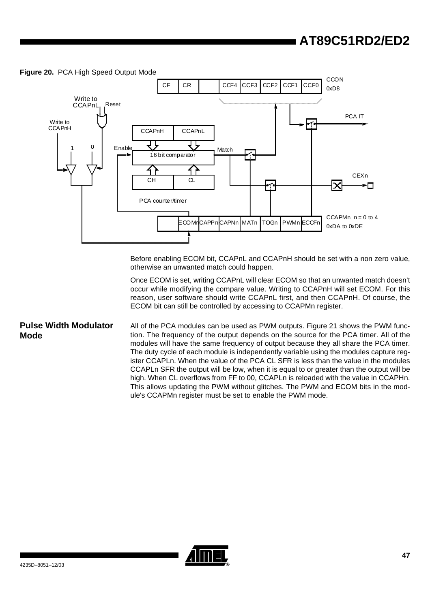<span id="page-45-0"></span>



Before enabling ECOM bit, CCAPnL and CCAPnH should be set with a non zero value, otherwise an unwanted match could happen.

Once ECOM is set, writing CCAPnL will clear ECOM so that an unwanted match doesn't occur while modifying the compare value. Writing to CCAPnH will set ECOM. For this reason, user software should write CCAPnL first, and then CCAPnH. Of course, the ECOM bit can still be controlled by accessing to CCAPMn register.

**Pulse Width Modulator Mode** All of the PCA modules can be used as PWM outputs. [Figure 21](#page-46-0) shows the PWM function. The frequency of the output depends on the source for the PCA timer. All of the modules will have the same frequency of output because they all share the PCA timer. The duty cycle of each module is independently variable using the modules capture register CCAPLn. When the value of the PCA CL SFR is less than the value in the modules CCAPLn SFR the output will be low, when it is equal to or greater than the output will be high. When CL overflows from FF to 00, CCAPLn is reloaded with the value in CCAPHn. This allows updating the PWM without glitches. The PWM and ECOM bits in the module's CCAPMn register must be set to enable the PWM mode.

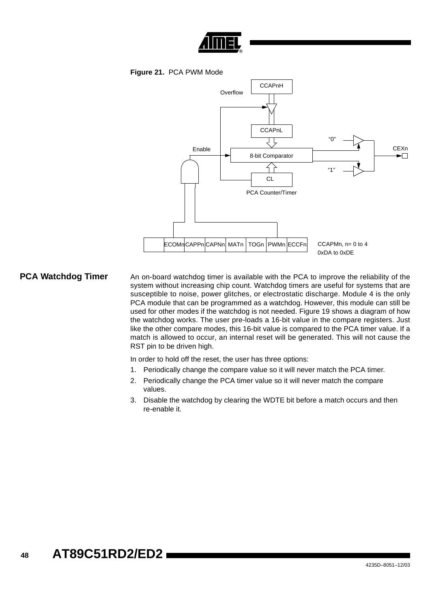

**Figure 21.** PCA PWM Mode

<span id="page-46-0"></span>

**PCA Watchdog Timer** An on-board watchdog timer is available with the PCA to improve the reliability of the system without increasing chip count. Watchdog timers are useful for systems that are susceptible to noise, power glitches, or electrostatic discharge. Module 4 is the only PCA module that can be programmed as a watchdog. However, this module can still be used for other modes if the watchdog is not needed. [Figure 19](#page-44-0) shows a diagram of how the watchdog works. The user pre-loads a 16-bit value in the compare registers. Just like the other compare modes, this 16-bit value is compared to the PCA timer value. If a match is allowed to occur, an internal reset will be generated. This will not cause the RST pin to be driven high.

In order to hold off the reset, the user has three options:

- 1. Periodically change the compare value so it will never match the PCA timer.
- 2. Periodically change the PCA timer value so it will never match the compare values.
- 3. Disable the watchdog by clearing the WDTE bit before a match occurs and then re-enable it.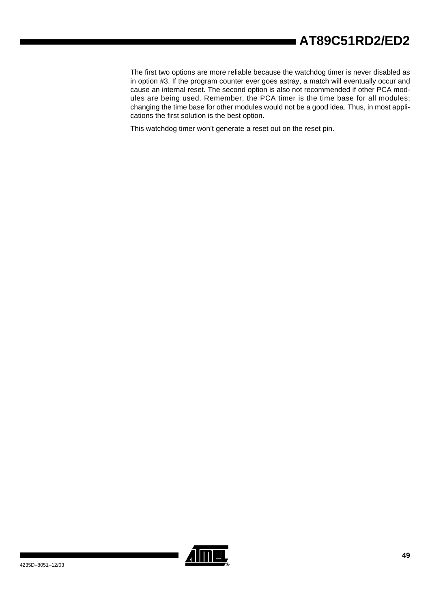The first two options are more reliable because the watchdog timer is never disabled as in option #3. If the program counter ever goes astray, a match will eventually occur and cause an internal reset. The second option is also not recommended if other PCA modules are being used. Remember, the PCA timer is the time base for all modules; changing the time base for other modules would not be a good idea. Thus, in most applications the first solution is the best option.

This watchdog timer won't generate a reset out on the reset pin.

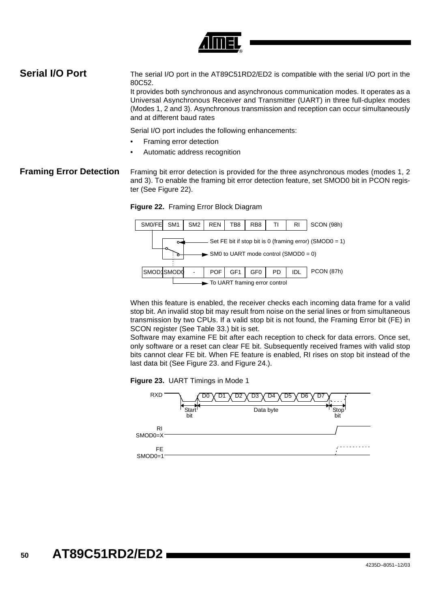

### **Serial I/O Port** The serial I/O port in the AT89C51RD2/ED2 is compatible with the serial I/O port in the 80C52.

It provides both synchronous and asynchronous communication modes. It operates as a Universal Asynchronous Receiver and Transmitter (UART) in three full-duplex modes (Modes 1, 2 and 3). Asynchronous transmission and reception can occur simultaneously and at different baud rates

Serial I/O port includes the following enhancements:

- Framing error detection
- Automatic address recognition

**Framing Error Detection** Framing bit error detection is provided for the three asynchronous modes (modes 1, 2) and 3). To enable the framing bit error detection feature, set SMOD0 bit in PCON register (See [Figure 22\)](#page-48-1).

<span id="page-48-1"></span>**Figure 22.** Framing Error Block Diagram



When this feature is enabled, the receiver checks each incoming data frame for a valid stop bit. An invalid stop bit may result from noise on the serial lines or from simultaneous transmission by two CPUs. If a valid stop bit is not found, the Framing Error bit (FE) in SCON register (See [Table 33.\)](#page-53-0) bit is set.

Software may examine FE bit after each reception to check for data errors. Once set, only software or a reset can clear FE bit. Subsequently received frames with valid stop bits cannot clear FE bit. When FE feature is enabled, RI rises on stop bit instead of the last data bit (See [Figure 23.](#page-48-0) and [Figure 24.](#page-49-0)).

<span id="page-48-0"></span>

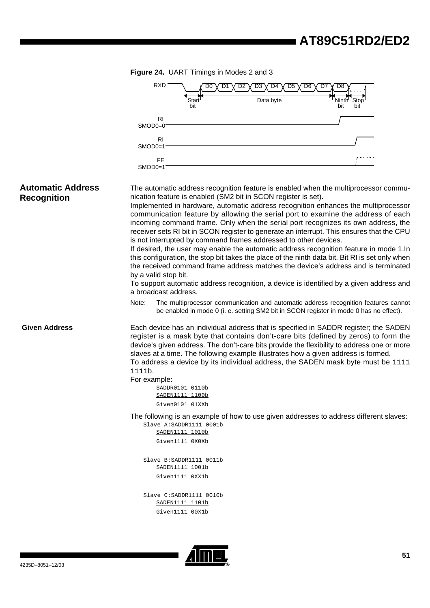<span id="page-49-0"></span>

|                                                | Figure 24. UART Timings in Modes 2 and 3 |                                              |                          |                                                                                    |          |              |                                                                                                                                                                                                                                                                                                                                                                                                                                                                        |  |  |
|------------------------------------------------|------------------------------------------|----------------------------------------------|--------------------------|------------------------------------------------------------------------------------|----------|--------------|------------------------------------------------------------------------------------------------------------------------------------------------------------------------------------------------------------------------------------------------------------------------------------------------------------------------------------------------------------------------------------------------------------------------------------------------------------------------|--|--|
|                                                |                                          | RXD                                          |                          | D <sub>3</sub><br>D4                                                               | D6<br>D5 | D7<br>D8     |                                                                                                                                                                                                                                                                                                                                                                                                                                                                        |  |  |
|                                                |                                          |                                              | Start<br>bit             | Data byte                                                                          |          | Ninth<br>bit | Stop<br>bit                                                                                                                                                                                                                                                                                                                                                                                                                                                            |  |  |
|                                                |                                          | R <sub>l</sub>                               |                          |                                                                                    |          |              |                                                                                                                                                                                                                                                                                                                                                                                                                                                                        |  |  |
|                                                | SMOD0=0                                  |                                              |                          |                                                                                    |          |              |                                                                                                                                                                                                                                                                                                                                                                                                                                                                        |  |  |
|                                                | $SMOD0=1$                                | RI                                           |                          |                                                                                    |          |              |                                                                                                                                                                                                                                                                                                                                                                                                                                                                        |  |  |
|                                                | $SMOD0=1$                                | <b>FE</b>                                    |                          |                                                                                    |          |              |                                                                                                                                                                                                                                                                                                                                                                                                                                                                        |  |  |
| <b>Automatic Address</b><br><b>Recognition</b> |                                          |                                              |                          | nication feature is enabled (SM2 bit in SCON register is set).                     |          |              | The automatic address recognition feature is enabled when the multiprocessor commu-<br>Implemented in hardware, automatic address recognition enhances the multiprocessor<br>communication feature by allowing the serial port to examine the address of each<br>incoming command frame. Only when the serial port recognizes its own address, the                                                                                                                     |  |  |
|                                                |                                          | by a valid stop bit.<br>a broadcast address. |                          | is not interrupted by command frames addressed to other devices.                   |          |              | receiver sets RI bit in SCON register to generate an interrupt. This ensures that the CPU<br>If desired, the user may enable the automatic address recognition feature in mode 1.In<br>this configuration, the stop bit takes the place of the ninth data bit. Bit RI is set only when<br>the received command frame address matches the device's address and is terminated<br>To support automatic address recognition, a device is identified by a given address and |  |  |
|                                                | Note:                                    |                                              |                          |                                                                                    |          |              | The multiprocessor communication and automatic address recognition features cannot<br>be enabled in mode 0 (i. e. setting SM2 bit in SCON register in mode 0 has no effect).                                                                                                                                                                                                                                                                                           |  |  |
| <b>Given Address</b>                           | 1111b.                                   |                                              |                          | slaves at a time. The following example illustrates how a given address is formed. |          |              | Each device has an individual address that is specified in SADDR register; the SADEN<br>register is a mask byte that contains don't-care bits (defined by zeros) to form the<br>device's given address. The don't-care bits provide the flexibility to address one or more<br>To address a device by its individual address, the SADEN mask byte must be 1111                                                                                                          |  |  |
|                                                | For example:                             | SADDR0101 0110b<br>SADEN1111 1100b           |                          |                                                                                    |          |              |                                                                                                                                                                                                                                                                                                                                                                                                                                                                        |  |  |
|                                                |                                          | Given0101 01XXb                              |                          |                                                                                    |          |              |                                                                                                                                                                                                                                                                                                                                                                                                                                                                        |  |  |
|                                                |                                          | <u>SADEN1111 1010b</u>                       | Slave A: SADDR1111 0001b |                                                                                    |          |              | The following is an example of how to use given addresses to address different slaves:                                                                                                                                                                                                                                                                                                                                                                                 |  |  |
|                                                |                                          | Given1111 0X0Xb                              |                          |                                                                                    |          |              |                                                                                                                                                                                                                                                                                                                                                                                                                                                                        |  |  |
|                                                |                                          | <u>SADEN1111 1001b</u>                       | Slave B:SADDR1111 0011b  |                                                                                    |          |              |                                                                                                                                                                                                                                                                                                                                                                                                                                                                        |  |  |
|                                                |                                          | Given1111 0XX1b                              |                          |                                                                                    |          |              |                                                                                                                                                                                                                                                                                                                                                                                                                                                                        |  |  |
|                                                |                                          | <u>SADEN1111 1101b</u>                       | Slave C: SADDR1111 0010b |                                                                                    |          |              |                                                                                                                                                                                                                                                                                                                                                                                                                                                                        |  |  |
|                                                |                                          | Given1111 00X1b                              |                          |                                                                                    |          |              |                                                                                                                                                                                                                                                                                                                                                                                                                                                                        |  |  |

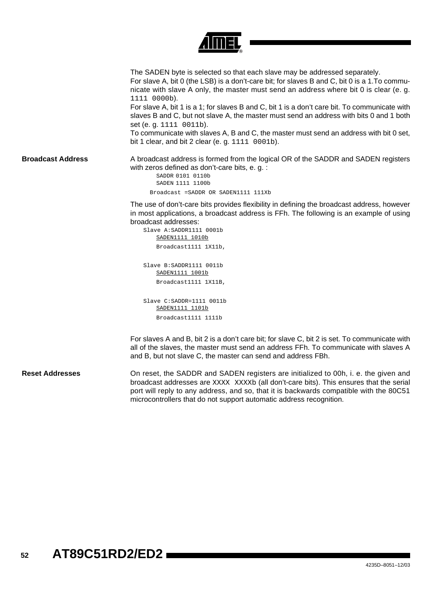

The SADEN byte is selected so that each slave may be addressed separately. For slave A, bit 0 (the LSB) is a don't-care bit; for slaves B and C, bit 0 is a 1.To communicate with slave A only, the master must send an address where bit 0 is clear (e. g. 1111 0000b).

For slave A, bit 1 is a 1; for slaves B and C, bit 1 is a don't care bit. To communicate with slaves B and C, but not slave A, the master must send an address with bits 0 and 1 both set (e. g. 1111 0011b).

To communicate with slaves A, B and C, the master must send an address with bit 0 set, bit 1 clear, and bit 2 clear (e. g. 1111 0001b).

**Broadcast Address** A broadcast address is formed from the logical OR of the SADDR and SADEN registers with zeros defined as don't-care bits, e. g. :

> SADDR 0101 0110b SADEN 1111 1100b Broadcast =SADDR OR SADEN1111 111Xb

The use of don't-care bits provides flexibility in defining the broadcast address, however in most applications, a broadcast address is FFh. The following is an example of using broadcast addresses:

Slave A:SADDR1111 0001b SADEN1111 1010b

Broadcast1111 1X11b,

Slave B:SADDR1111 0011b SADEN1111 1001b Broadcast1111 1X11B,

Slave C:SADDR=1111 0011b SADEN1111 1101b Broadcast1111 1111b

For slaves A and B, bit 2 is a don't care bit; for slave C, bit 2 is set. To communicate with all of the slaves, the master must send an address FFh. To communicate with slaves A and B, but not slave C, the master can send and address FBh.

 **Reset Addresses** On reset, the SADDR and SADEN registers are initialized to 00h, i. e. the given and broadcast addresses are XXXX XXXXb (all don't-care bits). This ensures that the serial port will reply to any address, and so, that it is backwards compatible with the 80C51 microcontrollers that do not support automatic address recognition.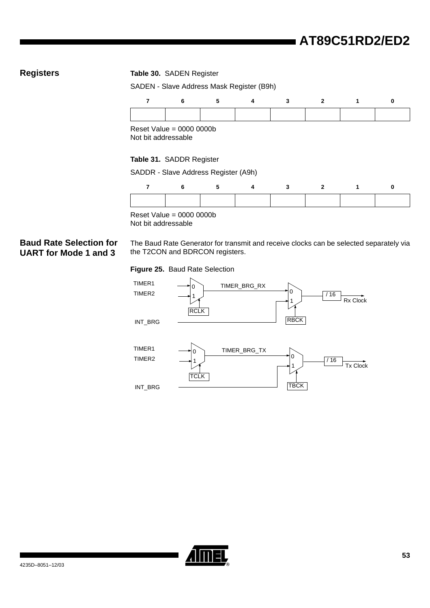### **Registers Table 30.** SADEN Register

SADEN - Slave Address Mask Register (B9h)

|  |  | 6 5 4 3 2 1 |  |
|--|--|-------------|--|
|  |  |             |  |

Reset Value = 0000 0000b Not bit addressable

#### **Table 31.** SADDR Register

SADDR - Slave Address Register (A9h)

Reset Value = 0000 0000b Not bit addressable

### **Baud Rate Selection for UART for Mode 1 and 3**

The Baud Rate Generator for transmit and receive clocks can be selected separately via the T2CON and BDRCON registers.

#### <span id="page-51-0"></span>**Figure 25.** Baud Rate Selection



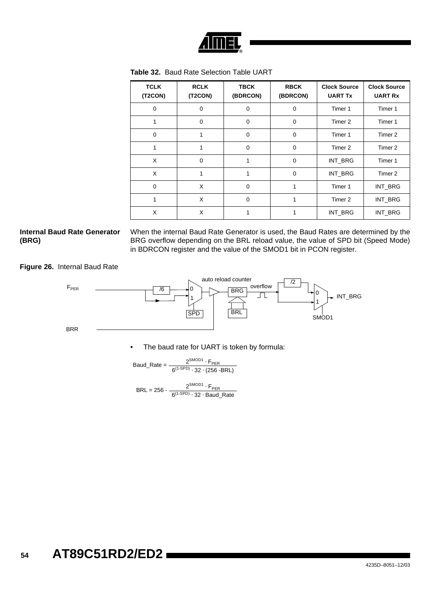

| <b>TCLK</b><br>(T2CON) | <b>RCLK</b><br>(T2CON) | <b>TBCK</b><br>(BDRCON) | <b>RBCK</b><br>(BDRCON) | <b>Clock Source</b><br><b>UART Tx</b> | <b>Clock Source</b><br><b>UART Rx</b> |
|------------------------|------------------------|-------------------------|-------------------------|---------------------------------------|---------------------------------------|
| $\mathbf 0$            | $\mathbf 0$            | 0                       | $\mathbf 0$             | Timer 1                               | Timer 1                               |
| 1                      | 0                      | $\mathbf 0$             | $\mathbf 0$             | Timer 2                               | Timer 1                               |
| $\mathbf 0$            | 1                      | $\mathbf 0$             | $\mathbf 0$             | Timer 1                               | Timer 2                               |
| 1                      | 1                      | 0                       | $\mathbf 0$             | Timer 2                               | Timer 2                               |
| X                      | $\mathbf 0$            | 1                       | $\mathbf 0$             | INT_BRG                               | Timer 1                               |
| X                      | 1                      | 1                       | $\mathbf 0$             | INT_BRG                               | Timer 2                               |
| $\mathbf 0$            | X                      | $\mathbf 0$             | 1                       | Timer 1                               | INT_BRG                               |
| 1                      | X                      | $\mathbf 0$             | 1                       | Timer 2                               | INT_BRG                               |
| X                      | X                      |                         |                         | INT_BRG                               | INT_BRG                               |

**Table 32.** Baud Rate Selection Table UART

### **Internal Baud Rate Generator (BRG)**

When the internal Baud Rate Generator is used, the Baud Rates are determined by the BRG overflow depending on the BRL reload value, the value of SPD bit (Speed Mode) in BDRCON register and the value of the SMOD1 bit in PCON register.

**Figure 26.** Internal Baud Rate



• The baud rate for UART is token by formula:

$$
Baud\_Rate = \frac{2^{SMOD1} \cdot F_{PER}}{6^{(1-SPD)} \cdot 32 \cdot (256 - BRL)}
$$

 $BRL = 256 - \frac{2}{6^{(1-SPD)} \cdot 32 \cdot Baud\_Rate}$ 2<sup>SMOD1</sup> ⋅ F<sub>PER</sub>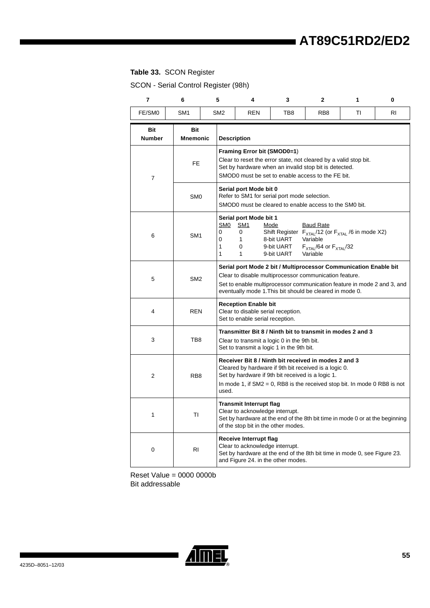## <span id="page-53-0"></span>**Table 33.** SCON Register

SCON - Serial Control Register (98h)

| $\overline{7}$       | 6               | 5                | 4                                                                                                                                                                                                                                                                                                                        | 3   | 2               | 1  | 0  |  |  |  |
|----------------------|-----------------|------------------|--------------------------------------------------------------------------------------------------------------------------------------------------------------------------------------------------------------------------------------------------------------------------------------------------------------------------|-----|-----------------|----|----|--|--|--|
| FE/SM0               | SM <sub>1</sub> | SM <sub>2</sub>  | <b>REN</b>                                                                                                                                                                                                                                                                                                               | TB8 | RB <sub>8</sub> | ΤI | RI |  |  |  |
| Bit<br><b>Number</b> | Bit<br>Mnemonic |                  | <b>Description</b>                                                                                                                                                                                                                                                                                                       |     |                 |    |    |  |  |  |
| 7                    | <b>FE</b>       |                  | Framing Error bit (SMOD0=1)<br>Clear to reset the error state, not cleared by a valid stop bit.<br>Set by hardware when an invalid stop bit is detected.<br>SMOD0 must be set to enable access to the FE bit.                                                                                                            |     |                 |    |    |  |  |  |
|                      | SM <sub>0</sub> |                  | Serial port Mode bit 0<br>Refer to SM1 for serial port mode selection.<br>SMOD0 must be cleared to enable access to the SM0 bit.                                                                                                                                                                                         |     |                 |    |    |  |  |  |
| 6                    | SM <sub>1</sub> | 0<br>0<br>1<br>1 | Serial port Mode bit 1<br>SM <sub>0</sub><br><b>SM1</b><br><u>Mode</u><br><b>Baud Rate</b><br>0<br>Shift Register $F_{\text{XTAL}}/12$ (or $F_{\text{XTAL}}/6$ in mode X2)<br>1<br>8-bit UART<br>Variable<br>0<br>9-bit UART<br>$F_{\text{XTAL}}$ /64 or $F_{\text{XTAL}}$ /32<br>$\mathbf{1}$<br>9-bit UART<br>Variable |     |                 |    |    |  |  |  |
| 5                    | SM <sub>2</sub> |                  | Serial port Mode 2 bit / Multiprocessor Communication Enable bit<br>Clear to disable multiprocessor communication feature.<br>Set to enable multiprocessor communication feature in mode 2 and 3, and<br>eventually mode 1. This bit should be cleared in mode 0.                                                        |     |                 |    |    |  |  |  |
| 4                    | <b>REN</b>      |                  | <b>Reception Enable bit</b><br>Clear to disable serial reception.<br>Set to enable serial reception.                                                                                                                                                                                                                     |     |                 |    |    |  |  |  |
| 3                    | TB8             |                  | Transmitter Bit 8 / Ninth bit to transmit in modes 2 and 3<br>Clear to transmit a logic 0 in the 9th bit.<br>Set to transmit a logic 1 in the 9th bit.                                                                                                                                                                   |     |                 |    |    |  |  |  |
| 2                    | RB <sub>8</sub> |                  | Receiver Bit 8 / Ninth bit received in modes 2 and 3<br>Cleared by hardware if 9th bit received is a logic 0.<br>Set by hardware if 9th bit received is a logic 1.<br>In mode 1, if $SM2 = 0$ , RB8 is the received stop bit. In mode 0 RB8 is not<br>used.                                                              |     |                 |    |    |  |  |  |
| 1                    | ΤI              |                  | <b>Transmit Interrupt flag</b><br>Clear to acknowledge interrupt.<br>Set by hardware at the end of the 8th bit time in mode 0 or at the beginning<br>of the stop bit in the other modes.                                                                                                                                 |     |                 |    |    |  |  |  |
| 0                    | <b>RI</b>       |                  | Receive Interrupt flag<br>Clear to acknowledge interrupt.<br>Set by hardware at the end of the 8th bit time in mode 0, see Figure 23.<br>and Figure 24. in the other modes.                                                                                                                                              |     |                 |    |    |  |  |  |

Reset Value = 0000 0000b Bit addressable

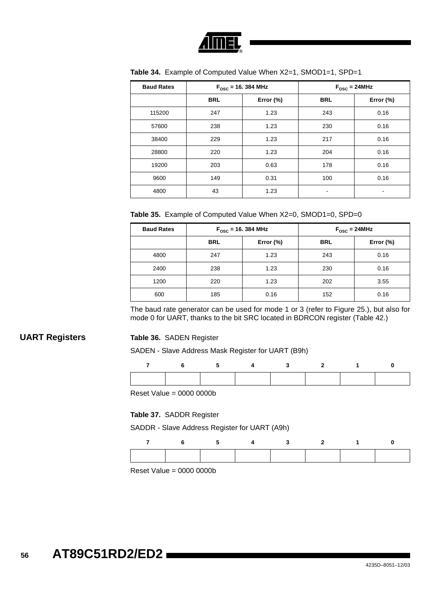

| <b>Baud Rates</b> |            | $F_{\text{osc}}$ = 16. 384 MHz | $F_{\text{osc}} = 24 \text{MHz}$ |              |  |
|-------------------|------------|--------------------------------|----------------------------------|--------------|--|
|                   | <b>BRL</b> | Error $(\%)$                   | <b>BRL</b>                       | Error $(\%)$ |  |
| 115200            | 247        | 1.23                           | 243                              | 0.16         |  |
| 57600             | 238        | 1.23                           | 230                              | 0.16         |  |
| 38400             | 229        | 1.23                           | 217                              | 0.16         |  |
| 28800             | 220        | 1.23                           | 204                              | 0.16         |  |
| 19200             | 203        | 0.63                           | 178                              | 0.16         |  |
| 9600              | 149        | 0.31                           | 100                              | 0.16         |  |
| 4800              | 43         | 1.23                           |                                  |              |  |

**Table 34.** Example of Computed Value When X2=1, SMOD1=1, SPD=1

**Table 35.** Example of Computed Value When X2=0, SMOD1=0, SPD=0

| <b>Baud Rates</b> | $F_{\text{osc}}$ = 16. 384 MHz |              | $F_{\text{OSC}} = 24 \text{MHz}$ |              |  |
|-------------------|--------------------------------|--------------|----------------------------------|--------------|--|
|                   | <b>BRL</b>                     | Error $(\%)$ | <b>BRL</b>                       | Error $(\%)$ |  |
| 4800              | 247                            | 1.23         | 243                              | 0.16         |  |
| 2400              | 238                            | 1.23         | 230                              | 0.16         |  |
| 1200              | 220                            | 1.23         | 202                              | 3.55         |  |
| 600               | 185                            | 0.16         | 152                              | 0.16         |  |

The baud rate generator can be used for mode 1 or 3 (refer to [Figure 25.\)](#page-51-0), but also for mode 0 for UART, thanks to the bit SRC located in BDRCON register ([Table 42.\)](#page-58-0)

#### **UART Registers Table 36.** SADEN Register

SADEN - Slave Address Mask Register for UART (B9h)

| - 6 | 5 <sub>5</sub> | $\overline{4}$ 3 | $\overline{\mathbf{2}}$ and $\overline{\mathbf{2}}$ and $\overline{\mathbf{2}}$ and $\overline{\mathbf{2}}$ and $\overline{\mathbf{2}}$ and $\overline{\mathbf{2}}$ and $\overline{\mathbf{2}}$ and $\overline{\mathbf{2}}$ and $\overline{\mathbf{2}}$ and $\overline{\mathbf{2}}$ and $\overline{\mathbf{2}}$ and $\overline{\mathbf{2}}$ and $\overline{\mathbf{2}}$ and $\overline{\mathbf{2}}$ a | $\sim$ 1. |  |
|-----|----------------|------------------|-------------------------------------------------------------------------------------------------------------------------------------------------------------------------------------------------------------------------------------------------------------------------------------------------------------------------------------------------------------------------------------------------------|-----------|--|
|     |                |                  |                                                                                                                                                                                                                                                                                                                                                                                                       |           |  |

Reset Value = 0000 0000b

#### **Table 37.** SADDR Register

SADDR - Slave Address Register for UART (A9h)

|  |  |  | 6 5 4 3 2 1 |  |
|--|--|--|-------------|--|
|  |  |  |             |  |

Reset Value = 0000 0000b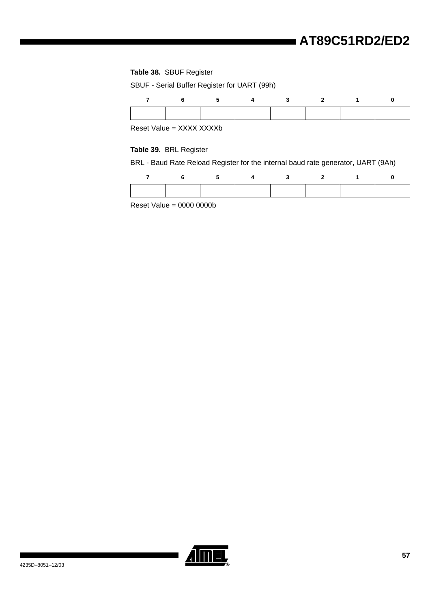#### **Table 38.** SBUF Register

SBUF - Serial Buffer Register for UART (99h)

| -6 | $\sim$ 4 | $\overline{\mathbf{3}}$ | $\sim$ 2 |  |
|----|----------|-------------------------|----------|--|
|    |          |                         |          |  |

Reset Value = XXXX XXXXb

#### **Table 39.** BRL Register

BRL - Baud Rate Reload Register for the internal baud rate generator, UART (9Ah)

|  | 5 <sup>5</sup> | $\overline{\mathbf{4}}$ | $\sim$ 3 | $\overline{\mathbf{2}}$ |  |
|--|----------------|-------------------------|----------|-------------------------|--|
|  |                |                         |          |                         |  |

Reset Value =  $0000 0000$ 

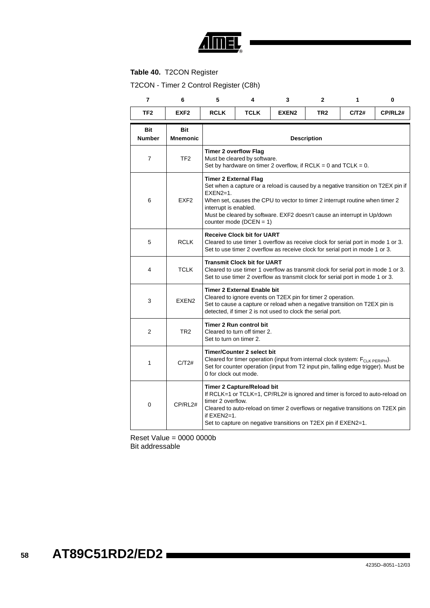

### **Table 40.** T2CON Register

T2CON - Timer 2 Control Register (C8h)

| $\overline{7}$       | 6                             | 5                                                                                                                                                                                                     | 4                                                                                                                                                                                                                                                                                                                                   | 3                                                                                                                                                                                                                                  | $\mathbf{2}$    | 1     | 0       |  |  |  |  |
|----------------------|-------------------------------|-------------------------------------------------------------------------------------------------------------------------------------------------------------------------------------------------------|-------------------------------------------------------------------------------------------------------------------------------------------------------------------------------------------------------------------------------------------------------------------------------------------------------------------------------------|------------------------------------------------------------------------------------------------------------------------------------------------------------------------------------------------------------------------------------|-----------------|-------|---------|--|--|--|--|
| TF <sub>2</sub>      | EXF <sub>2</sub>              | <b>RCLK</b>                                                                                                                                                                                           | <b>TCLK</b>                                                                                                                                                                                                                                                                                                                         | EXEN <sub>2</sub>                                                                                                                                                                                                                  | TR <sub>2</sub> | C/T2# | CP/RL2# |  |  |  |  |
| Bit<br><b>Number</b> | <b>Bit</b><br><b>Mnemonic</b> |                                                                                                                                                                                                       | <b>Description</b>                                                                                                                                                                                                                                                                                                                  |                                                                                                                                                                                                                                    |                 |       |         |  |  |  |  |
| $\overline{7}$       | TF <sub>2</sub>               |                                                                                                                                                                                                       | <b>Timer 2 overflow Flag</b><br>Must be cleared by software.<br>Set by hardware on timer 2 overflow, if RCLK = 0 and TCLK = $0$ .                                                                                                                                                                                                   |                                                                                                                                                                                                                                    |                 |       |         |  |  |  |  |
| 6                    | EXF <sub>2</sub>              | $EXEN2=1.$                                                                                                                                                                                            | <b>Timer 2 External Flag</b><br>Set when a capture or a reload is caused by a negative transition on T2EX pin if<br>When set, causes the CPU to vector to timer 2 interrupt routine when timer 2<br>interrupt is enabled.<br>Must be cleared by software. EXF2 doesn't cause an interrupt in Up/down<br>counter mode ( $DCEN = 1$ ) |                                                                                                                                                                                                                                    |                 |       |         |  |  |  |  |
| 5                    | <b>RCLK</b>                   | <b>Receive Clock bit for UART</b><br>Cleared to use timer 1 overflow as receive clock for serial port in mode 1 or 3.<br>Set to use timer 2 overflow as receive clock for serial port in mode 1 or 3. |                                                                                                                                                                                                                                                                                                                                     |                                                                                                                                                                                                                                    |                 |       |         |  |  |  |  |
| 4                    | <b>TCLK</b>                   |                                                                                                                                                                                                       | Transmit Clock bit for UART                                                                                                                                                                                                                                                                                                         | Cleared to use timer 1 overflow as transmit clock for serial port in mode 1 or 3.<br>Set to use timer 2 overflow as transmit clock for serial port in mode 1 or 3.                                                                 |                 |       |         |  |  |  |  |
| 3                    | EXEN <sub>2</sub>             |                                                                                                                                                                                                       | <b>Timer 2 External Enable bit</b>                                                                                                                                                                                                                                                                                                  | Cleared to ignore events on T2EX pin for timer 2 operation.<br>Set to cause a capture or reload when a negative transition on T2EX pin is<br>detected, if timer 2 is not used to clock the serial port.                            |                 |       |         |  |  |  |  |
| $\overline{2}$       | TR <sub>2</sub>               | Set to turn on timer 2.                                                                                                                                                                               | Timer 2 Run control bit<br>Cleared to turn off timer 2.                                                                                                                                                                                                                                                                             |                                                                                                                                                                                                                                    |                 |       |         |  |  |  |  |
| 1                    | C/T2#                         |                                                                                                                                                                                                       | <b>Timer/Counter 2 select bit</b><br>Cleared for timer operation (input from internal clock system: F <sub>CLK PERIPH</sub> ).<br>Set for counter operation (input from T2 input pin, falling edge trigger). Must be<br>0 for clock out mode.                                                                                       |                                                                                                                                                                                                                                    |                 |       |         |  |  |  |  |
| 0                    | CP/RL2#                       | timer 2 overflow.<br>if $EXEN2=1$ .                                                                                                                                                                   | Timer 2 Capture/Reload bit                                                                                                                                                                                                                                                                                                          | If RCLK=1 or TCLK=1, CP/RL2# is ignored and timer is forced to auto-reload on<br>Cleared to auto-reload on timer 2 overflows or negative transitions on T2EX pin<br>Set to capture on negative transitions on T2EX pin if EXEN2=1. |                 |       |         |  |  |  |  |

Reset Value = 0000 0000b Bit addressable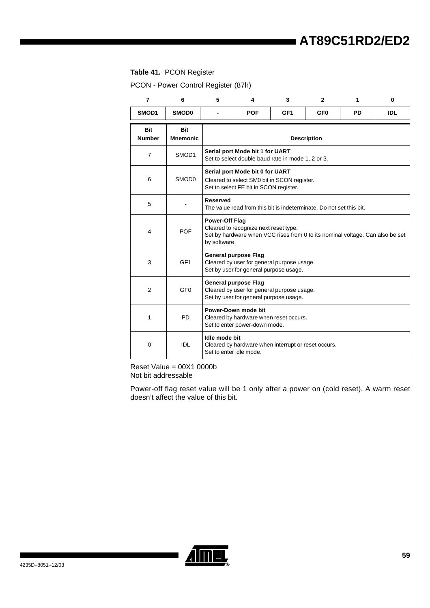#### **Table 41.** PCON Register

PCON - Power Control Register (87h)

| 7                           | 6                             | 5                                        | 4                                                                                                                        | 3                                                                                    | 2               | 1         | $\bf{0}$   |  |  |
|-----------------------------|-------------------------------|------------------------------------------|--------------------------------------------------------------------------------------------------------------------------|--------------------------------------------------------------------------------------|-----------------|-----------|------------|--|--|
| SMOD1                       | <b>SMOD0</b>                  |                                          | <b>POF</b>                                                                                                               | GF <sub>1</sub>                                                                      | GF <sub>0</sub> | <b>PD</b> | <b>IDL</b> |  |  |
| <b>Bit</b><br><b>Number</b> | <b>Bit</b><br><b>Mnemonic</b> |                                          | <b>Description</b>                                                                                                       |                                                                                      |                 |           |            |  |  |
| $\overline{7}$              | SMOD1                         |                                          | Serial port Mode bit 1 for UART                                                                                          | Set to select double baud rate in mode 1, 2 or 3.                                    |                 |           |            |  |  |
| 6                           | SMOD <sub>0</sub>             |                                          | Serial port Mode bit 0 for UART<br>Cleared to select SM0 bit in SCON register.<br>Set to select FE bit in SCON register. |                                                                                      |                 |           |            |  |  |
| 5                           |                               | <b>Reserved</b>                          | The value read from this bit is indeterminate. Do not set this bit.                                                      |                                                                                      |                 |           |            |  |  |
| 4                           | <b>POF</b>                    | <b>Power-Off Flag</b><br>by software.    | Cleared to recognize next reset type.                                                                                    | Set by hardware when VCC rises from 0 to its nominal voltage. Can also be set        |                 |           |            |  |  |
| 3                           | GF <sub>1</sub>               | <b>General purpose Flag</b>              |                                                                                                                          | Cleared by user for general purpose usage.<br>Set by user for general purpose usage. |                 |           |            |  |  |
| $\overline{2}$              | GF <sub>0</sub>               | <b>General purpose Flag</b>              |                                                                                                                          | Cleared by user for general purpose usage.<br>Set by user for general purpose usage. |                 |           |            |  |  |
| 1                           | <b>PD</b>                     |                                          | Power-Down mode bit<br>Cleared by hardware when reset occurs.<br>Set to enter power-down mode.                           |                                                                                      |                 |           |            |  |  |
| $\mathbf 0$                 | IDI                           | Idle mode bit<br>Set to enter idle mode. |                                                                                                                          | Cleared by hardware when interrupt or reset occurs.                                  |                 |           |            |  |  |

Reset Value = 00X1 0000b Not bit addressable

Power-off flag reset value will be 1 only after a power on (cold reset). A warm reset doesn't affect the value of this bit.

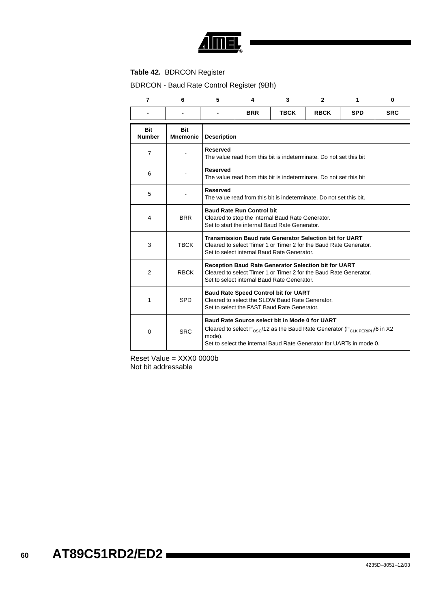

### <span id="page-58-0"></span>**Table 42.** BDRCON Register

BDRCON - Baud Rate Control Register (9Bh)

| $\overline{7}$              | 6                             | 5               | 4                                                                                                                                             | 3                                                                                                                                                                                                            | $\mathbf{2}$ | 1          | $\bf{0}$   |  |  |  |
|-----------------------------|-------------------------------|-----------------|-----------------------------------------------------------------------------------------------------------------------------------------------|--------------------------------------------------------------------------------------------------------------------------------------------------------------------------------------------------------------|--------------|------------|------------|--|--|--|
|                             |                               |                 | <b>BRR</b>                                                                                                                                    | <b>TBCK</b>                                                                                                                                                                                                  | <b>RBCK</b>  | <b>SPD</b> | <b>SRC</b> |  |  |  |
| <b>Bit</b><br><b>Number</b> | <b>Bit</b><br><b>Mnemonic</b> |                 | <b>Description</b>                                                                                                                            |                                                                                                                                                                                                              |              |            |            |  |  |  |
| $\overline{7}$              |                               | <b>Reserved</b> | The value read from this bit is indeterminate. Do not set this bit                                                                            |                                                                                                                                                                                                              |              |            |            |  |  |  |
| 6                           |                               | <b>Reserved</b> |                                                                                                                                               | The value read from this bit is indeterminate. Do not set this bit                                                                                                                                           |              |            |            |  |  |  |
| 5                           |                               | <b>Reserved</b> | The value read from this bit is indeterminate. Do not set this bit.                                                                           |                                                                                                                                                                                                              |              |            |            |  |  |  |
| 4                           | <b>BRR</b>                    |                 | <b>Baud Rate Run Control bit</b><br>Cleared to stop the internal Baud Rate Generator.<br>Set to start the internal Baud Rate Generator.       |                                                                                                                                                                                                              |              |            |            |  |  |  |
| 3                           | <b>TBCK</b>                   |                 |                                                                                                                                               | Transmission Baud rate Generator Selection bit for UART<br>Cleared to select Timer 1 or Timer 2 for the Baud Rate Generator.<br>Set to select internal Baud Rate Generator.                                  |              |            |            |  |  |  |
| $\overline{2}$              | <b>RBCK</b>                   |                 |                                                                                                                                               | Reception Baud Rate Generator Selection bit for UART<br>Cleared to select Timer 1 or Timer 2 for the Baud Rate Generator.<br>Set to select internal Baud Rate Generator.                                     |              |            |            |  |  |  |
| 1                           | <b>SPD</b>                    |                 | <b>Baud Rate Speed Control bit for UART</b><br>Cleared to select the SLOW Baud Rate Generator.<br>Set to select the FAST Baud Rate Generator. |                                                                                                                                                                                                              |              |            |            |  |  |  |
| 0                           | <b>SRC</b>                    | mode).          |                                                                                                                                               | Baud Rate Source select bit in Mode 0 for UART<br>Cleared to select $F_{OSC}/12$ as the Baud Rate Generator ( $F_{CIKPERIPH}/6$ in X2<br>Set to select the internal Baud Rate Generator for UARTs in mode 0. |              |            |            |  |  |  |

Reset Value = XXX0 0000b Not bit addressable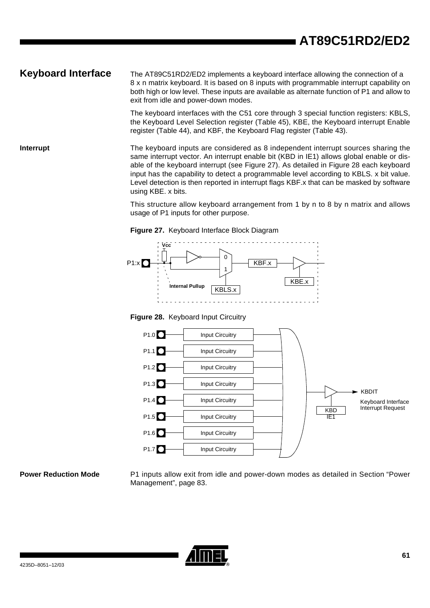**Keyboard Interface** The AT89C51RD2/ED2 implements a keyboard interface allowing the connection of a 8 x n matrix keyboard. It is based on 8 inputs with programmable interrupt capability on both high or low level. These inputs are available as alternate function of P1 and allow to exit from idle and power-down modes.

> The keyboard interfaces with the C51 core through 3 special function registers: KBLS, the Keyboard Level Selection register ([Table 45](#page-62-0)), KBE, the Keyboard interrupt Enable register ([Table 44\)](#page-61-0), and KBF, the Keyboard Flag register [\(Table 43\)](#page-60-0).

**Interrupt** The keyboard inputs are considered as 8 independent interrupt sources sharing the same interrupt vector. An interrupt enable bit (KBD in IE1) allows global enable or disable of the keyboard interrupt (see [Figure 27](#page-59-0)). As detailed in [Figure 28](#page-59-1) each keyboard input has the capability to detect a programmable level according to KBLS. x bit value. Level detection is then reported in interrupt flags KBF.x that can be masked by software using KBE. x bits.

> This structure allow keyboard arrangement from 1 by n to 8 by n matrix and allows usage of P1 inputs for other purpose.

<span id="page-59-0"></span>



<span id="page-59-1"></span>**Figure 28.** Keyboard Input Circuitry



**Power Reduction Mode** P1 inputs allow exit from idle and power-down modes as detailed in [Section "Power](#page-81-0) [Management", page 83.](#page-81-0)

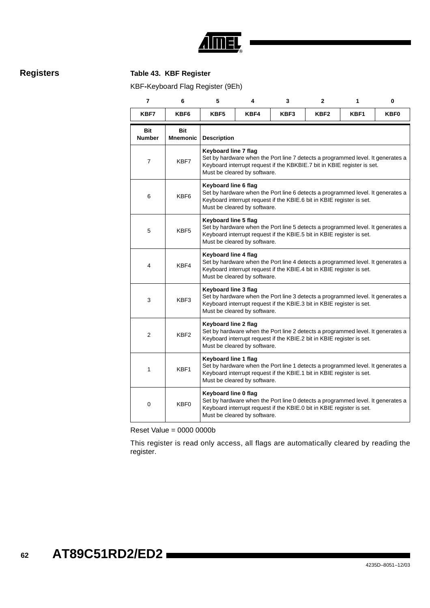

## **Registers Table 43. KBF Register**

<span id="page-60-0"></span>KBF**-**Keyboard Flag Register (9Eh)

| 7                    | 6                      | 5                    | 4                                                                                                                                                                                                                  | 3                                                                                                                                                        | $\mathbf{2}$     | 1    | 0    |  |  |  |
|----------------------|------------------------|----------------------|--------------------------------------------------------------------------------------------------------------------------------------------------------------------------------------------------------------------|----------------------------------------------------------------------------------------------------------------------------------------------------------|------------------|------|------|--|--|--|
| KBF7                 | KBF6                   | KBF5                 | KBF4                                                                                                                                                                                                               | KBF3                                                                                                                                                     | KBF <sub>2</sub> | KBF1 | KBF0 |  |  |  |
| Bit<br><b>Number</b> | Bit<br><b>Mnemonic</b> | <b>Description</b>   |                                                                                                                                                                                                                    |                                                                                                                                                          |                  |      |      |  |  |  |
| $\overline{7}$       | KBF7                   |                      | Keyboard line 7 flag<br>Set by hardware when the Port line 7 detects a programmed level. It generates a<br>Keyboard interrupt request if the KBKBIE.7 bit in KBIE register is set.<br>Must be cleared by software. |                                                                                                                                                          |                  |      |      |  |  |  |
| 6                    | KBF6                   |                      | Keyboard line 6 flag<br>Set by hardware when the Port line 6 detects a programmed level. It generates a<br>Keyboard interrupt request if the KBIE.6 bit in KBIE register is set.<br>Must be cleared by software.   |                                                                                                                                                          |                  |      |      |  |  |  |
| 5                    | KBF <sub>5</sub>       |                      | Keyboard line 5 flag<br>Set by hardware when the Port line 5 detects a programmed level. It generates a<br>Keyboard interrupt request if the KBIE.5 bit in KBIE register is set.<br>Must be cleared by software.   |                                                                                                                                                          |                  |      |      |  |  |  |
| 4                    | KBF4                   |                      | Keyboard line 4 flag<br>Set by hardware when the Port line 4 detects a programmed level. It generates a<br>Keyboard interrupt request if the KBIE.4 bit in KBIE register is set.<br>Must be cleared by software.   |                                                                                                                                                          |                  |      |      |  |  |  |
| 3                    | KBF3                   | Keyboard line 3 flag | Must be cleared by software.                                                                                                                                                                                       | Set by hardware when the Port line 3 detects a programmed level. It generates a<br>Keyboard interrupt request if the KBIE.3 bit in KBIE register is set. |                  |      |      |  |  |  |
| 2                    | KBF <sub>2</sub>       | Keyboard line 2 flag | Must be cleared by software.                                                                                                                                                                                       | Set by hardware when the Port line 2 detects a programmed level. It generates a<br>Keyboard interrupt request if the KBIE.2 bit in KBIE register is set. |                  |      |      |  |  |  |
| 1                    | KBF1                   | Keyboard line 1 flag | Must be cleared by software.                                                                                                                                                                                       | Set by hardware when the Port line 1 detects a programmed level. It generates a<br>Keyboard interrupt request if the KBIE.1 bit in KBIE register is set. |                  |      |      |  |  |  |
| 0                    | KBF <sub>0</sub>       | Keyboard line 0 flag | Must be cleared by software.                                                                                                                                                                                       | Set by hardware when the Port line 0 detects a programmed level. It generates a<br>Keyboard interrupt request if the KBIE.0 bit in KBIE register is set. |                  |      |      |  |  |  |

Reset Value = 0000 0000b

This register is read only access, all flags are automatically cleared by reading the register.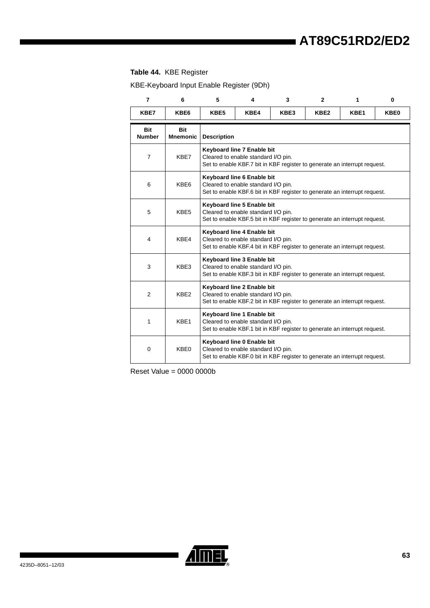### <span id="page-61-0"></span>**Table 44.** KBE Register

KBE-Keyboard Input Enable Register (9Dh)

| 7                           | 6                             | 5                  | 4                                                                                                                                              | 3                                                                         | $\mathbf{2}$     | 1    | 0           |  |
|-----------------------------|-------------------------------|--------------------|------------------------------------------------------------------------------------------------------------------------------------------------|---------------------------------------------------------------------------|------------------|------|-------------|--|
| KBE7                        | KBE6                          | KBE5               | KBE4                                                                                                                                           | KBE3                                                                      | KBE <sub>2</sub> | KBE1 | <b>KBE0</b> |  |
| <b>Bit</b><br><b>Number</b> | <b>Bit</b><br><b>Mnemonic</b> | <b>Description</b> |                                                                                                                                                |                                                                           |                  |      |             |  |
| $\overline{7}$              | KBE7                          |                    | Keyboard line 7 Enable bit<br>Cleared to enable standard I/O pin.<br>Set to enable KBF.7 bit in KBF register to generate an interrupt request. |                                                                           |                  |      |             |  |
| 6                           | KBE6                          |                    | Keyboard line 6 Enable bit<br>Cleared to enable standard I/O pin.<br>Set to enable KBF.6 bit in KBF register to generate an interrupt request. |                                                                           |                  |      |             |  |
| 5                           | KBE5                          |                    | Keyboard line 5 Enable bit<br>Cleared to enable standard I/O pin.<br>Set to enable KBF.5 bit in KBF register to generate an interrupt request. |                                                                           |                  |      |             |  |
| 4                           | KBE4                          |                    | Keyboard line 4 Enable bit<br>Cleared to enable standard I/O pin.<br>Set to enable KBF.4 bit in KBF register to generate an interrupt request. |                                                                           |                  |      |             |  |
| 3                           | KBE3                          |                    | Keyboard line 3 Enable bit<br>Cleared to enable standard I/O pin.<br>Set to enable KBF.3 bit in KBF register to generate an interrupt request. |                                                                           |                  |      |             |  |
| 2                           | KBE2                          |                    | Keyboard line 2 Enable bit<br>Cleared to enable standard I/O pin.<br>Set to enable KBF.2 bit in KBF register to generate an interrupt request. |                                                                           |                  |      |             |  |
| 1                           | KBE1                          |                    | Keyboard line 1 Enable bit<br>Cleared to enable standard I/O pin.<br>Set to enable KBF.1 bit in KBF register to generate an interrupt request. |                                                                           |                  |      |             |  |
| $\Omega$                    | KBE0                          |                    | Keyboard line 0 Enable bit<br>Cleared to enable standard I/O pin.                                                                              | Set to enable KBF.0 bit in KBF register to generate an interrupt request. |                  |      |             |  |

Reset Value = 0000 0000b

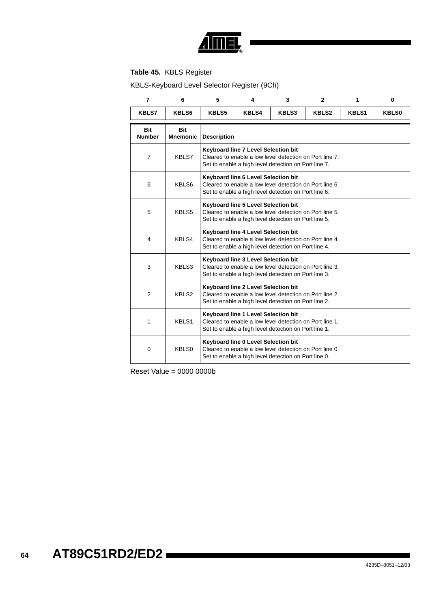

### <span id="page-62-0"></span>**Table 45.** KBLS Register

KBLS-Keyboard Level Selector Register (9Ch)

| $\overline{7}$              | 6                             | 5                  | 4                                                                                                                                                      | 3                                                                                                               | $\overline{2}$ | 1            | $\mathbf 0$  |  |  |
|-----------------------------|-------------------------------|--------------------|--------------------------------------------------------------------------------------------------------------------------------------------------------|-----------------------------------------------------------------------------------------------------------------|----------------|--------------|--------------|--|--|
| <b>KBLS7</b>                | KBLS6                         | <b>KBLS5</b>       | <b>KBLS4</b>                                                                                                                                           | KBLS3                                                                                                           | <b>KBLS2</b>   | <b>KBLS1</b> | <b>KBLS0</b> |  |  |
| <b>Bit</b><br><b>Number</b> | <b>Bit</b><br><b>Mnemonic</b> | <b>Description</b> |                                                                                                                                                        |                                                                                                                 |                |              |              |  |  |
| $\overline{7}$              | KBLS7                         |                    | Keyboard line 7 Level Selection bit<br>Cleared to enable a low level detection on Port line 7.<br>Set to enable a high level detection on Port line 7. |                                                                                                                 |                |              |              |  |  |
| 6                           | KBLS6                         |                    | Keyboard line 6 Level Selection bit<br>Cleared to enable a low level detection on Port line 6.<br>Set to enable a high level detection on Port line 6. |                                                                                                                 |                |              |              |  |  |
| 5                           | KBLS5                         |                    | Keyboard line 5 Level Selection bit<br>Cleared to enable a low level detection on Port line 5.<br>Set to enable a high level detection on Port line 5. |                                                                                                                 |                |              |              |  |  |
| 4                           | KBLS4                         |                    | Keyboard line 4 Level Selection bit<br>Cleared to enable a low level detection on Port line 4.<br>Set to enable a high level detection on Port line 4. |                                                                                                                 |                |              |              |  |  |
| 3                           | KBLS3                         |                    | Keyboard line 3 Level Selection bit<br>Cleared to enable a low level detection on Port line 3.<br>Set to enable a high level detection on Port line 3. |                                                                                                                 |                |              |              |  |  |
| $\overline{2}$              | KBLS2                         |                    | Keyboard line 2 Level Selection bit<br>Cleared to enable a low level detection on Port line 2.<br>Set to enable a high level detection on Port line 2. |                                                                                                                 |                |              |              |  |  |
| 1                           | KBLS1                         |                    | Keyboard line 1 Level Selection bit<br>Cleared to enable a low level detection on Port line 1.<br>Set to enable a high level detection on Port line 1. |                                                                                                                 |                |              |              |  |  |
| 0                           | KBLS0                         |                    | Keyboard line 0 Level Selection bit                                                                                                                    | Cleared to enable a low level detection on Port line 0.<br>Set to enable a high level detection on Port line 0. |                |              |              |  |  |

Reset Value = 0000 0000b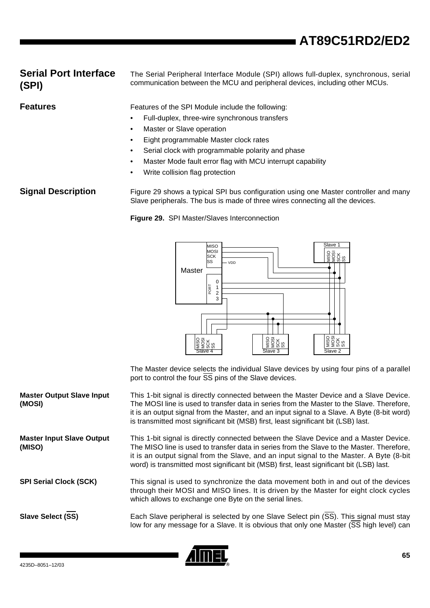## **Serial Port Interface (SPI)**

The Serial Peripheral Interface Module (SPI) allows full-duplex, synchronous, serial communication between the MCU and peripheral devices, including other MCUs.

**Features Features** Features of the SPI Module include the following:

- Full-duplex, three-wire synchronous transfers
- **Master or Slave operation**
- Eight programmable Master clock rates
- Serial clock with programmable polarity and phase
- Master Mode fault error flag with MCU interrupt capability
- Write collision flag protection

**Signal Description** [Figure 29](#page-63-0) shows a typical SPI bus configuration using one Master controller and many Slave peripherals. The bus is made of three wires connecting all the devices.

<span id="page-63-0"></span>**Figure 29.** SPI Master/Slaves Interconnection



The Master device selects the individual Slave devices by using four pins of a parallel port to control the four  $\overline{SS}$  pins of the Slave devices.

**Master Output Slave Input (MOSI)** This 1-bit signal is directly connected between the Master Device and a Slave Device. The MOSI line is used to transfer data in series from the Master to the Slave. Therefore, it is an output signal from the Master, and an input signal to a Slave. A Byte (8-bit word) is transmitted most significant bit (MSB) first, least significant bit (LSB) last.

**Master Input Slave Output (MISO)** This 1-bit signal is directly connected between the Slave Device and a Master Device. The MISO line is used to transfer data in series from the Slave to the Master. Therefore, it is an output signal from the Slave, and an input signal to the Master. A Byte (8-bit word) is transmitted most significant bit (MSB) first, least significant bit (LSB) last.

**SPI Serial Clock (SCK)** This signal is used to synchronize the data movement both in and out of the devices through their MOSI and MISO lines. It is driven by the Master for eight clock cycles which allows to exchange one Byte on the serial lines.

**Slave Select (SS)** Each Slave peripheral is selected by one Slave Select pin (SS). This signal must stay low for any message for a Slave. It is obvious that only one Master (SS high level) can

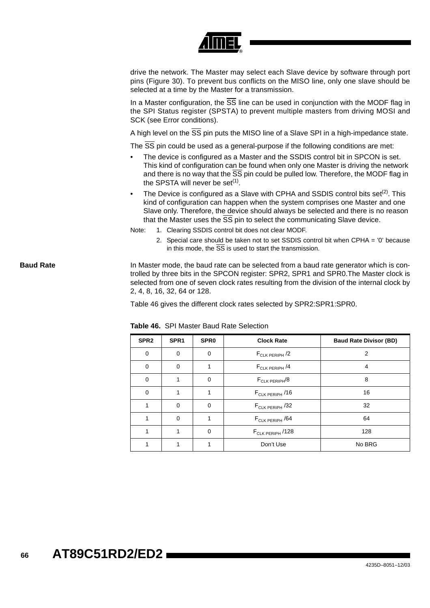|                  | drive the network. The Master may select each Slave device by software through port<br>pins (Figure 30). To prevent bus conflicts on the MISO line, only one slave should be<br>selected at a time by the Master for a transmission.                                                                                                                                                                 |
|------------------|------------------------------------------------------------------------------------------------------------------------------------------------------------------------------------------------------------------------------------------------------------------------------------------------------------------------------------------------------------------------------------------------------|
|                  | In a Master configuration, the SS line can be used in conjunction with the MODF flag in<br>the SPI Status register (SPSTA) to prevent multiple masters from driving MOSI and<br>SCK (see Error conditions).                                                                                                                                                                                          |
|                  | A high level on the SS pin puts the MISO line of a Slave SPI in a high-impedance state.                                                                                                                                                                                                                                                                                                              |
|                  | The SS pin could be used as a general-purpose if the following conditions are met:<br>The device is configured as a Master and the SSDIS control bit in SPCON is set.<br>This kind of configuration can be found when only one Master is driving the network<br>and there is no way that the SS pin could be pulled low. Therefore, the MODF flag in<br>the SPSTA will never be set <sup>(1)</sup> . |
|                  | The Device is configured as a Slave with CPHA and SSDIS control bits set <sup>(2)</sup> . This<br>$\bullet$<br>kind of configuration can happen when the system comprises one Master and one<br>Slave only. Therefore, the device should always be selected and there is no reason<br>that the Master uses the SS pin to select the communicating Slave device.                                      |
|                  | Note:<br>1. Clearing SSDIS control bit does not clear MODF.                                                                                                                                                                                                                                                                                                                                          |
|                  | 2. Special care should be taken not to set SSDIS control bit when CPHA = '0' because<br>in this mode, the $\overline{SS}$ is used to start the transmission.                                                                                                                                                                                                                                         |
| <b>Baud Rate</b> | In Master mode, the baud rate can be selected from a baud rate generator which is con-<br>trolled by three bits in the SPCON register: SPR2, SPR1 and SPR0. The Master clock is<br>selected from one of seven clock rates resulting from the division of the internal clock by<br>2, 4, 8, 16, 32, 64 or 128.                                                                                        |
|                  | Table 46 gives the different clock rates selected by SPR2:SPR1:SPR0.                                                                                                                                                                                                                                                                                                                                 |
|                  | Table 46. SPI Master Baud Rate Selection                                                                                                                                                                                                                                                                                                                                                             |
|                  |                                                                                                                                                                                                                                                                                                                                                                                                      |

<span id="page-64-0"></span>

| SPR <sub>2</sub> | SPR <sub>1</sub> | SPR <sub>0</sub> | <b>Clock Rate</b>            | <b>Baud Rate Divisor (BD)</b> |
|------------------|------------------|------------------|------------------------------|-------------------------------|
| $\mathbf 0$      | 0                | $\mathbf 0$      | $F_{CLK PERIPH}$ /2          | 2                             |
| $\mathbf 0$      | 0                |                  | $F_{CLK PERIPH}$ /4          | 4                             |
| $\mathbf 0$      | 1                | 0                | $F_{CLK PERIPH}$ /8          | 8                             |
| $\mathbf 0$      | 1                |                  | $F_{CLK PERIPH}$ /16         | 16                            |
| 1                | 0                | 0                | $F_{CLK PERIPH}$ /32         | 32                            |
| 1                | $\Omega$         |                  | F <sub>CLK PERIPH</sub> /64  | 64                            |
|                  |                  | $\Omega$         | F <sub>CLK PERIPH</sub> /128 | 128                           |
|                  |                  |                  | Don't Use                    | No BRG                        |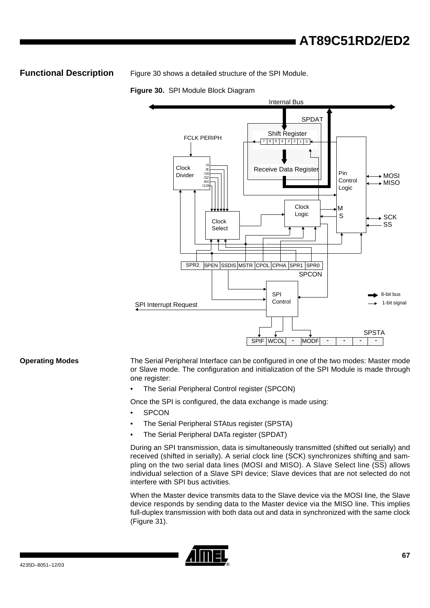**Functional Description** [Figure 30](#page-65-0) shows a detailed structure of the SPI Module.

<span id="page-65-0"></span>**Figure 30.** SPI Module Block Diagram



**Operating Modes** The Serial Peripheral Interface can be configured in one of the two modes: Master mode or Slave mode. The configuration and initialization of the SPI Module is made through one register:

The Serial Peripheral Control register (SPCON)

Once the SPI is configured, the data exchange is made using:

- **SPCON**
- The Serial Peripheral STAtus register (SPSTA)
- The Serial Peripheral DATa register (SPDAT)

During an SPI transmission, data is simultaneously transmitted (shifted out serially) and received (shifted in serially). A serial clock line (SCK) synchronizes shifting and sampling on the two serial data lines (MOSI and MISO). A Slave Select line (SS) allows individual selection of a Slave SPI device; Slave devices that are not selected do not interfere with SPI bus activities.

When the Master device transmits data to the Slave device via the MOSI line, the Slave device responds by sending data to the Master device via the MISO line. This implies full-duplex transmission with both data out and data in synchronized with the same clock ([Figure 31\)](#page-66-0).

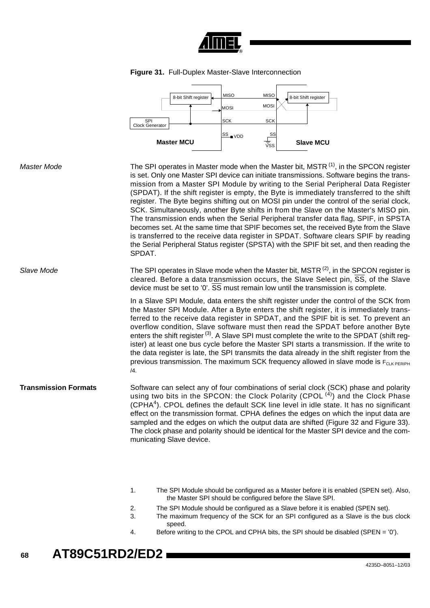

<span id="page-66-0"></span>



- 1. The SPI Module should be configured as a Master before it is enabled (SPEN set). Also, the Master SPI should be configured before the Slave SPI.
- 2. The SPI Module should be configured as a Slave before it is enabled (SPEN set).
- 3. The maximum frequency of the SCK for an SPI configured as a Slave is the bus clock speed.
- 4. Before writing to the CPOL and CPHA bits, the SPI should be disabled (SPEN = '0').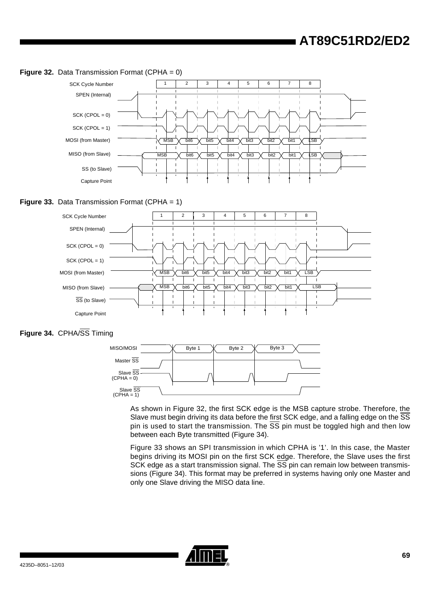<span id="page-67-0"></span>

<span id="page-67-1"></span>

<span id="page-67-2"></span>



As shown in [Figure 32](#page-67-0), the first SCK edge is the MSB capture strobe. Therefore, the Slave must begin driving its data before the first SCK edge, and a falling edge on the SS pin is used to start the transmission. The  $\overline{SS}$  pin must be toggled high and then low between each Byte transmitted ([Figure 34\)](#page-67-2).

[Figure 33](#page-67-1) shows an SPI transmission in which CPHA is '1'. In this case, the Master begins driving its MOSI pin on the first SCK edge. Therefore, the Slave uses the first SCK edge as a start transmission signal. The  $\overline{SS}$  pin can remain low between transmissions [\(Figure 34](#page-67-2)). This format may be preferred in systems having only one Master and only one Slave driving the MISO data line.

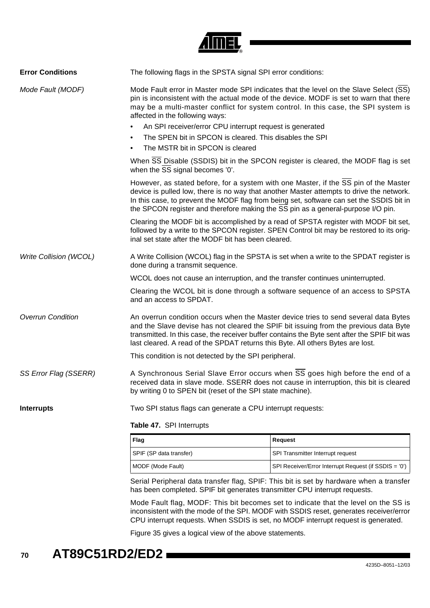

| <b>Error Conditions</b>  | The following flags in the SPSTA signal SPI error conditions:                                                                                                                                                                                                                                                                                                    |
|--------------------------|------------------------------------------------------------------------------------------------------------------------------------------------------------------------------------------------------------------------------------------------------------------------------------------------------------------------------------------------------------------|
| Mode Fault (MODF)        | Mode Fault error in Master mode SPI indicates that the level on the Slave Select (SS)<br>pin is inconsistent with the actual mode of the device. MODF is set to warn that there<br>may be a multi-master conflict for system control. In this case, the SPI system is<br>affected in the following ways:                                                         |
|                          | An SPI receiver/error CPU interrupt request is generated<br>$\bullet$                                                                                                                                                                                                                                                                                            |
|                          | The SPEN bit in SPCON is cleared. This disables the SPI<br>$\bullet$                                                                                                                                                                                                                                                                                             |
|                          | The MSTR bit in SPCON is cleared                                                                                                                                                                                                                                                                                                                                 |
|                          | When SS Disable (SSDIS) bit in the SPCON register is cleared, the MODF flag is set<br>when the SS signal becomes '0'.                                                                                                                                                                                                                                            |
|                          | However, as stated before, for a system with one Master, if the SS pin of the Master<br>device is pulled low, there is no way that another Master attempts to drive the network.<br>In this case, to prevent the MODF flag from being set, software can set the SSDIS bit in<br>the SPCON register and therefore making the SS pin as a general-purpose I/O pin. |
|                          | Clearing the MODF bit is accomplished by a read of SPSTA register with MODF bit set,<br>followed by a write to the SPCON register. SPEN Control bit may be restored to its orig-<br>inal set state after the MODF bit has been cleared.                                                                                                                          |
| Write Collision (WCOL)   | A Write Collision (WCOL) flag in the SPSTA is set when a write to the SPDAT register is<br>done during a transmit sequence.                                                                                                                                                                                                                                      |
|                          | WCOL does not cause an interruption, and the transfer continues uninterrupted.                                                                                                                                                                                                                                                                                   |
|                          | Clearing the WCOL bit is done through a software sequence of an access to SPSTA<br>and an access to SPDAT.                                                                                                                                                                                                                                                       |
| <b>Overrun Condition</b> | An overrun condition occurs when the Master device tries to send several data Bytes<br>and the Slave devise has not cleared the SPIF bit issuing from the previous data Byte<br>transmitted. In this case, the receiver buffer contains the Byte sent after the SPIF bit was<br>last cleared. A read of the SPDAT returns this Byte. All others Bytes are lost.  |
|                          | This condition is not detected by the SPI peripheral.                                                                                                                                                                                                                                                                                                            |
| SS Error Flag (SSERR)    | A Synchronous Serial Slave Error occurs when SS goes high before the end of a<br>received data in slave mode. SSERR does not cause in interruption, this bit is cleared<br>by writing 0 to SPEN bit (reset of the SPI state machine).                                                                                                                            |
| <b>Interrupts</b>        | Two SPI status flags can generate a CPU interrupt requests:                                                                                                                                                                                                                                                                                                      |

#### **Table 47.** SPI Interrupts

| Flag                    | Request                                               |
|-------------------------|-------------------------------------------------------|
| SPIF (SP data transfer) | SPI Transmitter Interrupt request                     |
| MODF (Mode Fault)       | SPI Receiver/Error Interrupt Request (if SSDIS = '0') |

Serial Peripheral data transfer flag, SPIF: This bit is set by hardware when a transfer has been completed. SPIF bit generates transmitter CPU interrupt requests.

Mode Fault flag, MODF: This bit becomes set to indicate that the level on the SS is inconsistent with the mode of the SPI. MODF with SSDIS reset, generates receiver/error CPU interrupt requests. When SSDIS is set, no MODF interrupt request is generated.

[Figure 35](#page-69-0) gives a logical view of the above statements.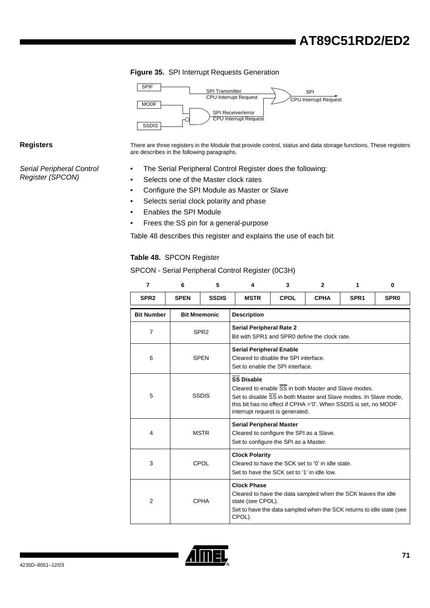#### <span id="page-69-0"></span>**Figure 35.** SPI Interrupt Requests Generation



Serial Peripheral Control Register (SPCON)

Registers **There are three registers** in the Module that provide control, status and data storage functions. These registers are describes in the following paragraphs.

- The Serial Peripheral Control Register does the following:
	- Selects one of the Master clock rates
	- Configure the SPI Module as Master or Slave
	- Selects serial clock polarity and phase
	- Enables the SPI Module
	- Frees the SS pin for a general-purpose

[Table 48](#page-69-1) describes this register and explains the use of each bit

#### <span id="page-69-1"></span>**Table 48.** SPCON Register

SPCON - Serial Peripheral Control Register (0C3H)

| $\overline{7}$    | 6           | 5                   | 4                                                                                                                                                                                                                                                                       | 3           | $\mathbf{2}$ | 1                | 0                |  |  |
|-------------------|-------------|---------------------|-------------------------------------------------------------------------------------------------------------------------------------------------------------------------------------------------------------------------------------------------------------------------|-------------|--------------|------------------|------------------|--|--|
| SPR <sub>2</sub>  | <b>SPEN</b> | <b>SSDIS</b>        | <b>MSTR</b>                                                                                                                                                                                                                                                             | <b>CPOL</b> | <b>CPHA</b>  | SPR <sub>1</sub> | SPR <sub>0</sub> |  |  |
| <b>Bit Number</b> |             | <b>Bit Mnemonic</b> | <b>Description</b>                                                                                                                                                                                                                                                      |             |              |                  |                  |  |  |
| $\overline{7}$    |             | SPR <sub>2</sub>    | <b>Serial Peripheral Rate 2</b><br>Bit with SPR1 and SPR0 define the clock rate.                                                                                                                                                                                        |             |              |                  |                  |  |  |
| 6                 | <b>SPEN</b> |                     | <b>Serial Peripheral Enable</b><br>Cleared to disable the SPI interface.<br>Set to enable the SPI interface.                                                                                                                                                            |             |              |                  |                  |  |  |
| 5                 |             | <b>SSDIS</b>        | <b>SS Disable</b><br>Cleared to enable $\overline{\text{SS}}$ in both Master and Slave modes.<br>Set to disable SS in both Master and Slave modes. In Slave mode,<br>this bit has no effect if CPHA ='0'. When SSDIS is set, no MODF<br>interrupt request is generated. |             |              |                  |                  |  |  |
| 4                 | <b>MSTR</b> |                     | <b>Serial Peripheral Master</b><br>Cleared to configure the SPI as a Slave.<br>Set to configure the SPI as a Master.                                                                                                                                                    |             |              |                  |                  |  |  |
| 3                 |             | CPOL                | <b>Clock Polarity</b><br>Cleared to have the SCK set to '0' in idle state.<br>Set to have the SCK set to '1' in idle low.                                                                                                                                               |             |              |                  |                  |  |  |
| $\overline{2}$    |             | <b>CPHA</b>         | <b>Clock Phase</b><br>Cleared to have the data sampled when the SCK leaves the idle<br>state (see CPOL).<br>Set to have the data sampled when the SCK returns to idle state (see<br>CPOL).                                                                              |             |              |                  |                  |  |  |

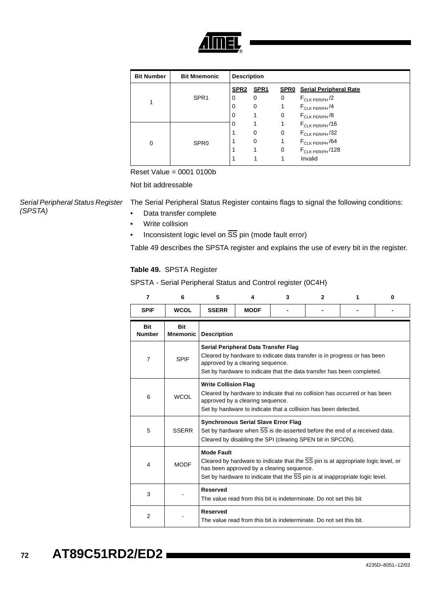

| <b>Bit Number</b> | <b>Bit Mnemonic</b> | <b>Description</b> |             |   |                                    |
|-------------------|---------------------|--------------------|-------------|---|------------------------------------|
|                   |                     | <b>SPR2</b>        | <b>SPR1</b> |   | <b>SPR0</b> Serial Peripheral Rate |
|                   | SPR <sub>1</sub>    | 0                  | 0           | 0 | $F_{CLK PERIPH}$ /2                |
|                   |                     | $\Omega$           | $\mathbf 0$ |   | $F_{CLK PERIPH}$ /4                |
|                   |                     | 0                  |             | 0 | $F_{CLK PERIPH}$ /8                |
|                   |                     | O                  |             |   | $F_{CLK PERIPH}$ /16               |
|                   |                     |                    | 0           | 0 | $F_{CLK PERIPH}$ /32               |
| 0                 | SPR <sub>0</sub>    |                    | 0           |   | $F_{CLK PERIPH}$ /64               |
|                   |                     |                    |             | 0 | $F_{CLK PERIPH}$ /128              |
|                   |                     |                    |             |   | Invalid                            |

Reset Value = 0001 0100b

Not bit addressable

Serial Peripheral Status Register (SPSTA)

- The Serial Peripheral Status Register contains flags to signal the following conditions:
	- Data transfer complete
	- Write collision
	- Inconsistent logic level on  $\overline{SS}$  pin (mode fault error)

[Table 49](#page-70-0) describes the SPSTA register and explains the use of every bit in the register.

#### <span id="page-70-0"></span>**Table 49.** SPSTA Register

SPSTA - Serial Peripheral Status and Control register (0C4H)

| 7                    | 6                             | 5                  | 4                                                                                                                                                                                                                              | 3                                                                   | $\mathbf{2}$ | 1 | 0 |  |  |
|----------------------|-------------------------------|--------------------|--------------------------------------------------------------------------------------------------------------------------------------------------------------------------------------------------------------------------------|---------------------------------------------------------------------|--------------|---|---|--|--|
| <b>SPIF</b>          | <b>WCOL</b>                   | <b>SSERR</b>       | <b>MODF</b>                                                                                                                                                                                                                    |                                                                     |              |   |   |  |  |
| Bit<br><b>Number</b> | <b>Bit</b><br><b>Mnemonic</b> | <b>Description</b> |                                                                                                                                                                                                                                |                                                                     |              |   |   |  |  |
| $\overline{7}$       | <b>SPIF</b>                   |                    | Serial Peripheral Data Transfer Flag<br>Cleared by hardware to indicate data transfer is in progress or has been<br>approved by a clearing sequence.<br>Set by hardware to indicate that the data transfer has been completed. |                                                                     |              |   |   |  |  |
| 6                    | <b>WCOL</b>                   |                    | <b>Write Collision Flag</b><br>Cleared by hardware to indicate that no collision has occurred or has been<br>approved by a clearing sequence.<br>Set by hardware to indicate that a collision has been detected.               |                                                                     |              |   |   |  |  |
| 5                    | <b>SSERR</b>                  |                    | <b>Synchronous Serial Slave Error Flag</b><br>Set by hardware when SS is de-asserted before the end of a received data.<br>Cleared by disabling the SPI (clearing SPEN bit in SPCON).                                          |                                                                     |              |   |   |  |  |
| 4                    | <b>MODF</b>                   | <b>Mode Fault</b>  | Cleared by hardware to indicate that the SS pin is at appropriate logic level, or<br>has been approved by a clearing sequence.<br>Set by hardware to indicate that the SS pin is at inappropriate logic level.                 |                                                                     |              |   |   |  |  |
| 3                    |                               | <b>Reserved</b>    | The value read from this bit is indeterminate. Do not set this bit                                                                                                                                                             |                                                                     |              |   |   |  |  |
| 2                    |                               | <b>Reserved</b>    |                                                                                                                                                                                                                                | The value read from this bit is indeterminate. Do not set this bit. |              |   |   |  |  |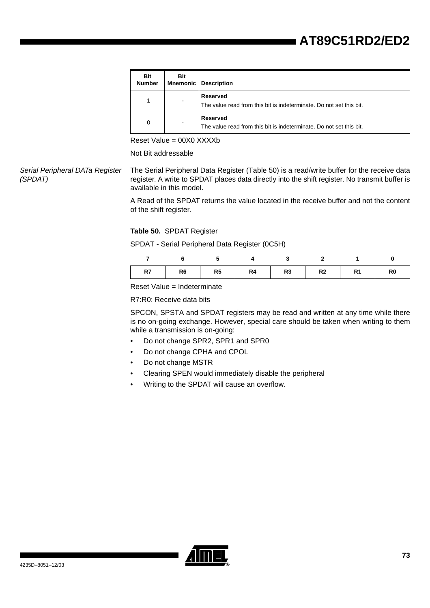| Bit<br><b>Number</b> | Bit | <b>Mnemonic   Description</b>                                                   |
|----------------------|-----|---------------------------------------------------------------------------------|
| 1                    |     | Reserved<br>The value read from this bit is indeterminate. Do not set this bit. |
| 0                    |     | Reserved<br>The value read from this bit is indeterminate. Do not set this bit. |

Reset Value = 00X0 XXXXb

Not Bit addressable

Serial Peripheral DATa Register (SPDAT) The Serial Peripheral Data Register [\(Table 50\)](#page-71-0) is a read/write buffer for the receive data register. A write to SPDAT places data directly into the shift register. No transmit buffer is available in this model.

> A Read of the SPDAT returns the value located in the receive buffer and not the content of the shift register.

#### <span id="page-71-0"></span>**Table 50.** SPDAT Register

SPDAT - Serial Peripheral Data Register (0C5H)

|  | R7   R6   R5   R4   R3   R2   R1   R0 |  |  |
|--|---------------------------------------|--|--|

Reset Value = Indeterminate

R7:R0: Receive data bits

SPCON, SPSTA and SPDAT registers may be read and written at any time while there is no on-going exchange. However, special care should be taken when writing to them while a transmission is on-going:

- Do not change SPR2, SPR1 and SPR0
- Do not change CPHA and CPOL
- Do not change MSTR
- Clearing SPEN would immediately disable the peripheral
- Writing to the SPDAT will cause an overflow.

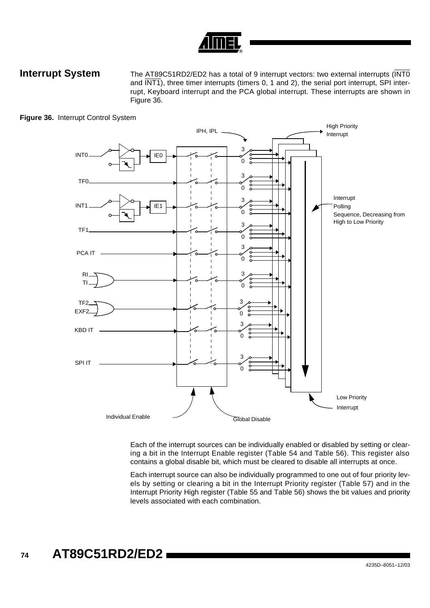**Interrupt System** The AT89C51RD2/ED2 has a total of 9 interrupt vectors: two external interrupts (INT0 and  $\overline{INT1}$ , three timer interrupts (timers 0, 1 and 2), the serial port interrupt, SPI interrupt, Keyboard interrupt and the PCA global interrupt. These interrupts are shown in [Figure 36.](#page-72-0)



<span id="page-72-0"></span>**Figure 36.** Interrupt Control System

Each of the interrupt sources can be individually enabled or disabled by setting or clearing a bit in the Interrupt Enable register ([Table 54](#page-76-0) and [Table 56](#page-78-0)). This register also contains a global disable bit, which must be cleared to disable all interrupts at once.

Each interrupt source can also be individually programmed to one out of four priority levels by setting or clearing a bit in the Interrupt Priority register ([Table 57\)](#page-79-0) and in the Interrupt Priority High register ([Table 55](#page-77-0) and [Table 56](#page-78-0)) shows the bit values and priority levels associated with each combination.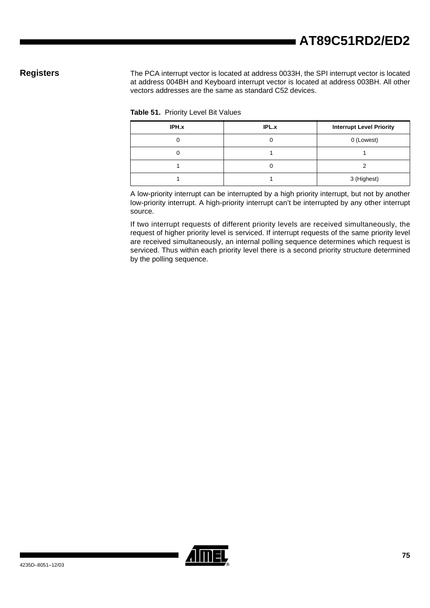Registers The PCA interrupt vector is located at address 0033H, the SPI interrupt vector is located at address 004BH and Keyboard interrupt vector is located at address 003BH. All other vectors addresses are the same as standard C52 devices.

| Table 51. Priority Level Bit Values |  |  |  |
|-------------------------------------|--|--|--|
|-------------------------------------|--|--|--|

| IPH.x | <b>IPL.x</b> | <b>Interrupt Level Priority</b> |
|-------|--------------|---------------------------------|
|       |              | 0 (Lowest)                      |
|       |              |                                 |
|       |              |                                 |
|       |              | 3 (Highest)                     |

<span id="page-73-0"></span>A low-priority interrupt can be interrupted by a high priority interrupt, but not by another low-priority interrupt. A high-priority interrupt can't be interrupted by any other interrupt source.

If two interrupt requests of different priority levels are received simultaneously, the request of higher priority level is serviced. If interrupt requests of the same priority level are received simultaneously, an internal polling sequence determines which request is serviced. Thus within each priority level there is a second priority structure determined by the polling sequence.

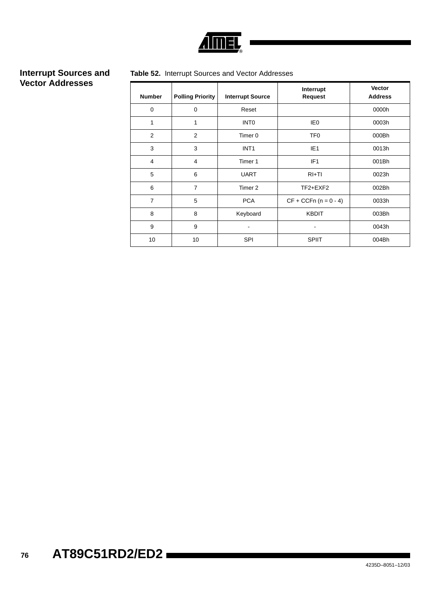

# **Interrupt Sources and Vector Addresses**

## **Table 52.** Interrupt Sources and Vector Addresses

| <b>Number</b>  | <b>Polling Priority</b> | <b>Interrupt Source</b> | Interrupt<br><b>Request</b> | Vector<br><b>Address</b> |
|----------------|-------------------------|-------------------------|-----------------------------|--------------------------|
| $\mathbf 0$    | $\mathbf 0$             | Reset                   |                             | 0000h                    |
| 1              | 1                       | <b>INTO</b>             | IE <sub>0</sub>             | 0003h                    |
| 2              | 2                       | Timer 0                 | TF <sub>0</sub>             | 000Bh                    |
| 3              | 3                       | INT <sub>1</sub>        | IE <sub>1</sub>             | 0013h                    |
| $\overline{4}$ | 4                       | Timer 1                 | IF <sub>1</sub>             | 001Bh                    |
| 5              | 6                       | <b>UART</b>             | $RI+TI$                     | 0023h                    |
| 6              | 7                       | Timer 2                 | $TF2+EXF2$                  | 002Bh                    |
| $\overline{7}$ | 5                       | <b>PCA</b>              | $CF + CCFn (n = 0 - 4)$     | 0033h                    |
| 8              | 8                       | Keyboard                | <b>KBDIT</b>                | 003Bh                    |
| 9              | 9                       |                         |                             | 0043h                    |
| 10             | 10                      | <b>SPI</b>              | <b>SPIIT</b>                | 004Bh                    |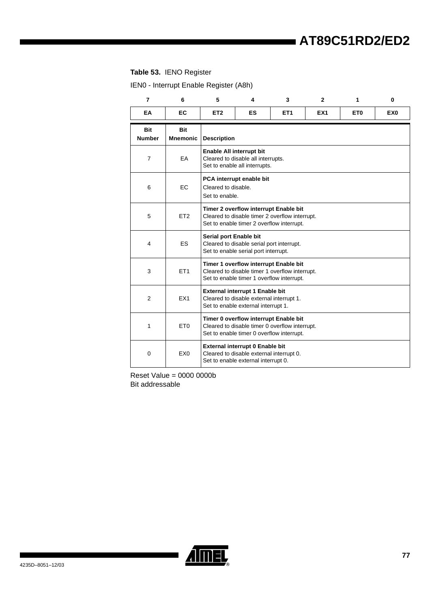## **Table 53.** IENO Register

IEN0 - Interrupt Enable Register (A8h)

| $\overline{7}$              | 6                      | 5                                     | 4                                                                                                                                    | 3                                                                                                                                    | $\mathbf{2}$    | 1               | $\bf{0}$        |  |
|-----------------------------|------------------------|---------------------------------------|--------------------------------------------------------------------------------------------------------------------------------------|--------------------------------------------------------------------------------------------------------------------------------------|-----------------|-----------------|-----------------|--|
| EA                          | EC                     | ET <sub>2</sub>                       | ES                                                                                                                                   | ET <sub>1</sub>                                                                                                                      | EX <sub>1</sub> | ET <sub>0</sub> | EX <sub>0</sub> |  |
| <b>Bit</b><br><b>Number</b> | <b>Bit</b><br>Mnemonic | <b>Description</b>                    |                                                                                                                                      |                                                                                                                                      |                 |                 |                 |  |
| $\overline{7}$              | EA                     | Enable All interrupt bit              | Cleared to disable all interrupts.<br>Set to enable all interrupts.                                                                  |                                                                                                                                      |                 |                 |                 |  |
| 6                           | EC                     | Cleared to disable.<br>Set to enable. | PCA interrupt enable bit                                                                                                             |                                                                                                                                      |                 |                 |                 |  |
| 5                           | ET <sub>2</sub>        |                                       |                                                                                                                                      | Timer 2 overflow interrupt Enable bit<br>Cleared to disable timer 2 overflow interrupt.<br>Set to enable timer 2 overflow interrupt. |                 |                 |                 |  |
| 4                           | ES.                    | Serial port Enable bit                | Cleared to disable serial port interrupt.<br>Set to enable serial port interrupt.                                                    |                                                                                                                                      |                 |                 |                 |  |
| 3                           | ET <sub>1</sub>        |                                       |                                                                                                                                      | Timer 1 overflow interrupt Enable bit<br>Cleared to disable timer 1 overflow interrupt.<br>Set to enable timer 1 overflow interrupt. |                 |                 |                 |  |
| $\overline{2}$              | EX <sub>1</sub>        |                                       | <b>External interrupt 1 Enable bit</b><br>Cleared to disable external interrupt 1.<br>Set to enable external interrupt 1.            |                                                                                                                                      |                 |                 |                 |  |
| 1                           | ET <sub>0</sub>        |                                       | Timer 0 overflow interrupt Enable bit<br>Cleared to disable timer 0 overflow interrupt.<br>Set to enable timer 0 overflow interrupt. |                                                                                                                                      |                 |                 |                 |  |
| 0                           | EX <sub>0</sub>        |                                       | External interrupt 0 Enable bit<br>Cleared to disable external interrupt 0.<br>Set to enable external interrupt 0.                   |                                                                                                                                      |                 |                 |                 |  |

Reset Value = 0000 0000b Bit addressable

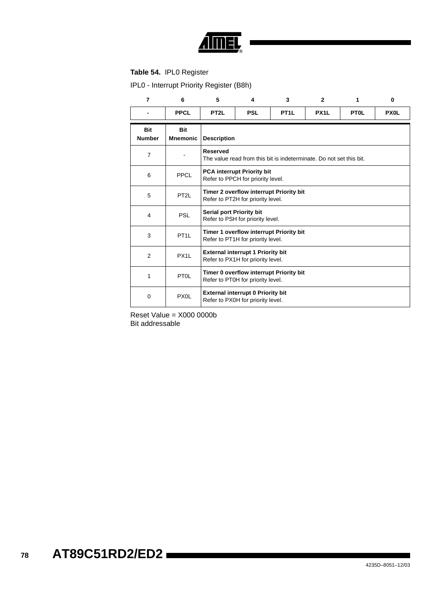

## <span id="page-76-0"></span>**Table 54.** IPL0 Register

IPL0 - Interrupt Priority Register (B8h)

| $\overline{7}$              | 6                             | 5                        | 4                                                                             | 3                                                                   | $\mathbf{2}$      | 1           | $\bf{0}$    |
|-----------------------------|-------------------------------|--------------------------|-------------------------------------------------------------------------------|---------------------------------------------------------------------|-------------------|-------------|-------------|
|                             | <b>PPCL</b>                   | PT <sub>2</sub> L        | <b>PSL</b>                                                                    | PT <sub>1</sub> L                                                   | PX <sub>1</sub> L | <b>PTOL</b> | <b>PX0L</b> |
| <b>Bit</b><br><b>Number</b> | <b>Bit</b><br><b>Mnemonic</b> | <b>Description</b>       |                                                                               |                                                                     |                   |             |             |
| $\overline{7}$              |                               | <b>Reserved</b>          |                                                                               | The value read from this bit is indeterminate. Do not set this bit. |                   |             |             |
| 6                           | PPCL                          |                          | <b>PCA interrupt Priority bit</b><br>Refer to PPCH for priority level.        |                                                                     |                   |             |             |
| 5                           | PT <sub>2</sub> L             |                          | Refer to PT2H for priority level.                                             | Timer 2 overflow interrupt Priority bit                             |                   |             |             |
| $\overline{\mathbf{4}}$     | <b>PSL</b>                    | Serial port Priority bit | Refer to PSH for priority level.                                              |                                                                     |                   |             |             |
| 3                           | PT <sub>1</sub> L             |                          | Refer to PT1H for priority level.                                             | Timer 1 overflow interrupt Priority bit                             |                   |             |             |
| $\overline{2}$              | PX <sub>1</sub> L             |                          | <b>External interrupt 1 Priority bit</b><br>Refer to PX1H for priority level. |                                                                     |                   |             |             |
| 1                           | PT <sub>OL</sub>              |                          | Refer to PT0H for priority level.                                             | Timer 0 overflow interrupt Priority bit                             |                   |             |             |
| 0                           | PX <sub>0</sub> L             |                          | <b>External interrupt 0 Priority bit</b><br>Refer to PX0H for priority level. |                                                                     |                   |             |             |

Reset Value = X000 0000b Bit addressable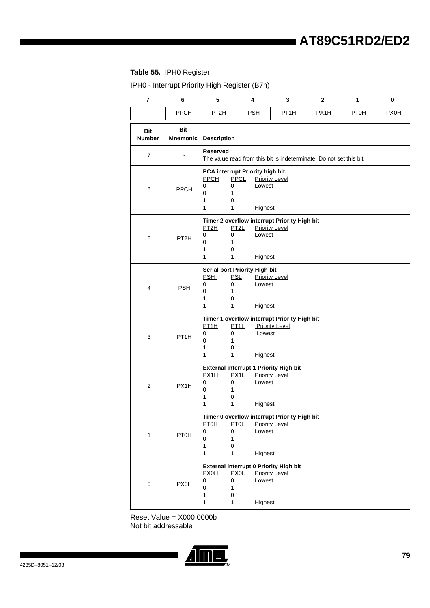## <span id="page-77-0"></span>**Table 55.** IPH0 Register

IPH0 - Interrupt Priority High Register (B7h)

| $\overline{\mathbf{r}}$     | 6                             | 5                                                                                 | 4                                                                          | 3                                                                     | $\mathbf 2$ | 1           | 0    |
|-----------------------------|-------------------------------|-----------------------------------------------------------------------------------|----------------------------------------------------------------------------|-----------------------------------------------------------------------|-------------|-------------|------|
| $\blacksquare$              | PPCH                          | PT <sub>2</sub> H                                                                 | <b>PSH</b>                                                                 | PT <sub>1</sub> H                                                     | PX1H        | <b>PT0H</b> | PX0H |
| <b>Bit</b><br><b>Number</b> | <b>Bit</b><br><b>Mnemonic</b> | <b>Description</b>                                                                |                                                                            |                                                                       |             |             |      |
| $\overline{7}$              |                               | <b>Reserved</b>                                                                   |                                                                            | The value read from this bit is indeterminate. Do not set this bit.   |             |             |      |
| 6                           | <b>PPCH</b>                   | <b>PPCH</b><br>0<br>0<br>0<br>1<br>1<br>0<br>1<br>1                               | PCA interrupt Priority high bit.<br><b>PPCL</b><br>Lowest<br>Highest       | <b>Priority Level</b>                                                 |             |             |      |
| $\mathbf 5$                 | PT <sub>2H</sub>              | PT <sub>2H</sub><br>0<br>0<br>0<br>1<br>1<br>0<br>1<br>1                          | PT2L<br>Lowest<br>Highest                                                  | Timer 2 overflow interrupt Priority High bit<br><b>Priority Level</b> |             |             |      |
| 4                           | <b>PSH</b>                    | <b>PSH</b><br>0<br>0<br>0<br>1<br>1<br>0<br>1<br>1                                | Serial port Priority High bit<br><b>PSL</b><br>Lowest<br>Highest           | <b>Priority Level</b>                                                 |             |             |      |
| 3                           | PT <sub>1H</sub>              | PT1H<br>0<br>0<br>0<br>1<br>1<br>0<br>1<br>1                                      | PT1L<br>Lowest<br>Highest                                                  | Timer 1 overflow interrupt Priority High bit<br><b>Priority Level</b> |             |             |      |
| $\overline{c}$              | PX1H                          | PX1H<br>0<br>0<br>$\mathbf 0$<br>1<br>1<br>0<br>1<br>1                            | External interrupt 1 Priority High bit<br>PX1L<br>Lowest<br>Highest        | <b>Priority Level</b>                                                 |             |             |      |
| $\mathbf 1$                 | <b>PT0H</b>                   | <b>PT0H</b><br>0<br>0<br>$\pmb{0}$<br>1<br>1<br>0<br>$\mathbf{1}$<br>$\mathbf{1}$ | <b>PTOL</b><br>Lowest<br>Highest                                           | Timer 0 overflow interrupt Priority High bit<br><b>Priority Level</b> |             |             |      |
| $\mathsf{O}\xspace$         | <b>PX0H</b>                   | <b>PX0H</b><br>0<br>0<br>0<br>1<br>$\pmb{0}$<br>1<br>$\mathbf 1$<br>1             | External interrupt 0 Priority High bit<br><b>PX0L</b><br>Lowest<br>Highest | <b>Priority Level</b>                                                 |             |             |      |

Reset Value = X000 0000b Not bit addressable

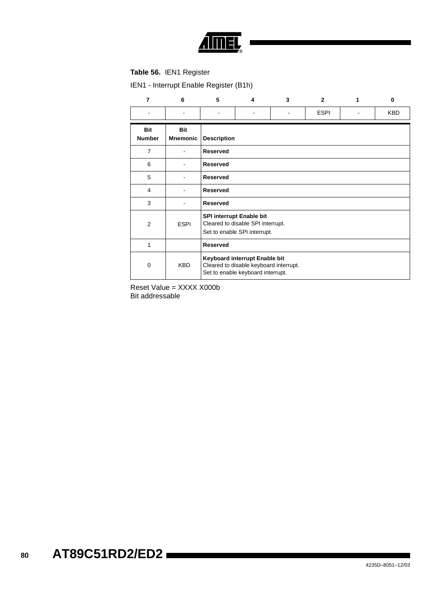

## <span id="page-78-0"></span>**Table 56.** IEN1 Register

IEN1 - Interrupt Enable Register (B1h)

| $\overline{7}$              | 6                             | 5                  | 4                                                                                                            | 3 | $\mathbf{2}$ | 1 | $\bf{0}$ |  |  |
|-----------------------------|-------------------------------|--------------------|--------------------------------------------------------------------------------------------------------------|---|--------------|---|----------|--|--|
|                             |                               |                    |                                                                                                              |   | <b>ESPI</b>  |   | KBD      |  |  |
| <b>Bit</b><br><b>Number</b> | <b>Bit</b><br><b>Mnemonic</b> | <b>Description</b> |                                                                                                              |   |              |   |          |  |  |
| $\overline{7}$              |                               | Reserved           |                                                                                                              |   |              |   |          |  |  |
| 6                           |                               | <b>Reserved</b>    |                                                                                                              |   |              |   |          |  |  |
| 5                           |                               | <b>Reserved</b>    |                                                                                                              |   |              |   |          |  |  |
| 4                           |                               | <b>Reserved</b>    |                                                                                                              |   |              |   |          |  |  |
| 3                           |                               | <b>Reserved</b>    |                                                                                                              |   |              |   |          |  |  |
| 2                           | <b>ESPI</b>                   |                    | <b>SPI interrupt Enable bit</b><br>Cleared to disable SPI interrupt.<br>Set to enable SPI interrupt.         |   |              |   |          |  |  |
| 1                           |                               | <b>Reserved</b>    |                                                                                                              |   |              |   |          |  |  |
| 0                           | <b>KBD</b>                    |                    | Keyboard interrupt Enable bit<br>Cleared to disable keyboard interrupt.<br>Set to enable keyboard interrupt. |   |              |   |          |  |  |

Reset Value = XXXX X000b Bit addressable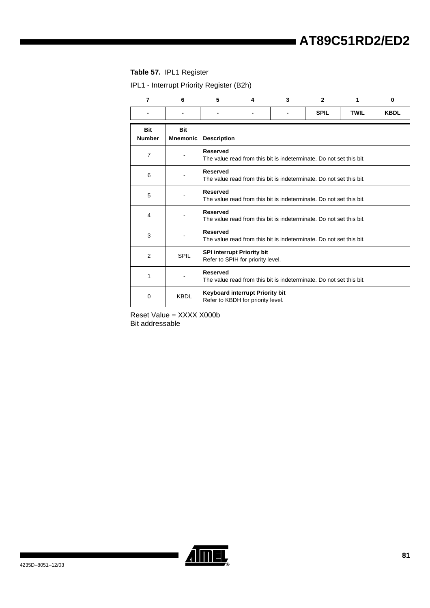## <span id="page-79-0"></span>**Table 57.** IPL1 Register

IPL1 - Interrupt Priority Register (B2h)

| $\overline{7}$              | 6                             | 5                  | 4                                                                      | 3 | $\overline{2}$                                                      | 1           | $\bf{0}$    |
|-----------------------------|-------------------------------|--------------------|------------------------------------------------------------------------|---|---------------------------------------------------------------------|-------------|-------------|
|                             |                               |                    |                                                                        |   | <b>SPIL</b>                                                         | <b>TWIL</b> | <b>KBDL</b> |
| <b>Bit</b><br><b>Number</b> | <b>Bit</b><br><b>Mnemonic</b> | <b>Description</b> |                                                                        |   |                                                                     |             |             |
| 7                           |                               | <b>Reserved</b>    |                                                                        |   | The value read from this bit is indeterminate. Do not set this bit. |             |             |
| 6                           |                               | <b>Reserved</b>    |                                                                        |   | The value read from this bit is indeterminate. Do not set this bit. |             |             |
| 5                           |                               | <b>Reserved</b>    |                                                                        |   | The value read from this bit is indeterminate. Do not set this bit. |             |             |
| 4                           |                               | <b>Reserved</b>    |                                                                        |   | The value read from this bit is indeterminate. Do not set this bit. |             |             |
| 3                           |                               | <b>Reserved</b>    |                                                                        |   | The value read from this bit is indeterminate. Do not set this bit. |             |             |
| 2                           | SPIL                          |                    | <b>SPI interrupt Priority bit</b><br>Refer to SPIH for priority level. |   |                                                                     |             |             |
| 1                           |                               | <b>Reserved</b>    |                                                                        |   | The value read from this bit is indeterminate. Do not set this bit. |             |             |
| 0                           | <b>KBDL</b>                   |                    | Keyboard interrupt Priority bit<br>Refer to KBDH for priority level.   |   |                                                                     |             |             |

Reset Value = XXXX X000b Bit addressable

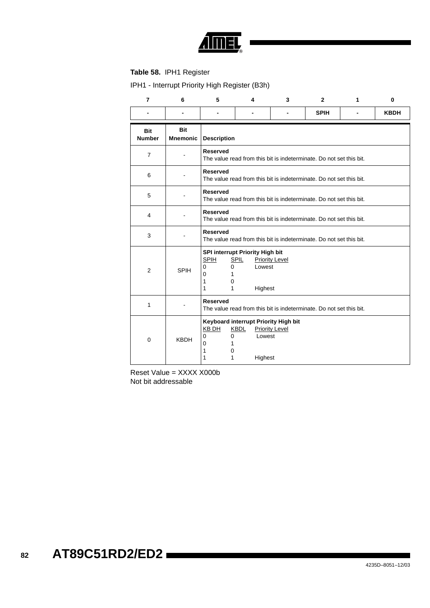

## **Table 58.** IPH1 Register

IPH1 - Interrupt Priority High Register (B3h)

| $\overline{7}$       | 6                             | 5                                                             | $\overline{\mathbf{4}}$                                             | 3                                                                   | $\overline{2}$ | 1 | $\bf{0}$    |
|----------------------|-------------------------------|---------------------------------------------------------------|---------------------------------------------------------------------|---------------------------------------------------------------------|----------------|---|-------------|
|                      |                               |                                                               |                                                                     |                                                                     | <b>SPIH</b>    |   | <b>KBDH</b> |
| Bit<br><b>Number</b> | <b>Bit</b><br><b>Mnemonic</b> | <b>Description</b>                                            |                                                                     |                                                                     |                |   |             |
| $\overline{7}$       |                               | <b>Reserved</b>                                               |                                                                     | The value read from this bit is indeterminate. Do not set this bit. |                |   |             |
| 6                    |                               | <b>Reserved</b>                                               |                                                                     | The value read from this bit is indeterminate. Do not set this bit. |                |   |             |
| 5                    |                               | <b>Reserved</b>                                               |                                                                     | The value read from this bit is indeterminate. Do not set this bit. |                |   |             |
| $\overline{4}$       |                               | <b>Reserved</b>                                               |                                                                     | The value read from this bit is indeterminate. Do not set this bit. |                |   |             |
| 3                    |                               | <b>Reserved</b>                                               |                                                                     | The value read from this bit is indeterminate. Do not set this bit. |                |   |             |
| $\overline{2}$       | <b>SPIH</b>                   | <b>SPIH</b><br>0<br>$\mathbf 0$<br>0<br>1<br>1<br>0<br>1<br>1 | SPI interrupt Priority High bit<br><b>SPIL</b><br>Lowest<br>Highest | <b>Priority Level</b>                                               |                |   |             |
| 1                    |                               | <b>Reserved</b>                                               |                                                                     | The value read from this bit is indeterminate. Do not set this bit. |                |   |             |
| $\mathbf 0$          | <b>KBDH</b>                   | KB DH<br>$\Omega$<br>0<br>0<br>1<br>1<br>0<br>1<br>1          | Keyboard interrupt Priority High bit<br>KBDL<br>Lowest<br>Highest   | <b>Priority Level</b>                                               |                |   |             |

Reset Value = XXXX X000b Not bit addressable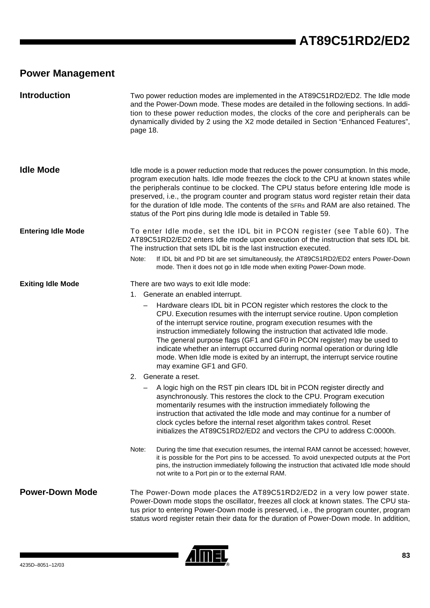# **Power Management**

| <b>Introduction</b>       | Two power reduction modes are implemented in the AT89C51RD2/ED2. The Idle mode<br>and the Power-Down mode. These modes are detailed in the following sections. In addi-<br>tion to these power reduction modes, the clocks of the core and peripherals can be<br>dynamically divided by 2 using the X2 mode detailed in Section "Enhanced Features",<br>page 18.                                                                                                                                                                                                                                                                                                                                                                                                                                                                                                                                                                                                                                                                                                                                                                                                                                                                                                                                                                                                                                                                                                                                        |
|---------------------------|---------------------------------------------------------------------------------------------------------------------------------------------------------------------------------------------------------------------------------------------------------------------------------------------------------------------------------------------------------------------------------------------------------------------------------------------------------------------------------------------------------------------------------------------------------------------------------------------------------------------------------------------------------------------------------------------------------------------------------------------------------------------------------------------------------------------------------------------------------------------------------------------------------------------------------------------------------------------------------------------------------------------------------------------------------------------------------------------------------------------------------------------------------------------------------------------------------------------------------------------------------------------------------------------------------------------------------------------------------------------------------------------------------------------------------------------------------------------------------------------------------|
| <b>Idle Mode</b>          | Idle mode is a power reduction mode that reduces the power consumption. In this mode,<br>program execution halts. Idle mode freezes the clock to the CPU at known states while<br>the peripherals continue to be clocked. The CPU status before entering Idle mode is<br>preserved, i.e., the program counter and program status word register retain their data<br>for the duration of Idle mode. The contents of the SFRs and RAM are also retained. The<br>status of the Port pins during Idle mode is detailed in Table 59.                                                                                                                                                                                                                                                                                                                                                                                                                                                                                                                                                                                                                                                                                                                                                                                                                                                                                                                                                                         |
| <b>Entering Idle Mode</b> | To enter Idle mode, set the IDL bit in PCON register (see Table 60). The<br>AT89C51RD2/ED2 enters Idle mode upon execution of the instruction that sets IDL bit.<br>The instruction that sets IDL bit is the last instruction executed.<br>If IDL bit and PD bit are set simultaneously, the AT89C51RD2/ED2 enters Power-Down<br>Note:<br>mode. Then it does not go in Idle mode when exiting Power-Down mode.                                                                                                                                                                                                                                                                                                                                                                                                                                                                                                                                                                                                                                                                                                                                                                                                                                                                                                                                                                                                                                                                                          |
| <b>Exiting Idle Mode</b>  | There are two ways to exit Idle mode:<br>1. Generate an enabled interrupt.<br>Hardware clears IDL bit in PCON register which restores the clock to the<br>CPU. Execution resumes with the interrupt service routine. Upon completion<br>of the interrupt service routine, program execution resumes with the<br>instruction immediately following the instruction that activated Idle mode.<br>The general purpose flags (GF1 and GF0 in PCON register) may be used to<br>indicate whether an interrupt occurred during normal operation or during Idle<br>mode. When Idle mode is exited by an interrupt, the interrupt service routine<br>may examine GF1 and GF0.<br>2. Generate a reset.<br>A logic high on the RST pin clears IDL bit in PCON register directly and<br>asynchronously. This restores the clock to the CPU. Program execution<br>momentarily resumes with the instruction immediately following the<br>instruction that activated the Idle mode and may continue for a number of<br>clock cycles before the internal reset algorithm takes control. Reset<br>initializes the AT89C51RD2/ED2 and vectors the CPU to address C:0000h.<br>Note:<br>During the time that execution resumes, the internal RAM cannot be accessed; however,<br>it is possible for the Port pins to be accessed. To avoid unexpected outputs at the Port<br>pins, the instruction immediately following the instruction that activated Idle mode should<br>not write to a Port pin or to the external RAM. |
| <b>Power-Down Mode</b>    | The Power-Down mode places the AT89C51RD2/ED2 in a very low power state.<br>Power-Down mode stops the oscillator, freezes all clock at known states. The CPU sta-<br>tus prior to entering Power-Down mode is preserved, i.e., the program counter, program<br>status word register retain their data for the duration of Power-Down mode. In addition,                                                                                                                                                                                                                                                                                                                                                                                                                                                                                                                                                                                                                                                                                                                                                                                                                                                                                                                                                                                                                                                                                                                                                 |

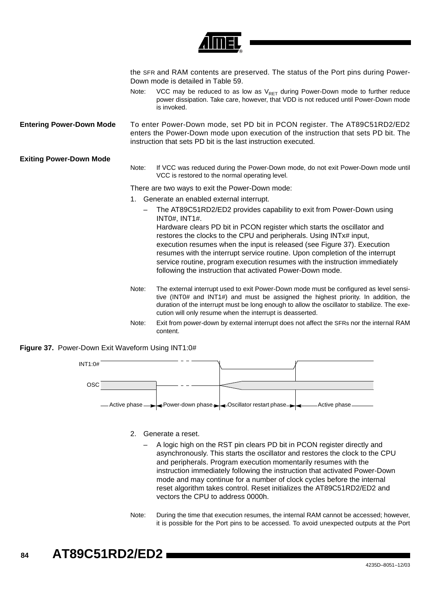|                                 |       | the SFR and RAM contents are preserved. The status of the Port pins during Power-<br>Down mode is detailed in Table 59.                                                                                                                                                                                                                                                                                                                                                                                                                              |
|---------------------------------|-------|------------------------------------------------------------------------------------------------------------------------------------------------------------------------------------------------------------------------------------------------------------------------------------------------------------------------------------------------------------------------------------------------------------------------------------------------------------------------------------------------------------------------------------------------------|
|                                 | Note: | VCC may be reduced to as low as $V_{RET}$ during Power-Down mode to further reduce<br>power dissipation. Take care, however, that VDD is not reduced until Power-Down mode<br>is invoked.                                                                                                                                                                                                                                                                                                                                                            |
| <b>Entering Power-Down Mode</b> |       | To enter Power-Down mode, set PD bit in PCON register. The AT89C51RD2/ED2<br>enters the Power-Down mode upon execution of the instruction that sets PD bit. The<br>instruction that sets PD bit is the last instruction executed.                                                                                                                                                                                                                                                                                                                    |
| <b>Exiting Power-Down Mode</b>  | Note: | If VCC was reduced during the Power-Down mode, do not exit Power-Down mode until<br>VCC is restored to the normal operating level.                                                                                                                                                                                                                                                                                                                                                                                                                   |
|                                 |       | There are two ways to exit the Power-Down mode:                                                                                                                                                                                                                                                                                                                                                                                                                                                                                                      |
|                                 |       | 1. Generate an enabled external interrupt.                                                                                                                                                                                                                                                                                                                                                                                                                                                                                                           |
|                                 |       | The AT89C51RD2/ED2 provides capability to exit from Power-Down using<br><b>INT0#, INT1#.</b><br>Hardware clears PD bit in PCON register which starts the oscillator and<br>restores the clocks to the CPU and peripherals. Using INTx# input,<br>execution resumes when the input is released (see Figure 37). Execution<br>resumes with the interrupt service routine. Upon completion of the interrupt<br>service routine, program execution resumes with the instruction immediately<br>following the instruction that activated Power-Down mode. |
|                                 | Note: | The external interrupt used to exit Power-Down mode must be configured as level sensi-<br>tive (INT0# and INT1#) and must be assigned the highest priority. In addition, the<br>duration of the interrupt must be long enough to allow the oscillator to stabilize. The exe-<br>cution will only resume when the interrupt is deasserted.                                                                                                                                                                                                            |
|                                 | Note: | Exit from power-down by external interrupt does not affect the SFRs nor the internal RAM                                                                                                                                                                                                                                                                                                                                                                                                                                                             |

### <span id="page-82-0"></span>**Figure 37.** Power-Down Exit Waveform Using INT1:0#



2. Generate a reset.

content.

- A logic high on the RST pin clears PD bit in PCON register directly and asynchronously. This starts the oscillator and restores the clock to the CPU and peripherals. Program execution momentarily resumes with the instruction immediately following the instruction that activated Power-Down mode and may continue for a number of clock cycles before the internal reset algorithm takes control. Reset initializes the AT89C51RD2/ED2 and vectors the CPU to address 0000h.
- Note: During the time that execution resumes, the internal RAM cannot be accessed; however, it is possible for the Port pins to be accessed. To avoid unexpected outputs at the Port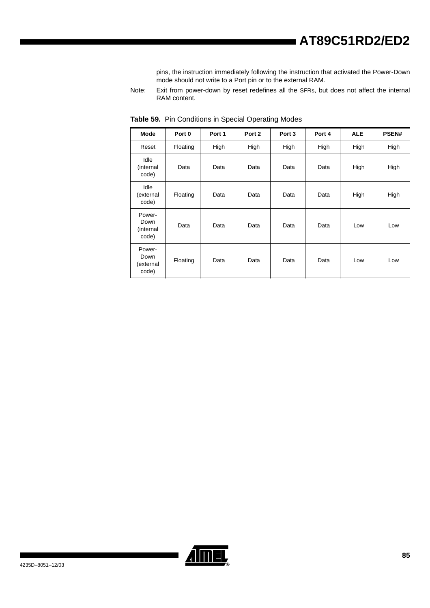pins, the instruction immediately following the instruction that activated the Power-Down mode should not write to a Port pin or to the external RAM.

Note: Exit from power-down by reset redefines all the SFRs, but does not affect the internal RAM content.

| <b>Mode</b>                          | Port 0   | Port 1 | Port 2 | Port <sub>3</sub> | Port 4 | <b>ALE</b> | <b>PSEN#</b> |
|--------------------------------------|----------|--------|--------|-------------------|--------|------------|--------------|
| Reset                                | Floating | High   | High   | High              | High   | High       | High         |
| Idle<br>(internal<br>code)           | Data     | Data   | Data   | Data              | Data   | High       | High         |
| Idle<br>(external<br>code)           | Floating | Data   | Data   | Data              | Data   | High       | High         |
| Power-<br>Down<br>(internal<br>code) | Data     | Data   | Data   | Data              | Data   | Low        | Low          |
| Power-<br>Down<br>(external<br>code) | Floating | Data   | Data   | Data              | Data   | Low        | Low          |

<span id="page-83-0"></span>**Table 59.** Pin Conditions in Special Operating Modes

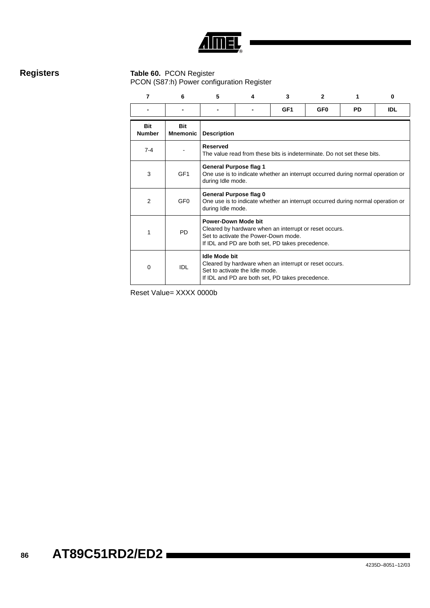

## **Registers Table 60.** PCON Register

<span id="page-84-0"></span>PCON (S87:h) Power configuration Register

| 7                           | 6                             | 5                    | 4                                                                                                                                                                         | 3                                                                                                          | $\mathbf{2}$    | 1         | 0          |  |  |
|-----------------------------|-------------------------------|----------------------|---------------------------------------------------------------------------------------------------------------------------------------------------------------------------|------------------------------------------------------------------------------------------------------------|-----------------|-----------|------------|--|--|
|                             |                               |                      |                                                                                                                                                                           | GF <sub>1</sub>                                                                                            | GF <sub>0</sub> | <b>PD</b> | <b>IDL</b> |  |  |
| <b>Bit</b><br><b>Number</b> | <b>Bit</b><br><b>Mnemonic</b> | <b>Description</b>   |                                                                                                                                                                           |                                                                                                            |                 |           |            |  |  |
| $7 - 4$                     |                               | <b>Reserved</b>      | The value read from these bits is indeterminate. Do not set these bits.                                                                                                   |                                                                                                            |                 |           |            |  |  |
| 3                           | GF <sub>1</sub>               |                      | <b>General Purpose flag 1</b><br>One use is to indicate whether an interrupt occurred during normal operation or<br>during Idle mode.                                     |                                                                                                            |                 |           |            |  |  |
| $\overline{2}$              | GF <sub>0</sub>               |                      | General Purpose flag 0<br>One use is to indicate whether an interrupt occurred during normal operation or<br>during Idle mode.                                            |                                                                                                            |                 |           |            |  |  |
| 1                           | <b>PD</b>                     |                      | Power-Down Mode bit<br>Cleared by hardware when an interrupt or reset occurs.<br>Set to activate the Power-Down mode.<br>If IDL and PD are both set, PD takes precedence. |                                                                                                            |                 |           |            |  |  |
| 0                           | IDL                           | <b>Idle Mode bit</b> | Set to activate the Idle mode.                                                                                                                                            | Cleared by hardware when an interrupt or reset occurs.<br>If IDL and PD are both set, PD takes precedence. |                 |           |            |  |  |

Reset Value= XXXX 0000b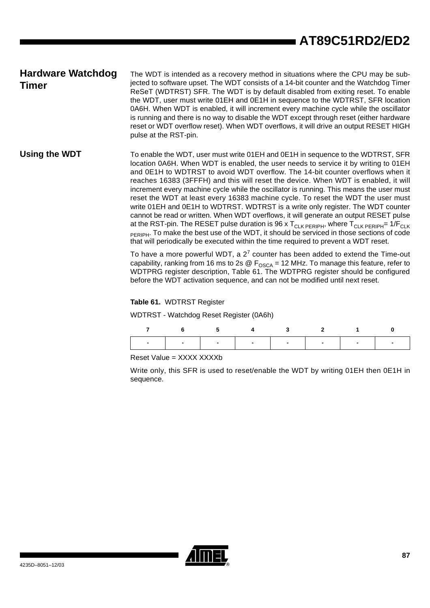# **Hardware Watchdog Timer**

The WDT is intended as a recovery method in situations where the CPU may be subjected to software upset. The WDT consists of a 14-bit counter and the Watchdog Timer ReSeT (WDTRST) SFR. The WDT is by default disabled from exiting reset. To enable the WDT, user must write 01EH and 0E1H in sequence to the WDTRST, SFR location 0A6H. When WDT is enabled, it will increment every machine cycle while the oscillator is running and there is no way to disable the WDT except through reset (either hardware reset or WDT overflow reset). When WDT overflows, it will drive an output RESET HIGH pulse at the RST-pin.

Using the WDT To enable the WDT, user must write 01EH and 0E1H in sequence to the WDTRST, SFR location 0A6H. When WDT is enabled, the user needs to service it by writing to 01EH and 0E1H to WDTRST to avoid WDT overflow. The 14-bit counter overflows when it reaches 16383 (3FFFH) and this will reset the device. When WDT is enabled, it will increment every machine cycle while the oscillator is running. This means the user must reset the WDT at least every 16383 machine cycle. To reset the WDT the user must write 01EH and 0E1H to WDTRST. WDTRST is a write only register. The WDT counter cannot be read or written. When WDT overflows, it will generate an output RESET pulse at the RST-pin. The RESET pulse duration is 96 x  $T_{CLK\ PERIPH}$ , where  $T_{CLK\ PERIPH}$ = 1/ $F_{CLK}$ **PERIPH.** To make the best use of the WDT, it should be serviced in those sections of code that will periodically be executed within the time required to prevent a WDT reset.

> To have a more powerful WDT, a 2<sup>7</sup> counter has been added to extend the Time-out capability, ranking from 16 ms to 2s  $\circledR$  F<sub>OSCA</sub> = 12 MHz. To manage this feature, refer to WDTPRG register description, [Table 61.](#page-85-0) The WDTPRG register should be configured before the WDT activation sequence, and can not be modified until next reset.

<span id="page-85-0"></span>**Table 61.** WDTRST Register

WDTRST - Watchdog Reset Register (0A6h)

|                               | 7 6 5 4 3 2 1 0 |  |  |  |
|-------------------------------|-----------------|--|--|--|
| .   .   .   .   .   .   .   . |                 |  |  |  |

Reset Value = XXXX XXXXb

Write only, this SFR is used to reset/enable the WDT by writing 01EH then 0E1H in sequence.

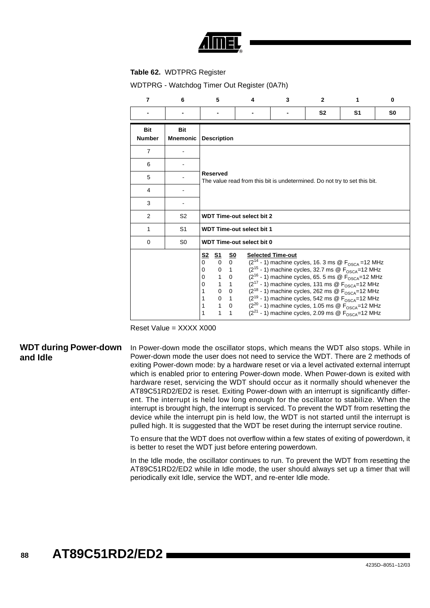

### **Table 62.** WDTPRG Register

WDTPRG - Watchdog Timer Out Register (0A7h)

| $\overline{7}$              | 6                             | 5                                                                                                                                                                                                                                                                           | 4                                                                               | 3                                                                                                                                                                                                                                                                                                                                                                                                                                                                                                                                                       | $\mathbf{2}$   | 1              | $\bf{0}$       |
|-----------------------------|-------------------------------|-----------------------------------------------------------------------------------------------------------------------------------------------------------------------------------------------------------------------------------------------------------------------------|---------------------------------------------------------------------------------|---------------------------------------------------------------------------------------------------------------------------------------------------------------------------------------------------------------------------------------------------------------------------------------------------------------------------------------------------------------------------------------------------------------------------------------------------------------------------------------------------------------------------------------------------------|----------------|----------------|----------------|
|                             |                               |                                                                                                                                                                                                                                                                             |                                                                                 |                                                                                                                                                                                                                                                                                                                                                                                                                                                                                                                                                         | S <sub>2</sub> | S <sub>1</sub> | S <sub>0</sub> |
| <b>Bit</b><br><b>Number</b> | <b>Bit</b><br><b>Mnemonic</b> | <b>Description</b>                                                                                                                                                                                                                                                          |                                                                                 |                                                                                                                                                                                                                                                                                                                                                                                                                                                                                                                                                         |                |                |                |
| $\overline{7}$              |                               |                                                                                                                                                                                                                                                                             |                                                                                 |                                                                                                                                                                                                                                                                                                                                                                                                                                                                                                                                                         |                |                |                |
| 6                           |                               |                                                                                                                                                                                                                                                                             |                                                                                 |                                                                                                                                                                                                                                                                                                                                                                                                                                                                                                                                                         |                |                |                |
| 5                           |                               | <b>Reserved</b>                                                                                                                                                                                                                                                             | The value read from this bit is undetermined. Do not try to set this bit.       |                                                                                                                                                                                                                                                                                                                                                                                                                                                                                                                                                         |                |                |                |
| 4                           |                               |                                                                                                                                                                                                                                                                             |                                                                                 |                                                                                                                                                                                                                                                                                                                                                                                                                                                                                                                                                         |                |                |                |
| 3                           |                               |                                                                                                                                                                                                                                                                             |                                                                                 |                                                                                                                                                                                                                                                                                                                                                                                                                                                                                                                                                         |                |                |                |
| 2                           | S <sub>2</sub>                |                                                                                                                                                                                                                                                                             | <b>WDT Time-out select bit 2</b>                                                |                                                                                                                                                                                                                                                                                                                                                                                                                                                                                                                                                         |                |                |                |
| 1                           | S <sub>1</sub>                |                                                                                                                                                                                                                                                                             | <b>WDT Time-out select bit 1</b>                                                |                                                                                                                                                                                                                                                                                                                                                                                                                                                                                                                                                         |                |                |                |
| 0                           | S <sub>0</sub>                |                                                                                                                                                                                                                                                                             | <b>WDT Time-out select bit 0</b>                                                |                                                                                                                                                                                                                                                                                                                                                                                                                                                                                                                                                         |                |                |                |
|                             |                               | S <sub>2</sub><br><u>S1</u><br>0<br>$\Omega$<br>$\mathbf 0$<br>$\mathbf 0$<br>$\overline{1}$<br>1<br>$\mathbf{0}$<br>$\Omega$<br>$\mathbf{1}$<br>$\Omega$<br>$\overline{1}$<br>$\mathbf{0}$<br>1<br>$\Omega$<br>1<br>$\mathbf{1}$<br>1<br>$\mathbf{1}$<br>1<br>$\mathbf{1}$ | <u>so</u><br>$\overline{0}$<br>$\overline{0}$<br>$\mathbf{1}$<br>$\overline{0}$ | <b>Selected Time-out</b><br>$(2^{14} - 1)$ machine cycles, 16. 3 ms @ $F_{OSCA} = 12$ MHz<br>$(2^{15} - 1)$ machine cycles, 32.7 ms @ $F_{OSCA} = 12$ MHz<br>$(2^{16} - 1)$ machine cycles, 65. 5 ms @ $F_{OSCA} = 12$ MHz<br>$(2^{17} - 1)$ machine cycles, 131 ms @ $F_{OSCA} = 12$ MHz<br>$(2^{18} - 1)$ machine cycles, 262 ms @ $F_{OSCA} = 12$ MHz<br>$(2^{19} - 1)$ machine cycles, 542 ms @ $F_{OSCA} = 12$ MHz<br>$(2^{20} - 1)$ machine cycles, 1.05 ms @ $F_{OSCA} = 12$ MHz<br>$(2^{21} - 1)$ machine cycles, 2.09 ms @ $F_{OSCA} = 12$ MHz |                |                |                |

Reset Value = XXXX X000

## **WDT during Power-down and Idle**

In Power-down mode the oscillator stops, which means the WDT also stops. While in Power-down mode the user does not need to service the WDT. There are 2 methods of exiting Power-down mode: by a hardware reset or via a level activated external interrupt which is enabled prior to entering Power-down mode. When Power-down is exited with hardware reset, servicing the WDT should occur as it normally should whenever the AT89C51RD2/ED2 is reset. Exiting Power-down with an interrupt is significantly different. The interrupt is held low long enough for the oscillator to stabilize. When the interrupt is brought high, the interrupt is serviced. To prevent the WDT from resetting the device while the interrupt pin is held low, the WDT is not started until the interrupt is pulled high. It is suggested that the WDT be reset during the interrupt service routine.

To ensure that the WDT does not overflow within a few states of exiting of powerdown, it is better to reset the WDT just before entering powerdown.

In the Idle mode, the oscillator continues to run. To prevent the WDT from resetting the AT89C51RD2/ED2 while in Idle mode, the user should always set up a timer that will periodically exit Idle, service the WDT, and re-enter Idle mode.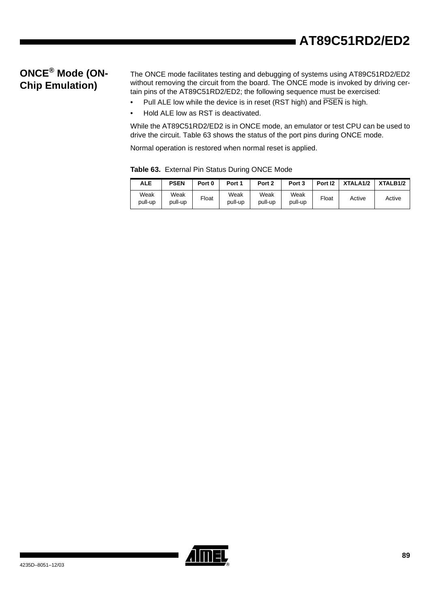# **ONCE® Mode (ON-Chip Emulation)**

The ONCE mode facilitates testing and debugging of systems using AT89C51RD2/ED2 without removing the circuit from the board. The ONCE mode is invoked by driving certain pins of the AT89C51RD2/ED2; the following sequence must be exercised:

- Pull ALE low while the device is in reset (RST high) and  $\overline{PSEN}$  is high.
- Hold ALE low as RST is deactivated.

While the AT89C51RD2/ED2 is in ONCE mode, an emulator or test CPU can be used to drive the circuit. [Table 63](#page-87-0) shows the status of the port pins during ONCE mode.

Normal operation is restored when normal reset is applied.

| ALE             | <b>PSEN</b>     | Port 0 | Port 1          | Port 2          | Port 3          | Port 12 | XTALA <sub>1/2</sub> | XTALB <sub>1</sub> /2 |
|-----------------|-----------------|--------|-----------------|-----------------|-----------------|---------|----------------------|-----------------------|
| Weak<br>pull-up | Weak<br>pull-up | Float  | Weak<br>pull-up | Weak<br>pull-up | Weak<br>pull-up | Float   | Active               | Active                |

<span id="page-87-0"></span>**Table 63.** External Pin Status During ONCE Mode

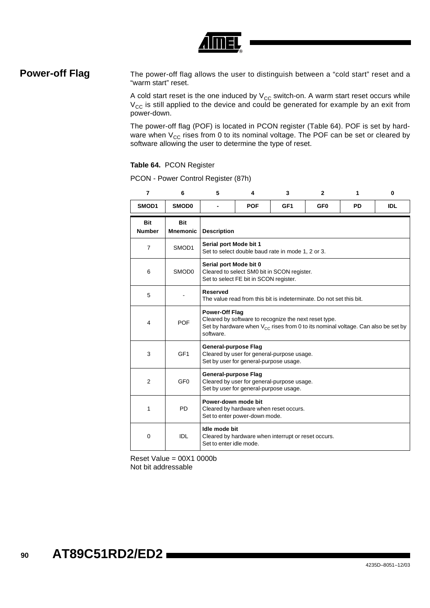

**Power-off Flag** The power-off flag allows the user to distinguish between a "cold start" reset and a "warm start" reset.

> A cold start reset is the one induced by  $V_{CC}$  switch-on. A warm start reset occurs while  $V_{CC}$  is still applied to the device and could be generated for example by an exit from power-down.

> The power-off flag (POF) is located in PCON register ([Table 64](#page-88-1)[\)](#page-88-0). POF is set by hardware when  $V_{CC}$  rises from 0 to its nominal voltage. The POF can be set or cleared by software allowing the user to determine the type of reset.

### <span id="page-88-1"></span>**Table 64.** PCON Register

| $\overline{7}$              | 6                             | 5                                                                                                                                                                                    | 4                                                                                                               | 3                                                   | $\mathbf{2}$    | 1         | 0          |  |
|-----------------------------|-------------------------------|--------------------------------------------------------------------------------------------------------------------------------------------------------------------------------------|-----------------------------------------------------------------------------------------------------------------|-----------------------------------------------------|-----------------|-----------|------------|--|
| SMOD1                       | <b>SMOD0</b>                  |                                                                                                                                                                                      | <b>POF</b>                                                                                                      | GF <sub>1</sub>                                     | GF <sub>0</sub> | <b>PD</b> | <b>IDL</b> |  |
| <b>Bit</b><br><b>Number</b> | <b>Bit</b><br><b>Mnemonic</b> | <b>Description</b>                                                                                                                                                                   |                                                                                                                 |                                                     |                 |           |            |  |
| $\overline{7}$              | SMOD1                         | Serial port Mode bit 1                                                                                                                                                               |                                                                                                                 | Set to select double baud rate in mode 1, 2 or 3.   |                 |           |            |  |
| 6                           | SMOD <sub>0</sub>             |                                                                                                                                                                                      | Serial port Mode bit 0<br>Cleared to select SM0 bit in SCON register.<br>Set to select FE bit in SCON register. |                                                     |                 |           |            |  |
| 5                           |                               | <b>Reserved</b>                                                                                                                                                                      | The value read from this bit is indeterminate. Do not set this bit.                                             |                                                     |                 |           |            |  |
| 4                           | <b>POF</b>                    | <b>Power-Off Flag</b><br>Cleared by software to recognize the next reset type.<br>Set by hardware when $V_{CC}$ rises from 0 to its nominal voltage. Can also be set by<br>software. |                                                                                                                 |                                                     |                 |           |            |  |
| 3                           | GF <sub>1</sub>               | General-purpose Flag                                                                                                                                                                 | Set by user for general-purpose usage.                                                                          | Cleared by user for general-purpose usage.          |                 |           |            |  |
| 2                           | GF <sub>0</sub>               | <b>General-purpose Flag</b>                                                                                                                                                          | Set by user for general-purpose usage.                                                                          | Cleared by user for general-purpose usage.          |                 |           |            |  |
| 1                           | <b>PD</b>                     |                                                                                                                                                                                      | Power-down mode bit<br>Cleared by hardware when reset occurs.<br>Set to enter power-down mode.                  |                                                     |                 |           |            |  |
| $\mathbf 0$                 | <b>IDL</b>                    | Idle mode bit<br>Set to enter idle mode.                                                                                                                                             |                                                                                                                 | Cleared by hardware when interrupt or reset occurs. |                 |           |            |  |

PCON - Power Control Register (87h)

<span id="page-88-0"></span>Reset Value = 00X1 0000b Not bit addressable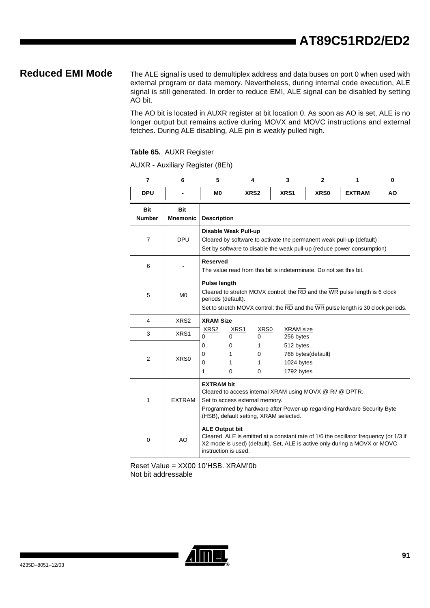**Reduced EMI Mode** The ALE signal is used to demultiplex address and data buses on port 0 when used with external program or data memory. Nevertheless, during internal code execution, ALE signal is still generated. In order to reduce EMI, ALE signal can be disabled by setting AO bit.

> The AO bit is located in AUXR register at bit location 0. As soon as AO is set, ALE is no longer output but remains active during MOVX and MOVC instructions and external fetches. During ALE disabling, ALE pin is weakly pulled high.

### **Table 65.** AUXR Register

AUXR - Auxiliary Register (8Eh)

| 7                           | 6                      | 5                                             | 4                                                                                                                                                                                                                                   | 3                                                                                                                                                                  | $\mathbf{2}$       | 1             | $\mathbf 0$ |  |
|-----------------------------|------------------------|-----------------------------------------------|-------------------------------------------------------------------------------------------------------------------------------------------------------------------------------------------------------------------------------------|--------------------------------------------------------------------------------------------------------------------------------------------------------------------|--------------------|---------------|-------------|--|
| <b>DPU</b>                  |                        | M <sub>0</sub>                                | XRS <sub>2</sub>                                                                                                                                                                                                                    | XRS1                                                                                                                                                               | XR <sub>S0</sub>   | <b>EXTRAM</b> | <b>AO</b>   |  |
| <b>Bit</b><br><b>Number</b> | Bit<br><b>Mnemonic</b> | <b>Description</b>                            |                                                                                                                                                                                                                                     |                                                                                                                                                                    |                    |               |             |  |
| $\overline{7}$              | <b>DPU</b>             |                                               | Disable Weak Pull-up<br>Cleared by software to activate the permanent weak pull-up (default)<br>Set by software to disable the weak pull-up (reduce power consumption)                                                              |                                                                                                                                                                    |                    |               |             |  |
| 6                           |                        | <b>Reserved</b>                               |                                                                                                                                                                                                                                     | The value read from this bit is indeterminate. Do not set this bit.                                                                                                |                    |               |             |  |
| 5                           | M <sub>0</sub>         | <b>Pulse length</b><br>periods (default).     |                                                                                                                                                                                                                                     | Cleared to stretch MOVX control: the RD and the WR pulse length is 6 clock<br>Set to stretch MOVX control: the RD and the WR pulse length is 30 clock periods.     |                    |               |             |  |
| $\overline{4}$              | XRS <sub>2</sub>       | <b>XRAM Size</b>                              |                                                                                                                                                                                                                                     |                                                                                                                                                                    |                    |               |             |  |
| 3                           | XRS1                   | XRS <sub>2</sub><br>0<br>0                    | XRS1<br>XRS0<br>0                                                                                                                                                                                                                   | <b>XRAM</b> size<br>256 bytes                                                                                                                                      |                    |               |             |  |
| $\overline{2}$              | XRS0                   | 0<br>0<br>0<br>1<br>0<br>1<br>1<br>0          | 1<br>0<br>1<br>0                                                                                                                                                                                                                    | 512 bytes<br>1024 bytes<br>1792 bytes                                                                                                                              | 768 bytes(default) |               |             |  |
| 1                           | <b>EXTRAM</b>          |                                               | <b>EXTRAM bit</b><br>Cleared to access internal XRAM using MOVX @ Ri/ @ DPTR.<br>Set to access external memory.<br>Programmed by hardware after Power-up regarding Hardware Security Byte<br>(HSB), default setting, XRAM selected. |                                                                                                                                                                    |                    |               |             |  |
| $\mathbf 0$                 | AO                     | <b>ALE Output bit</b><br>instruction is used. |                                                                                                                                                                                                                                     | Cleared, ALE is emitted at a constant rate of 1/6 the oscillator frequency (or 1/3 if<br>X2 mode is used) (default). Set, ALE is active only during a MOVX or MOVC |                    |               |             |  |

Reset Value = XX00 10'HSB. XRAM'0b Not bit addressable

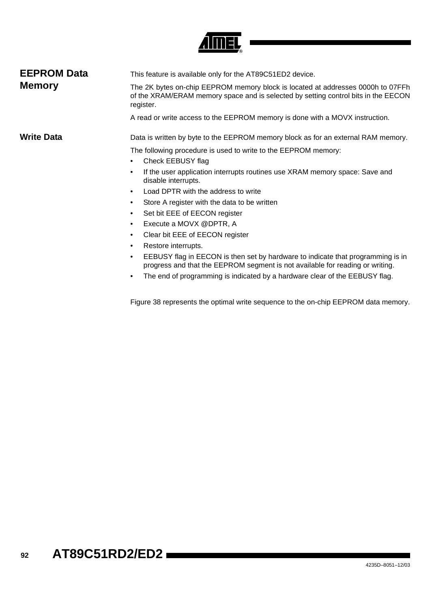

| <b>EEPROM Data</b> | This feature is available only for the AT89C51ED2 device.                                                                                                                          |  |  |  |  |
|--------------------|------------------------------------------------------------------------------------------------------------------------------------------------------------------------------------|--|--|--|--|
| <b>Memory</b>      | The 2K bytes on-chip EEPROM memory block is located at addresses 0000h to 07FFh<br>of the XRAM/ERAM memory space and is selected by setting control bits in the EECON<br>register. |  |  |  |  |
|                    | A read or write access to the EEPROM memory is done with a MOVX instruction.                                                                                                       |  |  |  |  |
| Write Data         | Data is written by byte to the EEPROM memory block as for an external RAM memory.                                                                                                  |  |  |  |  |
|                    | The following procedure is used to write to the EEPROM memory:<br>Check EEBUSY flag                                                                                                |  |  |  |  |
|                    | If the user application interrupts routines use XRAM memory space: Save and<br>disable interrupts.                                                                                 |  |  |  |  |
|                    | Load DPTR with the address to write                                                                                                                                                |  |  |  |  |
|                    | Store A register with the data to be written                                                                                                                                       |  |  |  |  |
|                    | $Q_{\text{eff}}$ is the stream of the state of $Q_{\text{eff}}$                                                                                                                    |  |  |  |  |

- Set bit EEE of EECON register • Execute a MOVX @DPTR, A
- Clear bit EEE of EECON register
- Restore interrupts.
- EEBUSY flag in EECON is then set by hardware to indicate that programming is in progress and that the EEPROM segment is not available for reading or writing.
- The end of programming is indicated by a hardware clear of the EEBUSY flag.

[Figure 38](#page-91-0) represents the optimal write sequence to the on-chip EEPROM data memory.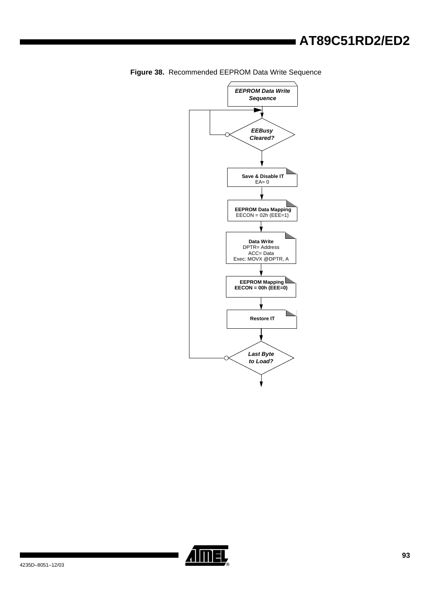

<span id="page-91-0"></span>**Figure 38.** Recommended EEPROM Data Write Sequence

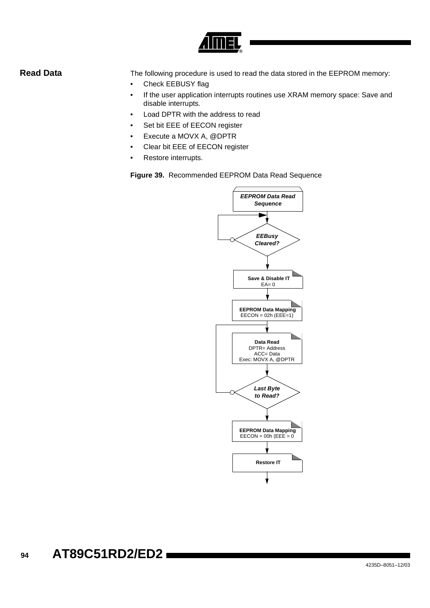

**Read Data** The following procedure is used to read the data stored in the EEPROM memory:

- Check EEBUSY flag
- If the user application interrupts routines use XRAM memory space: Save and disable interrupts.
- Load DPTR with the address to read
- Set bit EEE of EECON register
- Execute a MOVX A, @DPTR
- Clear bit EEE of EECON register
- Restore interrupts.

**Figure 39.** Recommended EEPROM Data Read Sequence

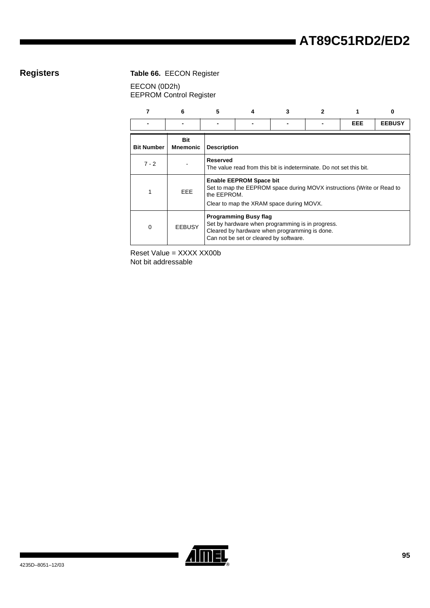# **Registers Table 66.** EECON Register

EECON (0D2h) EEPROM Control Register

|                   | 6                      | 5           |                                                                     |                                                                                                                                             |                                                                        |     |               |  |  |
|-------------------|------------------------|-------------|---------------------------------------------------------------------|---------------------------------------------------------------------------------------------------------------------------------------------|------------------------------------------------------------------------|-----|---------------|--|--|
|                   |                        |             |                                                                     |                                                                                                                                             |                                                                        | EEE | <b>EEBUSY</b> |  |  |
| <b>Bit Number</b> | Bit<br><b>Mnemonic</b> |             | <b>Description</b>                                                  |                                                                                                                                             |                                                                        |     |               |  |  |
| $7 - 2$           |                        | Reserved    | The value read from this bit is indeterminate. Do not set this bit. |                                                                                                                                             |                                                                        |     |               |  |  |
|                   | <b>EEE</b>             | the EEPROM. | <b>Enable EEPROM Space bit</b>                                      | Clear to map the XRAM space during MOVX.                                                                                                    | Set to map the EEPROM space during MOVX instructions (Write or Read to |     |               |  |  |
| $\Omega$          | <b>EEBUSY</b>          |             | <b>Programming Busy flag</b>                                        | Set by hardware when programming is in progress.<br>Cleared by hardware when programming is done.<br>Can not be set or cleared by software. |                                                                        |     |               |  |  |

Reset Value = XXXX XX00b Not bit addressable

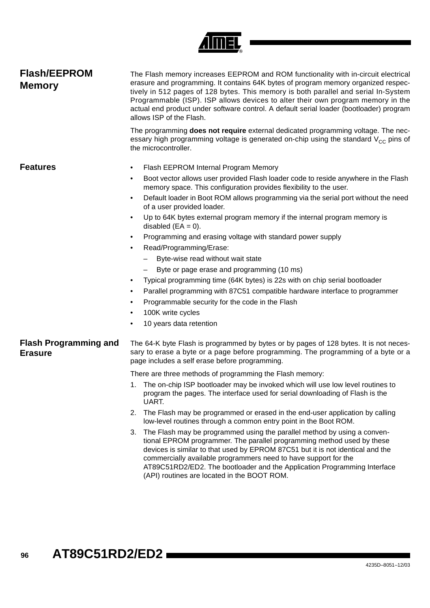

| <b>Flash/EEPROM</b><br><b>Memory</b>           | The Flash memory increases EEPROM and ROM functionality with in-circuit electrical<br>erasure and programming. It contains 64K bytes of program memory organized respec-<br>tively in 512 pages of 128 bytes. This memory is both parallel and serial In-System<br>Programmable (ISP). ISP allows devices to alter their own program memory in the<br>actual end product under software control. A default serial loader (bootloader) program<br>allows ISP of the Flash. |
|------------------------------------------------|---------------------------------------------------------------------------------------------------------------------------------------------------------------------------------------------------------------------------------------------------------------------------------------------------------------------------------------------------------------------------------------------------------------------------------------------------------------------------|
|                                                | The programming <b>does not require</b> external dedicated programming voltage. The nec-<br>essary high programming voltage is generated on-chip using the standard $V_{CC}$ pins of<br>the microcontroller.                                                                                                                                                                                                                                                              |
| <b>Features</b>                                | Flash EEPROM Internal Program Memory<br>٠                                                                                                                                                                                                                                                                                                                                                                                                                                 |
|                                                | Boot vector allows user provided Flash loader code to reside anywhere in the Flash<br>$\bullet$<br>memory space. This configuration provides flexibility to the user.                                                                                                                                                                                                                                                                                                     |
|                                                | Default loader in Boot ROM allows programming via the serial port without the need<br>$\bullet$<br>of a user provided loader.                                                                                                                                                                                                                                                                                                                                             |
|                                                | Up to 64K bytes external program memory if the internal program memory is<br>$\bullet$<br>disabled $(EA = 0)$ .                                                                                                                                                                                                                                                                                                                                                           |
|                                                | Programming and erasing voltage with standard power supply<br>٠                                                                                                                                                                                                                                                                                                                                                                                                           |
|                                                | Read/Programming/Erase:<br>$\bullet$                                                                                                                                                                                                                                                                                                                                                                                                                                      |
|                                                | Byte-wise read without wait state                                                                                                                                                                                                                                                                                                                                                                                                                                         |
|                                                | Byte or page erase and programming (10 ms)                                                                                                                                                                                                                                                                                                                                                                                                                                |
|                                                | Typical programming time (64K bytes) is 22s with on chip serial bootloader<br>$\bullet$                                                                                                                                                                                                                                                                                                                                                                                   |
|                                                | Parallel programming with 87C51 compatible hardware interface to programmer<br>$\bullet$                                                                                                                                                                                                                                                                                                                                                                                  |
|                                                | Programmable security for the code in the Flash<br>٠<br>100K write cycles<br>٠                                                                                                                                                                                                                                                                                                                                                                                            |
|                                                | 10 years data retention                                                                                                                                                                                                                                                                                                                                                                                                                                                   |
| <b>Flash Programming and</b><br><b>Erasure</b> | The 64-K byte Flash is programmed by bytes or by pages of 128 bytes. It is not neces-<br>sary to erase a byte or a page before programming. The programming of a byte or a<br>page includes a self erase before programming.                                                                                                                                                                                                                                              |
|                                                | There are three methods of programming the Flash memory:                                                                                                                                                                                                                                                                                                                                                                                                                  |
|                                                | 1. The on-chip ISP bootloader may be invoked which will use low level routines to<br>program the pages. The interface used for serial downloading of Flash is the<br>UART.                                                                                                                                                                                                                                                                                                |
|                                                | The Flash may be programmed or erased in the end-user application by calling<br>2.<br>low-level routines through a common entry point in the Boot ROM.                                                                                                                                                                                                                                                                                                                    |
|                                                | The Flash may be programmed using the parallel method by using a conven-<br>3.<br>tional EPROM programmer. The parallel programming method used by these<br>devices is similar to that used by EPROM 87C51 but it is not identical and the<br>commercially available programmers need to have support for the<br>AT89C51RD2/ED2. The bootloader and the Application Programming Interface<br>(API) routines are located in the BOOT ROM.                                  |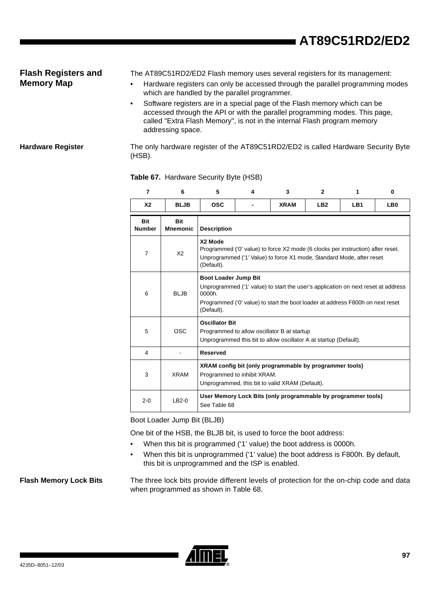## **Flash Registers and Memory Map**

The AT89C51RD2/ED2 Flash memory uses several registers for its management:

- Hardware registers can only be accessed through the parallel programming modes which are handled by the parallel programmer.
- Software registers are in a special page of the Flash memory which can be accessed through the API or with the parallel programming modes. This page, called "Extra Flash Memory", is not in the internal Flash program memory addressing space.

**Hardware Register** The only hardware register of the AT89C51RD2/ED2 is called Hardware Security Byte (HSB).

| $\overline{7}$              | 6                             | 5                           | 4                                                                                                                                                                                                  | 3                                                                                                                | $\mathbf{2}$    | 1   | 0               |  |  |  |
|-----------------------------|-------------------------------|-----------------------------|----------------------------------------------------------------------------------------------------------------------------------------------------------------------------------------------------|------------------------------------------------------------------------------------------------------------------|-----------------|-----|-----------------|--|--|--|
| X <sub>2</sub>              | <b>BLJB</b>                   | <b>OSC</b>                  |                                                                                                                                                                                                    | <b>XRAM</b>                                                                                                      | LB <sub>2</sub> | LB1 | LB <sub>0</sub> |  |  |  |
| <b>Bit</b><br><b>Number</b> | <b>Bit</b><br><b>Mnemonic</b> | <b>Description</b>          |                                                                                                                                                                                                    |                                                                                                                  |                 |     |                 |  |  |  |
| $\overline{7}$              | X2                            | X2 Mode<br>(Default).       | Programmed ('0' value) to force X2 mode (6 clocks per instruction) after reset.<br>Unprogrammed ('1' Value) to force X1 mode, Standard Mode, after reset                                           |                                                                                                                  |                 |     |                 |  |  |  |
| 6                           | BI JB                         | 0000h<br>(Default).         | <b>Boot Loader Jump Bit</b><br>Unprogrammed ('1' value) to start the user's application on next reset at address<br>Programmed ('0' value) to start the boot loader at address F800h on next reset |                                                                                                                  |                 |     |                 |  |  |  |
| 5                           | OSC.                          | <b>Oscillator Bit</b>       |                                                                                                                                                                                                    | Programmed to allow oscillator B at startup<br>Unprogrammed this bit to allow oscillator A at startup (Default). |                 |     |                 |  |  |  |
| 4                           |                               | <b>Reserved</b>             |                                                                                                                                                                                                    |                                                                                                                  |                 |     |                 |  |  |  |
| 3                           | <b>XRAM</b>                   | Programmed to inhibit XRAM. |                                                                                                                                                                                                    | XRAM config bit (only programmable by programmer tools)<br>Unprogrammed, this bit to valid XRAM (Default).       |                 |     |                 |  |  |  |
| $2 - 0$                     | $LB2-0$                       | See Table 68                |                                                                                                                                                                                                    | User Memory Lock Bits (only programmable by programmer tools)                                                    |                 |     |                 |  |  |  |

### **Table 67.** Hardware Security Byte (HSB)

Boot Loader Jump Bit (BLJB)

One bit of the HSB, the BLJB bit, is used to force the boot address:

- When this bit is programmed ('1' value) the boot address is 0000h.
- When this bit is unprogrammed ('1' value) the boot address is F800h. By default, this bit is unprogrammed and the ISP is enabled.

**Flash Memory Lock Bits** The three lock bits provide different levels of protection for the on-chip code and data when programmed as shown in [Table 68.](#page-96-0)

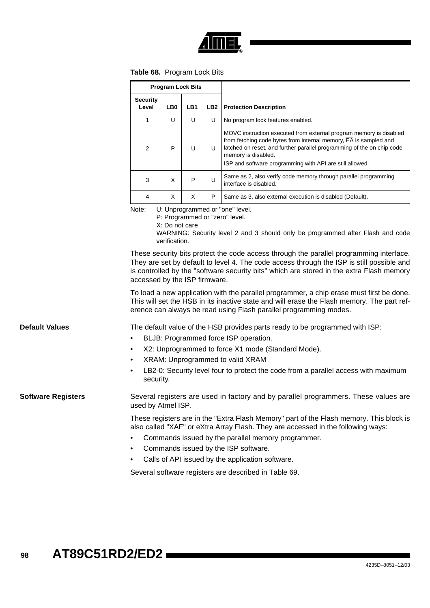

<span id="page-96-0"></span>

|  | Table 68. Program Lock Bits |  |  |
|--|-----------------------------|--|--|
|--|-----------------------------|--|--|

|                           |                          |                                                                                                                                                                                                                                                                                                                   | <b>Program Lock Bits</b> |     |                                                                                                                                                                                                                                                                                                     |  |
|---------------------------|--------------------------|-------------------------------------------------------------------------------------------------------------------------------------------------------------------------------------------------------------------------------------------------------------------------------------------------------------------|--------------------------|-----|-----------------------------------------------------------------------------------------------------------------------------------------------------------------------------------------------------------------------------------------------------------------------------------------------------|--|
|                           | <b>Security</b><br>Level | LB0                                                                                                                                                                                                                                                                                                               | LB1                      | LB2 | <b>Protection Description</b>                                                                                                                                                                                                                                                                       |  |
|                           | $\mathbf{1}$             | U                                                                                                                                                                                                                                                                                                                 | U                        | U   | No program lock features enabled.                                                                                                                                                                                                                                                                   |  |
|                           | 2                        | P                                                                                                                                                                                                                                                                                                                 | U                        | U   | MOVC instruction executed from external program memory is disabled<br>from fetching code bytes from internal memory, EA is sampled and<br>latched on reset, and further parallel programming of the on chip code<br>memory is disabled.<br>ISP and software programming with API are still allowed. |  |
|                           | 3                        | X                                                                                                                                                                                                                                                                                                                 | P                        | U   | Same as 2, also verify code memory through parallel programming<br>interface is disabled.                                                                                                                                                                                                           |  |
|                           | 4                        | X                                                                                                                                                                                                                                                                                                                 | X                        | P   | Same as 3, also external execution is disabled (Default).                                                                                                                                                                                                                                           |  |
|                           | Note:                    | U: Unprogrammed or "one" level.<br>P: Programmed or "zero" level.<br>X: Do not care<br>WARNING: Security level 2 and 3 should only be programmed after Flash and code<br>verification.                                                                                                                            |                          |     |                                                                                                                                                                                                                                                                                                     |  |
|                           |                          | These security bits protect the code access through the parallel programming interface.<br>They are set by default to level 4. The code access through the ISP is still possible and<br>is controlled by the "software security bits" which are stored in the extra Flash memory<br>accessed by the ISP firmware. |                          |     |                                                                                                                                                                                                                                                                                                     |  |
|                           |                          |                                                                                                                                                                                                                                                                                                                   |                          |     | To load a new application with the parallel programmer, a chip erase must first be done.<br>This will set the HSB in its inactive state and will erase the Flash memory. The part ref-<br>erence can always be read using Flash parallel programming modes.                                         |  |
| <b>Default Values</b>     |                          |                                                                                                                                                                                                                                                                                                                   |                          |     | The default value of the HSB provides parts ready to be programmed with ISP:<br>BLJB: Programmed force ISP operation.                                                                                                                                                                               |  |
|                           | ٠                        |                                                                                                                                                                                                                                                                                                                   |                          |     | X2: Unprogrammed to force X1 mode (Standard Mode).                                                                                                                                                                                                                                                  |  |
|                           | $\bullet$                |                                                                                                                                                                                                                                                                                                                   |                          |     | XRAM: Unprogrammed to valid XRAM                                                                                                                                                                                                                                                                    |  |
|                           | ٠<br>security.           |                                                                                                                                                                                                                                                                                                                   |                          |     | LB2-0: Security level four to protect the code from a parallel access with maximum                                                                                                                                                                                                                  |  |
| <b>Software Registers</b> | used by Atmel ISP.       |                                                                                                                                                                                                                                                                                                                   |                          |     | Several registers are used in factory and by parallel programmers. These values are                                                                                                                                                                                                                 |  |
|                           |                          |                                                                                                                                                                                                                                                                                                                   |                          |     | These registers are in the "Extra Flash Memory" part of the Flash memory. This block is<br>also called "XAF" or eXtra Array Flash. They are accessed in the following ways:                                                                                                                         |  |
|                           |                          |                                                                                                                                                                                                                                                                                                                   |                          |     | Commands issued by the parallel memory programmer.                                                                                                                                                                                                                                                  |  |
|                           | ٠                        |                                                                                                                                                                                                                                                                                                                   |                          |     | Commands issued by the ISP software.                                                                                                                                                                                                                                                                |  |
|                           | ٠                        |                                                                                                                                                                                                                                                                                                                   |                          |     | Calls of API issued by the application software.                                                                                                                                                                                                                                                    |  |
|                           |                          |                                                                                                                                                                                                                                                                                                                   |                          |     | Several software registers are described in Table 69.                                                                                                                                                                                                                                               |  |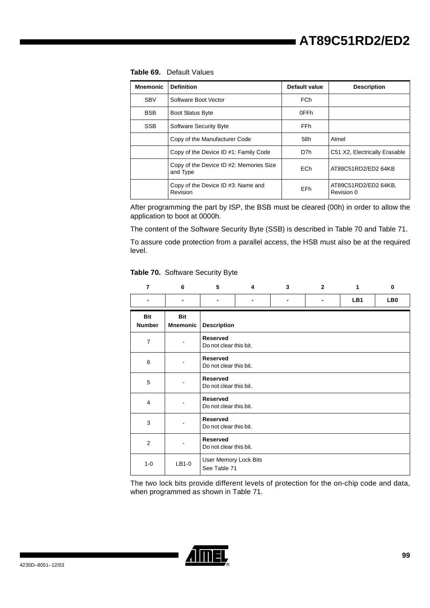<span id="page-97-0"></span>

| Default Values<br>Table 69. |
|-----------------------------|
|-----------------------------|

| <b>SBV</b> | Software Boot Vector                                | <b>FCh</b> |                                    |
|------------|-----------------------------------------------------|------------|------------------------------------|
| <b>BSB</b> | <b>Boot Status Byte</b>                             | 0FFh       |                                    |
| <b>SSB</b> | Software Security Byte                              | <b>FFh</b> |                                    |
|            | Copy of the Manufacturer Code                       | 58h        | Atmel                              |
|            | Copy of the Device ID #1: Family Code               | D7h        | C51 X2, Electrically Erasable      |
|            | Copy of the Device ID #2: Memories Size<br>and Type | <b>ECh</b> | AT89C51RD2/ED2 64KB                |
|            | Copy of the Device ID #3: Name and<br>Revision      | EFh        | AT89C51RD2/ED2 64KB,<br>Revision 0 |

**Mnemonic Definition Description** Default value Description

After programming the part by ISP, the BSB must be cleared (00h) in order to allow the application to boot at 0000h.

The content of the Software Security Byte (SSB) is described in [Table 70](#page-97-1) and [Table 71.](#page-98-0)

To assure code protection from a parallel access, the HSB must also be at the required level.

### <span id="page-97-1"></span>**Table 70.** Software Security Byte

| $\overline{7}$       | 6                      | 5                                         | 4                      | 3 | $\overline{2}$ | $\mathbf{1}$ | 0   |  |  |
|----------------------|------------------------|-------------------------------------------|------------------------|---|----------------|--------------|-----|--|--|
|                      |                        |                                           |                        |   | $\blacksquare$ | LB1          | LB0 |  |  |
| Bit<br><b>Number</b> | Bit<br><b>Mnemonic</b> | <b>Description</b>                        |                        |   |                |              |     |  |  |
| $\overline{7}$       |                        | <b>Reserved</b><br>Do not clear this bit. |                        |   |                |              |     |  |  |
| 6                    |                        | <b>Reserved</b>                           | Do not clear this bit. |   |                |              |     |  |  |
| 5                    |                        | <b>Reserved</b>                           | Do not clear this bit. |   |                |              |     |  |  |
| $\overline{4}$       |                        | <b>Reserved</b>                           | Do not clear this bit. |   |                |              |     |  |  |
| 3                    |                        | <b>Reserved</b>                           | Do not clear this bit. |   |                |              |     |  |  |
| $\overline{2}$       |                        | <b>Reserved</b>                           | Do not clear this bit. |   |                |              |     |  |  |
| $1 - 0$              | $LB1-0$                | User Memory Lock Bits<br>See Table 71     |                        |   |                |              |     |  |  |

The two lock bits provide different levels of protection for the on-chip code and data, when programmed as shown in [Table 71.](#page-98-0)

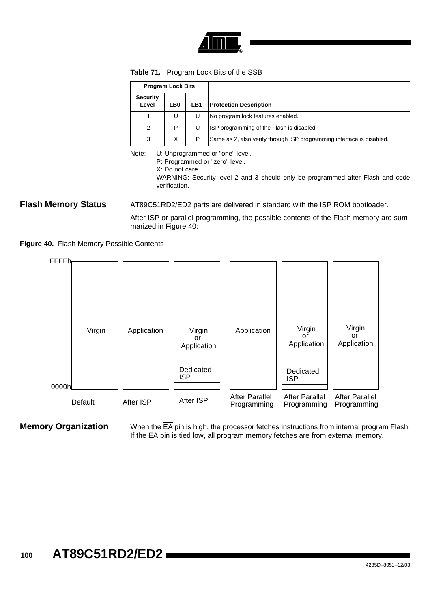

<span id="page-98-0"></span>

|  | <b>Table 71.</b> Program Lock Bits of the SSB |
|--|-----------------------------------------------|
|--|-----------------------------------------------|

| <b>Program Lock Bits</b> |     |     |                                                                       |
|--------------------------|-----|-----|-----------------------------------------------------------------------|
| <b>Security</b><br>Level | LB0 | LB1 | <b>Protection Description</b>                                         |
|                          | U   |     | No program lock features enabled.                                     |
| 2                        | P   | U   | ISP programming of the Flash is disabled.                             |
| 3                        | X   | P   | Same as 2, also verify through ISP programming interface is disabled. |

Note: U: Unprogrammed or "one" level.

P: Programmed or "zero" level.

X: Do not care

WARNING: Security level 2 and 3 should only be programmed after Flash and code verification.

**Flash Memory Status** AT89C51RD2/ED2 parts are delivered in standard with the ISP ROM bootloader.

After ISP or parallel programming, the possible contents of the Flash memory are summarized in [Figure 40:](#page-98-1)

<span id="page-98-1"></span>



**Memory Organization** When the  $\overline{EA}$  pin is high, the processor fetches instructions from internal program Flash. If the  $\overline{\mathsf{EA}}$  pin is tied low, all program memory fetches are from external memory.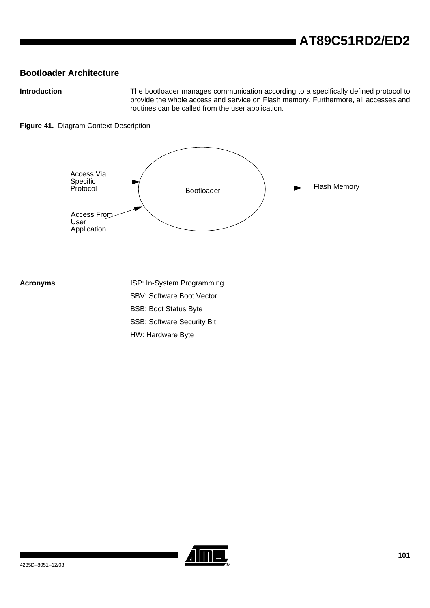## **Bootloader Architecture**

**Introduction** The bootloader manages communication according to a specifically defined protocol to provide the whole access and service on Flash memory. Furthermore, all accesses and routines can be called from the user application.

### **Figure 41.** Diagram Context Description



**Acronyms** ISP: In-System Programming SBV: Software Boot Vector BSB: Boot Status Byte SSB: Software Security Bit HW: Hardware Byte

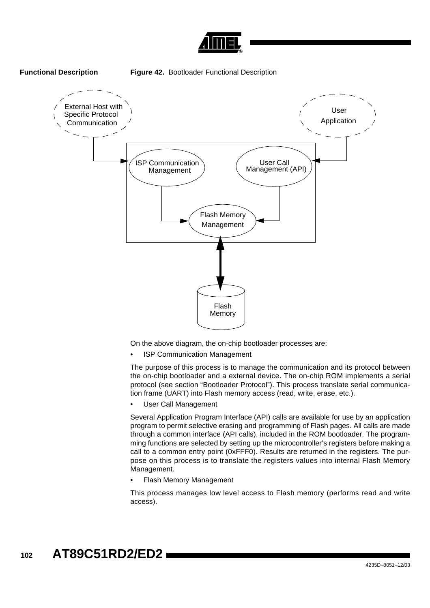





On the above diagram, the on-chip bootloader processes are:

**ISP Communication Management** 

The purpose of this process is to manage the communication and its protocol between the on-chip bootloader and a external device. The on-chip ROM implements a serial protocol (see section "Bootloader Protocol"). This process translate serial communication frame (UART) into Flash memory access (read, write, erase, etc.).

• User Call Management

Several Application Program Interface (API) calls are available for use by an application program to permit selective erasing and programming of Flash pages. All calls are made through a common interface (API calls), included in the ROM bootloader. The programming functions are selected by setting up the microcontroller's registers before making a call to a common entry point (0xFFF0). Results are returned in the registers. The purpose on this process is to translate the registers values into internal Flash Memory Management.

• Flash Memory Management

This process manages low level access to Flash memory (performs read and write access).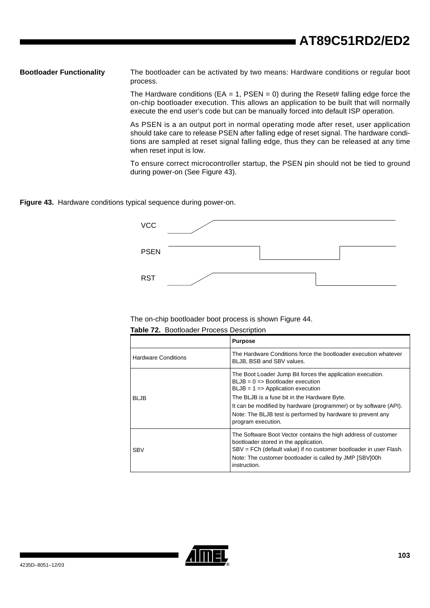**Bootloader Functionality** The bootloader can be activated by two means: Hardware conditions or regular boot process.

> The Hardware conditions ( $EA = 1$ , PSEN = 0) during the Reset# falling edge force the on-chip bootloader execution. This allows an application to be built that will normally execute the end user's code but can be manually forced into default ISP operation.

> As PSEN is a an output port in normal operating mode after reset, user application should take care to release PSEN after falling edge of reset signal. The hardware conditions are sampled at reset signal falling edge, thus they can be released at any time when reset input is low.

> To ensure correct microcontroller startup, the PSEN pin should not be tied to ground during power-on (See [Figure 43\)](#page-101-0).

<span id="page-101-0"></span>**Figure 43.** Hardware conditions typical sequence during power-on.



The on-chip bootloader boot process is shown [Figure 44.](#page-102-0)

**Table 72.** Bootloader Process Description

|                            | <b>Purpose</b>                                                                                                                                                                                                                                                                                                                                                   |
|----------------------------|------------------------------------------------------------------------------------------------------------------------------------------------------------------------------------------------------------------------------------------------------------------------------------------------------------------------------------------------------------------|
| <b>Hardware Conditions</b> | The Hardware Conditions force the bootloader execution whatever<br>BLJB, BSB and SBV values.                                                                                                                                                                                                                                                                     |
| <b>BLJB</b>                | The Boot Loader Jump Bit forces the application execution.<br>$BLJB = 0 \implies$ Bootloader execution<br>$BLJB = 1 \Rightarrow Application execution$<br>The BLJB is a fuse bit in the Hardware Byte.<br>It can be modified by hardware (programmer) or by software (API).<br>Note: The BLJB test is performed by hardware to prevent any<br>program execution. |
| <b>SBV</b>                 | The Software Boot Vector contains the high address of customer<br>bootloader stored in the application.<br>SBV = FCh (default value) if no customer bootloader in user Flash.<br>Note: The customer bootloader is called by JMP [SBV]00h<br>instruction.                                                                                                         |

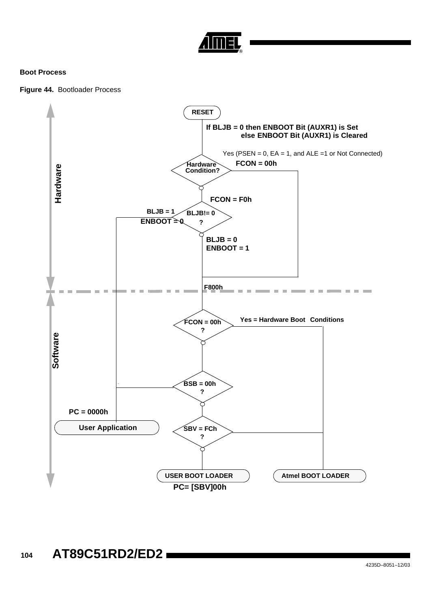

### **Boot Process**

<span id="page-102-0"></span>

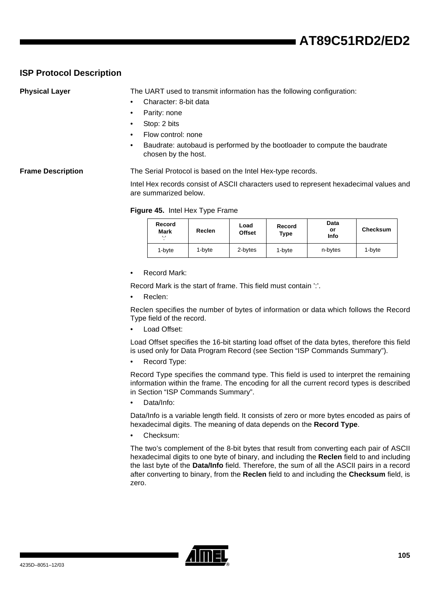# **ISP Protocol Description**

**Physical Layer** The UART used to transmit information has the following configuration:

- Character: 8-bit data
- Parity: none
- Stop: 2 bits
- Flow control: none
- Baudrate: autobaud is performed by the bootloader to compute the baudrate chosen by the host.

### **Frame Description** The Serial Protocol is based on the Intel Hex-type records.

Intel Hex records consist of ASCII characters used to represent hexadecimal values and are summarized below.

### **Figure 45.** Intel Hex Type Frame

| Record<br><b>Mark</b><br>, 1 | Reclen | Load<br>Record<br><b>Offset</b><br>Type |        | Data<br>or<br>Info | Checksum |  |
|------------------------------|--------|-----------------------------------------|--------|--------------------|----------|--|
| 1-byte                       | 1-byte | 2-bytes                                 | 1-byte | n-bytes            | 1-byte   |  |

• Record Mark:

Record Mark is the start of frame. This field must contain ':'.

Reclen:

Reclen specifies the number of bytes of information or data which follows the Record Type field of the record.

Load Offset:

Load Offset specifies the 16-bit starting load offset of the data bytes, therefore this field is used only for Data Program Record (see [Section "ISP Commands Summary"\)](#page-112-0).

Record Type:

Record Type specifies the command type. This field is used to interpret the remaining information within the frame. The encoding for all the current record types is described in [Section "ISP Commands Summary"](#page-112-0).

Data/Info:

Data/Info is a variable length field. It consists of zero or more bytes encoded as pairs of hexadecimal digits. The meaning of data depends on the **Record Type**.

Checksum:

The two's complement of the 8-bit bytes that result from converting each pair of ASCII hexadecimal digits to one byte of binary, and including the **Reclen** field to and including the last byte of the **Data/Info** field. Therefore, the sum of all the ASCII pairs in a record after converting to binary, from the **Reclen** field to and including the **Checksum** field, is zero.

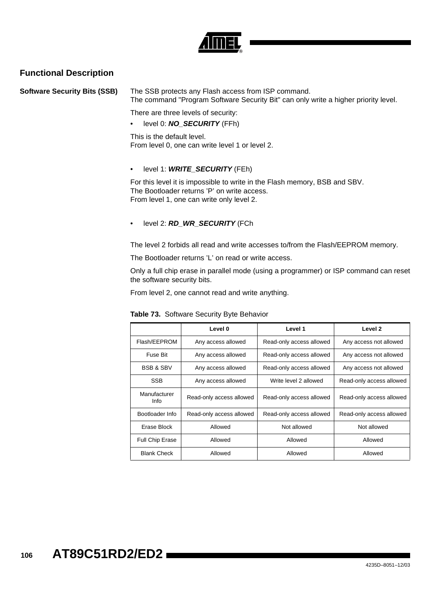

## **Functional Description**

**Software Security Bits (SSB)** The SSB protects any Flash access from ISP command. The command "Program Software Security Bit" can only write a higher priority level.

There are three levels of security:

• level 0: **NO\_SECURITY** (FFh)

This is the default level. From level 0, one can write level 1 or level 2.

### • level 1: **WRITE\_SECURITY** (FEh)

For this level it is impossible to write in the Flash memory, BSB and SBV. The Bootloader returns 'P' on write access. From level 1, one can write only level 2.

• level 2: **RD\_WR\_SECURITY** (FCh

The level 2 forbids all read and write accesses to/from the Flash/EEPROM memory.

The Bootloader returns 'L' on read or write access.

Only a full chip erase in parallel mode (using a programmer) or ISP command can reset the software security bits.

From level 2, one cannot read and write anything.

|                      | Level 0                  | Level 1                  | Level <sub>2</sub>       |
|----------------------|--------------------------|--------------------------|--------------------------|
| Flash/EEPROM         | Any access allowed       | Read-only access allowed | Any access not allowed   |
| Fuse Bit             | Any access allowed       | Read-only access allowed | Any access not allowed   |
| <b>BSB &amp; SBV</b> | Any access allowed       | Read-only access allowed | Any access not allowed   |
| <b>SSB</b>           | Any access allowed       | Write level 2 allowed    | Read-only access allowed |
| Manufacturer<br>Info | Read-only access allowed | Read-only access allowed | Read-only access allowed |
| Bootloader Info      | Read-only access allowed | Read-only access allowed | Read-only access allowed |
| Erase Block          | Allowed                  | Not allowed              | Not allowed              |
| Full Chip Erase      | Allowed                  | Allowed                  | Allowed                  |
| <b>Blank Check</b>   | Allowed                  | Allowed                  | Allowed                  |

**Table 73.** Software Security Byte Behavior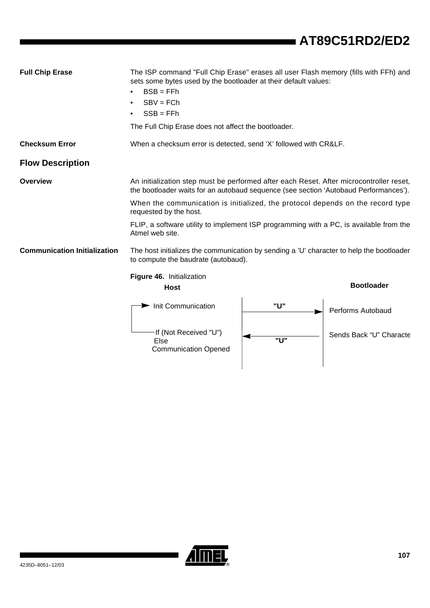| <b>Full Chip Erase</b>              | The ISP command "Full Chip Erase" erases all user Flash memory (fills with FFh) and<br>sets some bytes used by the bootloader at their default values:<br>$BSB = FFh$<br>$\bullet$<br>$SBV = FCh$<br>$\bullet$<br>$SSB = FFh$<br>The Full Chip Erase does not affect the bootloader. |     |                         |  |  |  |
|-------------------------------------|--------------------------------------------------------------------------------------------------------------------------------------------------------------------------------------------------------------------------------------------------------------------------------------|-----|-------------------------|--|--|--|
| <b>Checksum Error</b>               | When a checksum error is detected, send 'X' followed with CR&LF.                                                                                                                                                                                                                     |     |                         |  |  |  |
| <b>Flow Description</b>             |                                                                                                                                                                                                                                                                                      |     |                         |  |  |  |
| <b>Overview</b>                     | An initialization step must be performed after each Reset. After microcontroller reset,<br>the bootloader waits for an autobaud sequence (see section 'Autobaud Performances').                                                                                                      |     |                         |  |  |  |
|                                     | When the communication is initialized, the protocol depends on the record type<br>requested by the host.                                                                                                                                                                             |     |                         |  |  |  |
|                                     | FLIP, a software utility to implement ISP programming with a PC, is available from the<br>Atmel web site.                                                                                                                                                                            |     |                         |  |  |  |
| <b>Communication Initialization</b> | The host initializes the communication by sending a 'U' character to help the bootloader<br>to compute the baudrate (autobaud).                                                                                                                                                      |     |                         |  |  |  |
|                                     | Figure 46. Initialization<br><b>Bootloader</b><br><b>Host</b>                                                                                                                                                                                                                        |     |                         |  |  |  |
|                                     | Init Communication                                                                                                                                                                                                                                                                   | "U" | Performs Autobaud       |  |  |  |
|                                     | If (Not Received "U")<br><b>Else</b><br><b>Communication Opened</b>                                                                                                                                                                                                                  | "U" | Sends Back "U" Characte |  |  |  |



 $\overline{\phantom{0}}$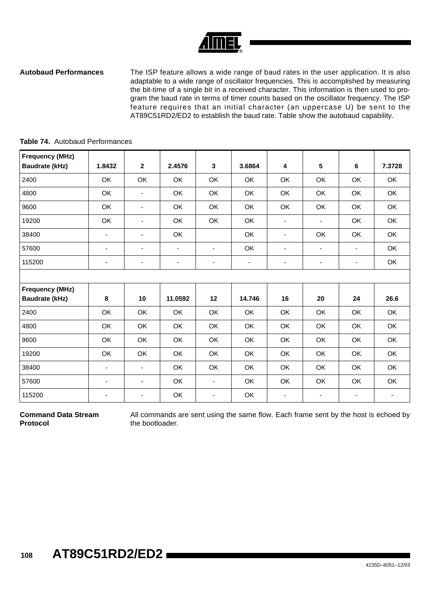**Autobaud Performances** The ISP feature allows a wide range of baud rates in the user application. It is also adaptable to a wide range of oscillator frequencies. This is accomplished by measuring the bit-time of a single bit in a received character. This information is then used to program the baud rate in terms of timer counts based on the oscillator frequency. The ISP feature requires that an initial character (an uppercase U) be sent to the AT89C51RD2/ED2 to establish the baud rate. Table show the autobaud capability.

| <b>Frequency (MHz)</b> |                          |                          |                          |                          |                          |                          |                          |                          |        |
|------------------------|--------------------------|--------------------------|--------------------------|--------------------------|--------------------------|--------------------------|--------------------------|--------------------------|--------|
| <b>Baudrate (kHz)</b>  | 1.8432                   | $\mathbf{2}$             | 2.4576                   | 3                        | 3.6864                   | 4                        | 5                        | 6                        | 7.3728 |
| 2400                   | OK                       | OK                       | OK                       | OK                       | OK                       | OK                       | OK                       | OK                       | OK     |
| 4800                   | OK                       | ÷,                       | OK                       | OK                       | OK                       | <b>OK</b>                | OK                       | OK                       | OK     |
| 9600                   | OK                       | $\blacksquare$           | OK                       | OK                       | OK                       | OK                       | OK                       | OK                       | OK     |
| 19200                  | OK                       | $\blacksquare$           | OK                       | OK                       | OK                       | $\overline{\phantom{a}}$ | $\overline{\phantom{a}}$ | OK                       | OK     |
| 38400                  | $\overline{\phantom{a}}$ | $\blacksquare$           | OK                       |                          | OK                       | $\blacksquare$           | OK                       | OK                       | OK     |
| 57600                  | ٠                        | $\blacksquare$           | $\blacksquare$           | $\blacksquare$           | OK                       | $\overline{\phantom{a}}$ | ٠                        | $\overline{\phantom{a}}$ | OK     |
| 115200                 | $\overline{\phantom{a}}$ | $\overline{\phantom{a}}$ | $\overline{\phantom{a}}$ | $\overline{\phantom{a}}$ | $\overline{\phantom{0}}$ | ۰                        | $\overline{\phantom{a}}$ | -                        | OK     |
|                        |                          |                          |                          |                          |                          |                          |                          |                          |        |
| <b>Frequency (MHz)</b> |                          |                          |                          |                          |                          |                          |                          |                          |        |
| <b>Baudrate (kHz)</b>  | 8                        | 10                       | 11.0592                  | 12                       | 14.746                   | 16                       | 20                       | 24                       | 26.6   |
| 2400                   | OK                       | OK                       | OK                       | OK                       | OK                       | OK                       | OK                       | OK                       | OK     |
| 4800                   | OK                       | OK                       | OK                       | OK                       | OK                       | OK                       | OK                       | OK                       | OK     |
| 9600                   | OK                       | OK                       | OK                       | OK                       | OK                       | OK                       | OK                       | OK                       | OK     |
| 19200                  | OK                       | OK                       | OK                       | OK                       | OK                       | OK                       | OK                       | OK                       | OK     |
| 38400                  | $\overline{\phantom{a}}$ | $\blacksquare$           | OK                       | OK                       | OK                       | OK                       | OK                       | OK                       | OK     |
| 57600                  | ٠                        | $\overline{\phantom{a}}$ | OK                       | -                        | OK                       | OK                       | OK                       | OK                       | OK     |
| 115200                 | $\overline{\phantom{a}}$ | $\overline{\phantom{a}}$ | OK                       | $\blacksquare$           | OK                       | $\overline{\phantom{a}}$ | $\overline{\phantom{a}}$ | $\overline{\phantom{a}}$ | ٠      |

### **Table 74.** Autobaud Performances

**Command Data Stream Protocol**

All commands are sent using the same flow. Each frame sent by the host is echoed by the bootloader.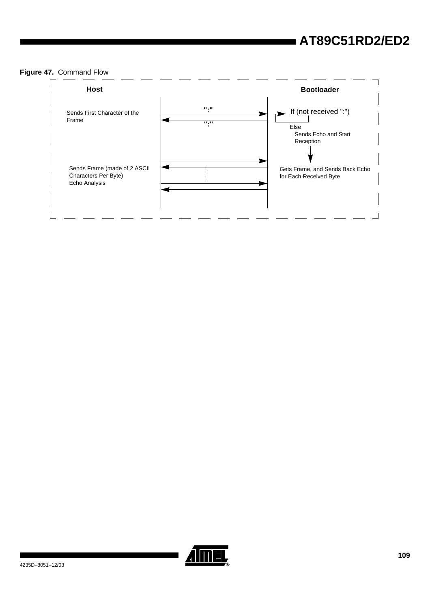### **Figure 47.** Command Flow



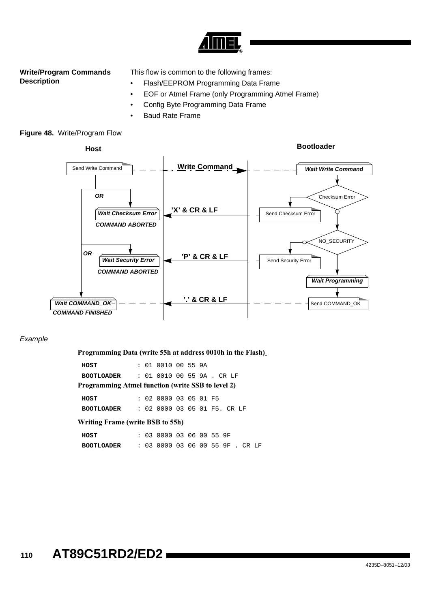

#### **Write/Program Commands Description**

This flow is common to the following frames:

- Flash/EEPROM Programming Data Frame
- EOF or Atmel Frame (only Programming Atmel Frame)
- Config Byte Programming Data Frame
- Baud Rate Frame



#### Example

**Programming Data (write 55h at address 0010h in the Flash)**

**HOST** : 01 0010 00 55 9A **BOOTLOADER** : 01 0010 00 55 9A . CR LF **HOST** : 02 0000 03 05 01 F5 **BOOTLOADER** : 02 0000 03 05 01 F5. CR LF **Programming Atmel function (write SSB to level 2) Writing Frame (write BSB to 55h)**

**HOST** : 03 0000 03 06 00 55 9F **BOOTLOADER** : 03 0000 03 06 00 55 9F . CR LF

### **<sup>110</sup> AT89C51RD2/ED2**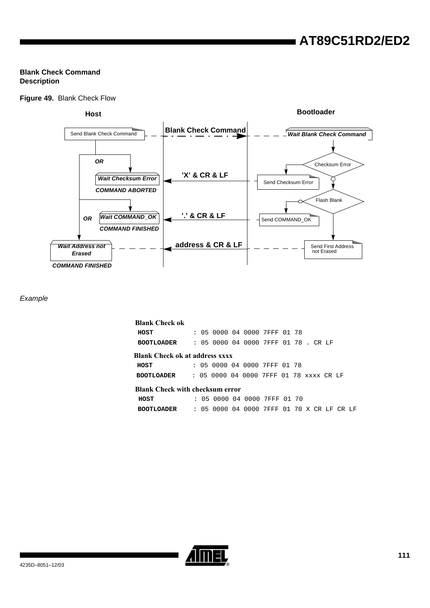#### **Blank Check Command Description**

#### **Figure 49.** Blank Check Flow



#### Example

| <b>Blank Check ok</b>                  |  |  |                                         |  |  |               |     |     |
|----------------------------------------|--|--|-----------------------------------------|--|--|---------------|-----|-----|
| HOST                                   |  |  | : 05 0000 04 0000 7FFF 01 78            |  |  |               |     |     |
| <b>BOOTLOADER</b>                      |  |  | : 05 0000 04 0000 7FFF 01 78 . CR LF    |  |  |               |     |     |
| Blank Check ok at address xxxx         |  |  |                                         |  |  |               |     |     |
| HOST                                   |  |  | : 05 0000 04 0000 7FFF 01 78            |  |  |               |     |     |
| <b>BOOTLOADER</b>                      |  |  | : 05 0000 04 0000 7FFF 01 78 xxxx CR LF |  |  |               |     |     |
| <b>Blank Check with checksum error</b> |  |  |                                         |  |  |               |     |     |
| HOST                                   |  |  | : 05 0000 04 0000 7FFF 01 70            |  |  |               |     |     |
| <b>BOOTLOADER</b>                      |  |  | : 05 0000 04 0000 7FFF                  |  |  | 01 70 X CR LF | CR. | T.F |

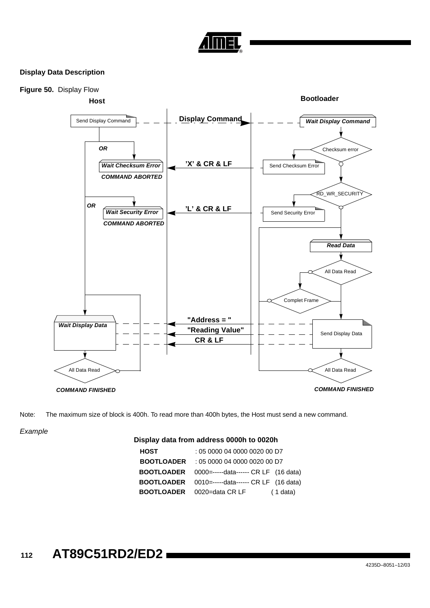

#### **Display Data Description**



Note: The maximum size of block is 400h. To read more than 400h bytes, the Host must send a new command.

Example

#### **Display data from address 0000h to 0020h**

| <b>HOST</b>       | : 05 0000 04 0000 0020 00 D7                           |
|-------------------|--------------------------------------------------------|
| <b>BOOTLOADER</b> | : 05 0000 04 0000 0020 00 D7                           |
| <b>BOOTLOADER</b> | 0000=-----data------ CR LF (16 data)                   |
|                   | <b>BOOTLOADER</b> 0010=-----data------ CR LF (16 data) |
| <b>BOOTLOADER</b> | 0020=data CR LF<br>$(1$ data)                          |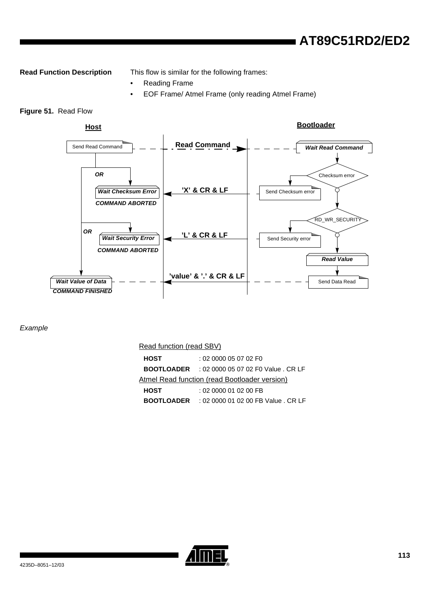**Read Function Description** This flow is similar for the following frames:

- Reading Frame
- EOF Frame/ Atmel Frame (only reading Atmel Frame)

#### **Figure 51.** Read Flow



#### Example

Read function (read SBV)

| <b>HOST</b>       | : 020000050702 F0                             |
|-------------------|-----------------------------------------------|
|                   |                                               |
| <b>BOOTLOADER</b> | : 02 0000 05 07 02 F0 Value . CR LF           |
|                   | Atmel Read function (read Bootloader version) |
| <b>HOST</b>       | : 02 0000 01 02 00 FB                         |
| <b>BOOTLOADER</b> | : 02 0000 01 02 00 FB Value . CR LF           |

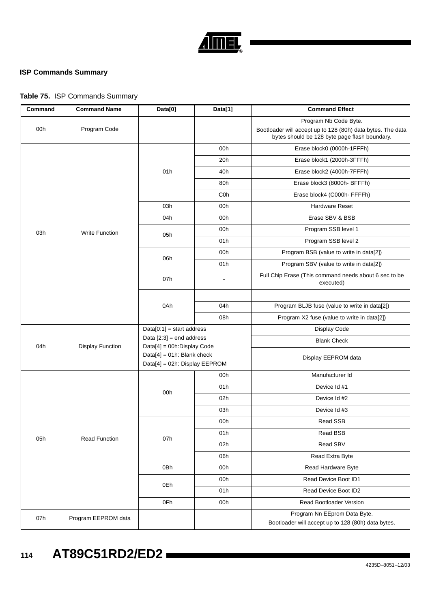

#### **ISP Commands Summary**

### **Table 75.** ISP Commands Summary

| Command | <b>Command Name</b>     | Data[0]                                                        | Data[1]          | <b>Command Effect</b>                                                                                                                 |  |  |
|---------|-------------------------|----------------------------------------------------------------|------------------|---------------------------------------------------------------------------------------------------------------------------------------|--|--|
| 00h     | Program Code            |                                                                |                  | Program Nb Code Byte.<br>Bootloader will accept up to 128 (80h) data bytes. The data<br>bytes should be 128 byte page flash boundary. |  |  |
|         |                         |                                                                | 00h              | Erase block0 (0000h-1FFFh)                                                                                                            |  |  |
|         |                         |                                                                | 20h              | Erase block1 (2000h-3FFFh)                                                                                                            |  |  |
|         |                         | 01h                                                            | 40h              | Erase block2 (4000h-7FFFh)                                                                                                            |  |  |
|         |                         |                                                                | 80h              | Erase block3 (8000h- BFFFh)                                                                                                           |  |  |
|         |                         |                                                                | C <sub>0</sub> h | Erase block4 (C000h- FFFFh)                                                                                                           |  |  |
|         |                         | 03h                                                            | 00h              | <b>Hardware Reset</b>                                                                                                                 |  |  |
|         |                         | 04h                                                            | 00h              | Erase SBV & BSB                                                                                                                       |  |  |
| 03h     | <b>Write Function</b>   |                                                                | 00h              | Program SSB level 1                                                                                                                   |  |  |
|         |                         | 05h                                                            | 01h              | Program SSB level 2                                                                                                                   |  |  |
|         |                         | 06h                                                            | 00h              | Program BSB (value to write in data[2])                                                                                               |  |  |
|         |                         |                                                                | 01h              | Program SBV (value to write in data[2])                                                                                               |  |  |
|         |                         | 07h                                                            |                  | Full Chip Erase (This command needs about 6 sec to be<br>executed)                                                                    |  |  |
|         |                         |                                                                |                  |                                                                                                                                       |  |  |
|         |                         | 0Ah                                                            | 04h              | Program BLJB fuse (value to write in data[2])                                                                                         |  |  |
|         |                         |                                                                | 08h              | Program X2 fuse (value to write in data[2])                                                                                           |  |  |
|         |                         | $Data[0:1] = start address$                                    |                  | Display Code                                                                                                                          |  |  |
| 04h     | <b>Display Function</b> | Data $[2:3]$ = end address<br>Data[4] = 00h: Display Code      |                  | <b>Blank Check</b>                                                                                                                    |  |  |
|         |                         | $Data[4] = 01h$ : Blank check<br>Data[4] = 02h: Display EEPROM |                  | Display EEPROM data                                                                                                                   |  |  |
|         |                         |                                                                | 00h              | Manufacturer Id                                                                                                                       |  |  |
|         |                         | 00h                                                            | 01h              | Device Id #1                                                                                                                          |  |  |
|         |                         |                                                                | 02h              | Device Id #2                                                                                                                          |  |  |
|         |                         |                                                                | 03h              | Device Id #3                                                                                                                          |  |  |
|         |                         |                                                                | 00h              | Read SSB                                                                                                                              |  |  |
| 05h     | <b>Read Function</b>    | 07h                                                            | 01h              | Read BSB                                                                                                                              |  |  |
|         |                         |                                                                | 02h              | Read SBV                                                                                                                              |  |  |
|         |                         |                                                                | 06h              | Read Extra Byte                                                                                                                       |  |  |
|         |                         | 0Bh                                                            | 00h              | Read Hardware Byte                                                                                                                    |  |  |
|         |                         | 0Eh                                                            | 00h              | Read Device Boot ID1                                                                                                                  |  |  |
|         |                         |                                                                | 01h              | Read Device Boot ID2                                                                                                                  |  |  |
|         |                         | 0Fh                                                            | 00h              | Read Bootloader Version                                                                                                               |  |  |
| 07h     | Program EEPROM data     |                                                                |                  | Program Nn EEprom Data Byte.<br>Bootloader will accept up to 128 (80h) data bytes.                                                    |  |  |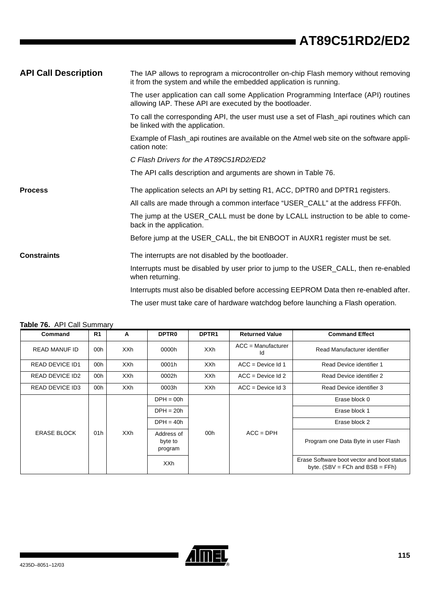<span id="page-113-1"></span>

| <b>API Call Description</b> | The IAP allows to reprogram a microcontroller on-chip Flash memory without removing<br>it from the system and while the embedded application is running. |
|-----------------------------|----------------------------------------------------------------------------------------------------------------------------------------------------------|
|                             | The user application can call some Application Programming Interface (API) routines<br>allowing IAP. These API are executed by the bootloader.           |
|                             | To call the corresponding API, the user must use a set of Flash_api routines which can<br>be linked with the application.                                |
|                             | Example of Flash_api routines are available on the Atmel web site on the software appli-<br>cation note:                                                 |
|                             | C Flash Drivers for the AT89C51RD2/ED2                                                                                                                   |
|                             | The API calls description and arguments are shown in Table 76.                                                                                           |
| <b>Process</b>              | The application selects an API by setting R1, ACC, DPTR0 and DPTR1 registers.                                                                            |
|                             | All calls are made through a common interface "USER_CALL" at the address FFF0h.                                                                          |
|                             | The jump at the USER_CALL must be done by LCALL instruction to be able to come-<br>back in the application.                                              |
|                             | Before jump at the USER_CALL, the bit ENBOOT in AUXR1 register must be set.                                                                              |
| <b>Constraints</b>          | The interrupts are not disabled by the bootloader.                                                                                                       |
|                             | Interrupts must be disabled by user prior to jump to the USER_CALL, then re-enabled<br>when returning.                                                   |
|                             | Interrupts must also be disabled before accessing EEPROM Data then re-enabled after.                                                                     |

The user must take care of hardware watchdog before launching a Flash operation.

| Command                | R <sub>1</sub>                            | A          | <b>DPTR0</b>                     | DPTR <sub>1</sub> | <b>Returned Value</b>      | <b>Command Effect</b>                                                              |               |
|------------------------|-------------------------------------------|------------|----------------------------------|-------------------|----------------------------|------------------------------------------------------------------------------------|---------------|
| <b>READ MANUF ID</b>   | 00h                                       | <b>XXh</b> | 0000h                            | <b>XXh</b>        | $ACC =$ Manufacturer<br>Id | Read Manufacturer identifier                                                       |               |
| <b>READ DEVICE ID1</b> | 00h                                       | <b>XXh</b> | 0001h                            | <b>XXh</b>        | $ACC = Device$ Id 1        | Read Device identifier 1                                                           |               |
| <b>READ DEVICE ID2</b> | 00h                                       | <b>XXh</b> | 0002h                            | <b>XXh</b>        | $ACC = Device$ Id 2        | Read Device identifier 2                                                           |               |
| <b>READ DEVICE ID3</b> | 00h                                       | <b>XXh</b> | 0003h                            | <b>XXh</b>        | $ACC = Device$ Id 3        | Read Device identifier 3                                                           |               |
|                        | $DPH = 00h$<br>$DPH = 20h$<br>$DPH = 40h$ |            |                                  |                   |                            |                                                                                    | Erase block 0 |
|                        |                                           |            |                                  |                   |                            | Erase block 1                                                                      |               |
|                        |                                           |            | Erase block 2                    |                   |                            |                                                                                    |               |
| <b>ERASE BLOCK</b>     | XXh<br>01h                                |            | Address of<br>byte to<br>program | 00h               | $ACC = DPH$                | Program one Data Byte in user Flash                                                |               |
|                        |                                           |            | <b>XXh</b>                       |                   |                            | Erase Software boot vector and boot status<br>byte. $(SBV = FCh$ and $BSB = FFh$ ) |               |

#### <span id="page-113-0"></span>**Table 76.** API Call Summary

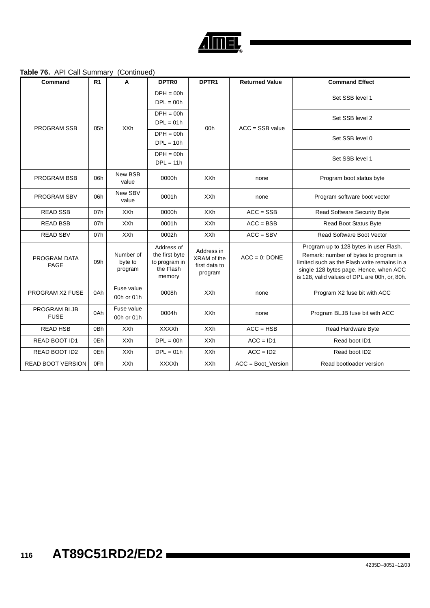

#### **Table 76.** API Call Summary (Continued)

| Command                            | R <sub>1</sub> | Α                               | <b>DPTR0</b>                                                         | DPTR1                                                 | <b>Returned Value</b> | <b>Command Effect</b>                                                                                                                                                                                                      |
|------------------------------------|----------------|---------------------------------|----------------------------------------------------------------------|-------------------------------------------------------|-----------------------|----------------------------------------------------------------------------------------------------------------------------------------------------------------------------------------------------------------------------|
|                                    |                |                                 | $DPH = 00h$<br>$DPL = 00h$                                           |                                                       |                       | Set SSB level 1                                                                                                                                                                                                            |
| <b>PROGRAM SSB</b>                 | 05h            | <b>XXh</b>                      | $DPH = 00h$<br>$DPL = 01h$                                           | 00h                                                   | $ACC = SSB value$     | Set SSB level 2                                                                                                                                                                                                            |
|                                    |                |                                 | $DPH = 00h$<br>$DPL = 10h$                                           |                                                       |                       | Set SSB level 0                                                                                                                                                                                                            |
|                                    |                |                                 | $DPH = 00h$<br>$DPL = 11h$                                           |                                                       |                       | Set SSB level 1                                                                                                                                                                                                            |
| <b>PROGRAM BSB</b>                 | 06h            | New BSB<br>value                | 0000h                                                                | <b>XXh</b>                                            | none                  | Program boot status byte                                                                                                                                                                                                   |
| PROGRAM SBV                        | 06h            | New SBV<br>value                | 0001h                                                                | <b>XXh</b>                                            | none                  | Program software boot vector                                                                                                                                                                                               |
| <b>READ SSB</b>                    | 07h            | <b>XXh</b>                      | 0000h                                                                | <b>XXh</b>                                            | $ACC = SSB$           | <b>Read Software Security Byte</b>                                                                                                                                                                                         |
| <b>READ BSB</b>                    | 07h            | <b>XXh</b>                      | 0001h                                                                | <b>XXh</b>                                            | $ACC = BSB$           | <b>Read Boot Status Byte</b>                                                                                                                                                                                               |
| <b>READ SBV</b>                    | 07h            | <b>XXh</b>                      | 0002h                                                                | <b>XXh</b>                                            | $ACC = SBV$           | <b>Read Software Boot Vector</b>                                                                                                                                                                                           |
| PROGRAM DATA<br><b>PAGE</b>        | 09h            | Number of<br>byte to<br>program | Address of<br>the first byte<br>to program in<br>the Flash<br>memory | Address in<br>XRAM of the<br>first data to<br>program | $ACC = 0$ : DONE      | Program up to 128 bytes in user Flash.<br>Remark: number of bytes to program is<br>limited such as the Flash write remains in a<br>single 128 bytes page. Hence, when ACC<br>is 128, valid values of DPL are 00h, or, 80h. |
| <b>PROGRAM X2 FUSE</b>             | 0Ah            | Fuse value<br>00h or 01h        | 0008h                                                                | <b>XXh</b>                                            | none                  | Program X2 fuse bit with ACC                                                                                                                                                                                               |
| <b>PROGRAM BLJB</b><br><b>FUSE</b> | 0Ah            | Fuse value<br>00h or 01h        | 0004h                                                                | <b>XXh</b>                                            | none                  | Program BLJB fuse bit with ACC                                                                                                                                                                                             |
| <b>READ HSB</b>                    | 0Bh            | <b>XXh</b>                      | <b>XXXXh</b>                                                         | <b>XXh</b>                                            | $ACC = HSB$           | Read Hardware Byte                                                                                                                                                                                                         |
| READ BOOT ID1                      | 0Eh            | <b>XXh</b>                      | $DPL = 00h$                                                          | <b>XXh</b>                                            | $ACC = ID1$           | Read boot ID1                                                                                                                                                                                                              |
| READ BOOT ID2                      | 0Eh            | <b>XXh</b>                      | $DPL = 01h$                                                          | <b>XXh</b>                                            | $ACC = ID2$           | Read boot ID2                                                                                                                                                                                                              |
| <b>READ BOOT VERSION</b>           | 0Fh            | <b>XXh</b>                      | <b>XXXXh</b>                                                         | XXh                                                   | $ACC = Boot Version$  | Read bootloader version                                                                                                                                                                                                    |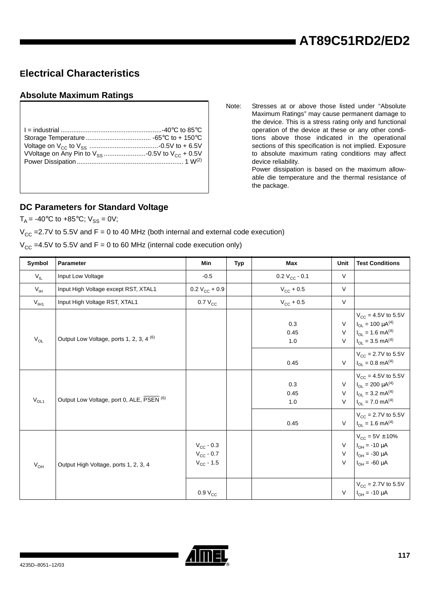### <span id="page-115-0"></span>**Electrical Characteristics**

#### <span id="page-115-1"></span>**Absolute Maximum Ratings**

Note: Stresses at or above those listed under "Absolute Maximum Ratings" may cause permanent damage to the device. This is a stress rating only and functional operation of the device at these or any other conditions above those indicated in the operational sections of this specification is not implied. Exposure to absolute maximum rating conditions may affect device reliability.

Power dissipation is based on the maximum allowable die temperature and the thermal resistance of the package.

#### <span id="page-115-2"></span>**DC Parameters for Standard Voltage**

 $T_A = -40^{\circ}C$  to  $+85^{\circ}C$ ;  $V_{SS} = 0V$ ;

 $V_{CC}$  =2.7V to 5.5V and F = 0 to 40 MHz (both internal and external code execution)

 $V_{CC}$  =4.5V to 5.5V and F = 0 to 60 MHz (internal code execution only)

| Symbol          | Parameter                                           | Min                                                    | <b>Typ</b> | Max                   | Unit                       | <b>Test Conditions</b>                                                                                                        |
|-----------------|-----------------------------------------------------|--------------------------------------------------------|------------|-----------------------|----------------------------|-------------------------------------------------------------------------------------------------------------------------------|
| $V_{IL}$        | Input Low Voltage                                   | $-0.5$                                                 |            | $0.2 V_{CC} - 0.1$    | $\vee$                     |                                                                                                                               |
| $V_{\text{IH}}$ | Input High Voltage except RST, XTAL1                | $0.2 V_{CC} + 0.9$                                     |            | $V_{\text{CC}}$ + 0.5 | $\vee$                     |                                                                                                                               |
| $V_{I H1}$      | Input High Voltage RST, XTAL1                       | $0.7 V_{CC}$                                           |            | $V_{\text{CC}}$ + 0.5 | $\vee$                     |                                                                                                                               |
| $\rm V_{OL}$    | Output Low Voltage, ports 1, 2, 3, 4 <sup>(6)</sup> |                                                        |            | 0.3<br>0.45<br>1.0    | $\vee$<br>$\vee$<br>$\vee$ | $V_{CC}$ = 4.5V to 5.5V<br>$I_{OL} = 100 \mu A^{(4)}$<br>$I_{OL} = 1.6$ mA <sup>(4)</sup><br>$I_{OL}$ = 3.5 mA <sup>(4)</sup> |
|                 |                                                     |                                                        |            | 0.45                  | $\vee$                     | $V_{CC}$ = 2.7V to 5.5V<br>$I_{OL} = 0.8$ mA <sup>(4)</sup>                                                                   |
| $V_{OL1}$       | Output Low Voltage, port 0, ALE, PSEN (6)           |                                                        |            | 0.3<br>0.45<br>1.0    | $\vee$<br>$\vee$<br>$\vee$ | $V_{CC}$ = 4.5V to 5.5V<br>$I_{OL} = 200 \mu A^{(4)}$<br>$I_{OL}$ = 3.2 mA <sup>(4)</sup><br>$I_{OL} = 7.0$ mA <sup>(4)</sup> |
|                 |                                                     |                                                        |            | 0.45                  | $\vee$                     | $V_{CC}$ = 2.7V to 5.5V<br>$I_{OL} = 1.6$ mA <sup>(4)</sup>                                                                   |
| $V_{OH}$        | Output High Voltage, ports 1, 2, 3, 4               | $V_{\rm CC}$ - 0.3<br>$V_{CC}$ - 0.7<br>$V_{CC} - 1.5$ |            |                       | $\vee$<br>$\vee$<br>$\vee$ | $V_{CC} = 5V \pm 10\%$<br>$I_{OH} = -10 \mu A$<br>$I_{OH} = -30 \mu A$<br>$I_{OH} = -60 \mu A$                                |
|                 |                                                     | 0.9 V <sub>CC</sub>                                    |            |                       | $\vee$                     | $V_{\text{CC}} = 2.7V$ to 5.5V<br>$I_{OH} = -10 \mu A$                                                                        |

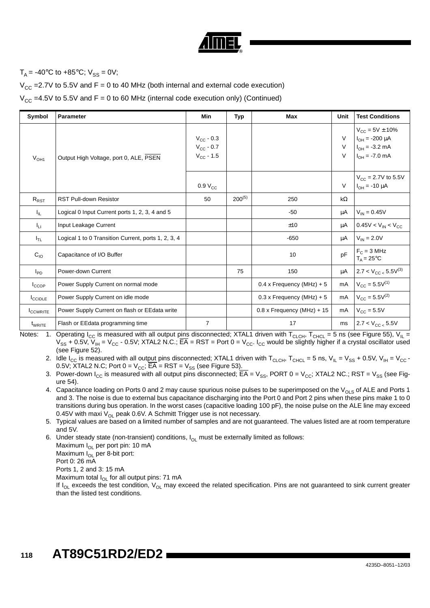

### $T_A = -40^{\circ}C$  to  $+85^{\circ}C$ ;  $V_{SS} = 0V$ ;

 $V_{CC}$  =2.7V to 5.5V and F = 0 to 40 MHz (both internal and external code execution)

 $V_{CC}$  =4.5V to 5.5V and F = 0 to 60 MHz (internal code execution only) (Continued)

| Symbol          | Parameter                                           | Min                                                       | Typ         | Max                          | Unit        | <b>Test Conditions</b>                                                                      |
|-----------------|-----------------------------------------------------|-----------------------------------------------------------|-------------|------------------------------|-------------|---------------------------------------------------------------------------------------------|
| $V_{OH1}$       | Output High Voltage, port 0, ALE, PSEN              | $V_{\text{CC}}$ - 0.3<br>$V_{CC} - 0.7$<br>$V_{CC} - 1.5$ |             |                              | V<br>V<br>V | $V_{CC} = 5V \pm 10\%$<br>$I_{OH} = -200 \mu A$<br>$I_{OH} = -3.2$ mA<br>$I_{OH} = -7.0$ mA |
|                 |                                                     | 0.9 V <sub>CC</sub>                                       |             |                              | V           | $V_{CC} = 2.7V$ to 5.5V<br>$I_{OH} = -10 \mu A$                                             |
| $R_{RST}$       | <b>RST Pull-down Resistor</b>                       | 50                                                        | $200^{(5)}$ | 250                          | kΩ          |                                                                                             |
| ΙL.             | Logical 0 Input Current ports 1, 2, 3, 4 and 5      |                                                           |             | $-50$                        | μA          | $V_{IN} = 0.45V$                                                                            |
| $I_{LI}$        | Input Leakage Current                               |                                                           |             | ±10                          | μA          | $0.45V < V_{IN} < V_{CC}$                                                                   |
| $I_{TL}$        | Logical 1 to 0 Transition Current, ports 1, 2, 3, 4 |                                                           |             | $-650$                       | μA          | $V_{IN} = 2.0V$                                                                             |
| $C_{10}$        | Capacitance of I/O Buffer                           |                                                           |             | 10                           | pF          | $F_C = 3 MHz$<br>$T_A = 25^{\circ}C$                                                        |
| $I_{PD}$        | Power-down Current                                  |                                                           | 75          | 150                          | μA          | $2.7 < V_{CC} < 5.5V^{(3)}$                                                                 |
| $I_{CCOP}$      | Power Supply Current on normal mode                 |                                                           |             | $0.4$ x Frequency (MHz) + 5  | mA          | $V_{\text{CC}} = 5.5V^{(1)}$                                                                |
| <b>CCIDLE</b>   | Power Supply Current on idle mode                   |                                                           |             | $0.3$ x Frequency (MHz) + 5  | mA          | $V_{CC} = 5.5V^{(2)}$                                                                       |
| <b>ICCWRITE</b> | Power Supply Current on flash or EEdata write       |                                                           |             | $0.8$ x Frequency (MHz) + 15 | mA          | $V_{\text{CC}} = 5.5V$                                                                      |
| $t_{WRITE}$     | Flash or EEdata programming time                    | $\overline{7}$                                            |             | 17                           | ms          | $2.7 < V_{CC} < 5.5V$                                                                       |

Notes:  $\:$  1. Operating I<sub>CC</sub> is measured with all output p<u>ins</u> disconnected; XTAL1 driven with T<sub>CLCH</sub>, T<sub>CHCL</sub> = 5 ns (see [Figure 55\)](#page-117-0), V<sub>IL</sub> = V<sub>SS</sub> + 0.5V, V<sub>IH</sub> = V<sub>CC</sub> - 0.5V; XTAL2 N.C.; EA = RST = Port 0 = V<sub>CC</sub>. I<sub>CC</sub> would be slightly higher if a crystal oscillator used (see [Figure 52\)](#page-117-1).

2. Idle I<sub>CC</sub> is measured with all output pins disconnected; XTAL1 driven with T<sub>CLCH</sub>, T<sub>CHCL</sub> = 5 ns, V<sub>IL</sub> = V<sub>SS</sub> + 0.5V, V<sub>IH</sub> = V<sub>CC</sub> -0.5V; XTAL2 N.C; Port  $0 = V_{\text{CC}}$ ;  $\overline{\text{EA}}$  = RST =  $V_{\text{SS}}$  (see [Figure 53](#page-117-2)).

3. Power-down I<sub>CC</sub> is measured with all output pins disconnected;  $\overline{EA} = V_{SS}$ , PORT 0 = V<sub>CC</sub>; XTAL2 NC.; RST = V<sub>SS</sub> (see [Fig](#page-117-3)[ure 54](#page-117-3)).

4. Capacitance loading on Ports 0 and 2 may cause spurious noise pulses to be superimposed on the  $V_{OLS}$  of ALE and Ports 1 and 3. The noise is due to external bus capacitance discharging into the Port 0 and Port 2 pins when these pins make 1 to 0 transitions during bus operation. In the worst cases (capacitive loading 100 pF), the noise pulse on the ALE line may exceed 0.45V with maxi  $V_{\text{OL}}$  peak 0.6V. A Schmitt Trigger use is not necessary.

5. Typical values are based on a limited number of samples and are not guaranteed. The values listed are at room temperature and 5V.

6. Under steady state (non-transient) conditions,  $I_{OL}$  must be externally limited as follows: Maximum  $I_{OL}$  per port pin: 10 mA Maximum  $I_{OL}$  per 8-bit port: Port 0: 26 mA Ports 1, 2 and 3: 15 mA Maximum total  $I_{OL}$  for all output pins: 71 mA

If  $I_{OL}$  exceeds the test condition,  $V_{OL}$  may exceed the related specification. Pins are not guaranteed to sink current greater than the listed test conditions.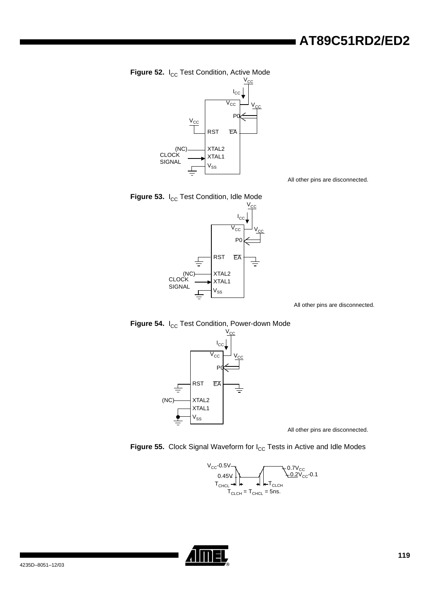<span id="page-117-1"></span>



All other pins are disconnected.

<span id="page-117-2"></span>



All other pins are disconnected.

<span id="page-117-3"></span>



All other pins are disconnected.

<span id="page-117-0"></span>



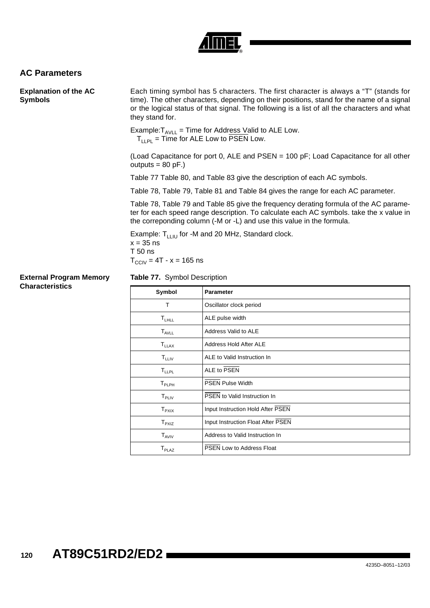

### <span id="page-118-1"></span>**AC Parameters**

| <b>Explanation of the AC</b><br><b>Symbols</b> | Each timing symbol has 5 characters. The first character is always a "T" (stands for<br>time). The other characters, depending on their positions, stand for the name of a signal<br>or the logical status of that signal. The following is a list of all the characters and what<br>they stand for. |
|------------------------------------------------|------------------------------------------------------------------------------------------------------------------------------------------------------------------------------------------------------------------------------------------------------------------------------------------------------|
|                                                | Example: $T_{AVII}$ = Time for Address Valid to ALE Low.<br>$T_{11PI}$ = Time for ALE Low to PSEN Low.                                                                                                                                                                                               |
|                                                | (Load Capacitance for port 0, ALE and PSEN $=$ 100 pF; Load Capacitance for all other<br>outputs = $80$ pF.)                                                                                                                                                                                         |
|                                                | Table 77 Table 80, and Table 83 give the description of each AC symbols.                                                                                                                                                                                                                             |
|                                                | Table 78, Table 79, Table 81 and Table 84 gives the range for each AC parameter.                                                                                                                                                                                                                     |
|                                                | Table 78, Table 79 and Table 85 give the frequency derating formula of the AC parame-<br>ter for each speed range description. To calculate each AC symbols, take the x value in<br>the correponding column (-M or -L) and use this value in the formula.                                            |
|                                                | Example: $T_{1111}$ for -M and 20 MHz, Standard clock.<br>$x = 35$ ns<br>$T50$ ns<br>$T_{\text{CCIV}} = 4T - x = 165$ ns                                                                                                                                                                             |
| <b>External Program Memory</b>                 | <b>Table 77.</b> Symbol Description                                                                                                                                                                                                                                                                  |

### **Characteristics**

<span id="page-118-0"></span>

| Symbol                   | <b>Parameter</b>                   |
|--------------------------|------------------------------------|
| T                        | Oscillator clock period            |
| $T_{LHLL}$               | ALE pulse width                    |
| $T_{AVLL}$               | Address Valid to ALE               |
| $T_{LLAX}$               | Address Hold After ALE             |
| $T_{LLIV}$               | ALE to Valid Instruction In        |
| T <sub>LLPL</sub>        | ALE to PSEN                        |
| ${\mathsf T}_{\sf PLPH}$ | <b>PSEN Pulse Width</b>            |
| $T_{\sf PLIV}$           | PSEN to Valid Instruction In       |
| $T_{\sf P XIX}$          | Input Instruction Hold After PSEN  |
| $T_{PXIZ}$               | Input Instruction Float After PSEN |
| $T_{AVIV}$               | Address to Valid Instruction In    |
| $T_{\sf PLAZ}$           | PSEN Low to Address Float          |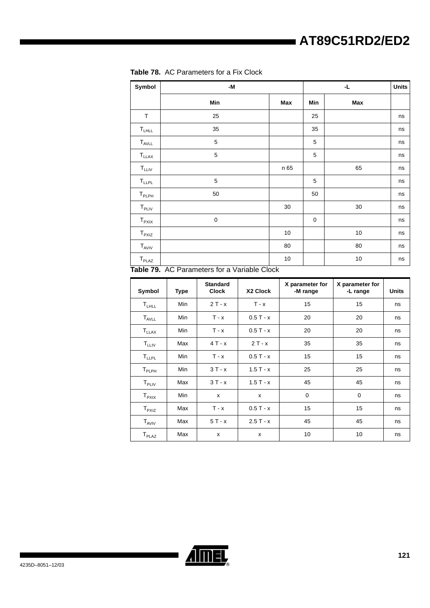| Symbol                       | -M             |      |     | <b>Units</b> |    |
|------------------------------|----------------|------|-----|--------------|----|
|                              | Min            | Max  | Min | Max          |    |
| T                            | 25             |      | 25  |              | ns |
| $\mathsf{T}_{\mathsf{LHLL}}$ | 35             |      | 35  |              | ns |
| $T_{AVLL}$                   | 5              |      | 5   |              | ns |
| $T_{LLAX}$                   | 5              |      | 5   |              | ns |
| $T_{LLIV}$                   |                | n 65 |     | 65           | ns |
| $T_{LLPL}$                   | $\mathbf 5$    |      | 5   |              | ns |
| $T_{PLPH}$                   | 50             |      | 50  |              | ns |
| $T_{\sf PLIV}$               |                | 30   |     | 30           | ns |
| $T_{PXIX}$                   | 0              |      | 0   |              | ns |
| $T_{PXIZ}$                   |                | $10$ |     | $10$         | ns |
| $T_{AVIV}$                   |                | 80   |     | 80           | ns |
| $T_{\sf PLAZ}$<br>7.11.70    | $\overline{2}$ | 10   |     | $10$         | ns |

<span id="page-119-0"></span>

|  | <b>Table 78.</b> AC Parameters for a Fix Clock |  |  |  |
|--|------------------------------------------------|--|--|--|
|--|------------------------------------------------|--|--|--|

<span id="page-119-1"></span>**Table 79.** AC Parameters for a Variable Clock

| Symbol                | <b>Type</b> | <b>Standard</b><br><b>Clock</b> | X2 Clock   | X parameter for<br>-M range | X parameter for<br>-L range | <b>Units</b> |
|-----------------------|-------------|---------------------------------|------------|-----------------------------|-----------------------------|--------------|
| $T_{LHLL}$            | Min         | $2T - x$                        | $T - x$    | 15                          | 15                          | ns           |
| $T_{AVLL}$            | Min         | $T - x$                         | $0.5T - x$ | 20                          | 20                          | ns           |
| $T_{LLAX}$            | Min         | $T - x$                         | $0.5T - x$ | 20                          | 20                          | ns           |
| $T_{LLIV}$            | Max         | $4T - x$                        | $2T - x$   | 35                          | 35                          | ns           |
| $T_{LLPL}$            | <b>Min</b>  | $T - x$                         | $0.5T - x$ | 15                          | 15                          | ns           |
| $T_{\sf PLPH}$        | Min         | $3T - x$                        | $1.5T - x$ | 25                          | 25                          | ns           |
| $T_{\sf PLIV}$        | Max         | $3T - x$                        | $1.5T - x$ | 45                          | 45                          | ns           |
| ${\sf T}_{\sf P XIX}$ | Min         | X                               | X          | 0                           | $\mathbf 0$                 | ns           |
| $T_{PXIZ}$            | Max         | $T - x$                         | $0.5T - x$ | 15                          | 15                          | ns           |
| $T_{AVIV}$            | Max         | $5T - x$                        | $2.5T - x$ | 45                          | 45                          | ns           |
| $T_{\sf PLAZ}$        | Max         | x                               | x          | 10                          | 10                          | ns           |

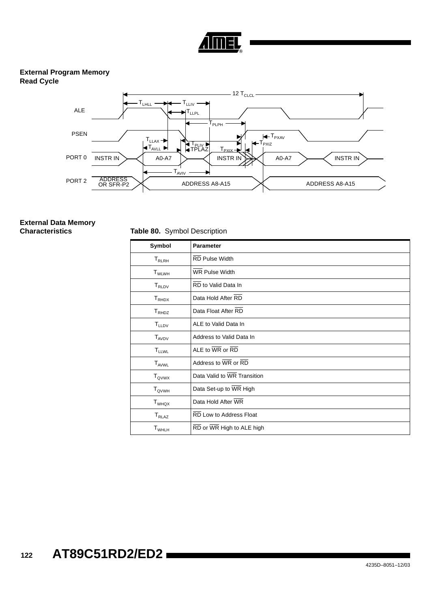

#### **External Program Memory Read Cycle**



# **External Data Memory**

**Characteristics** Table 80. Symbol Description

<span id="page-120-0"></span>

| Symbol                       | <b>Parameter</b>                                        |
|------------------------------|---------------------------------------------------------|
| ${\sf T}_{\sf RLRH}$         | <b>RD Pulse Width</b>                                   |
| $T_{WLWH}$                   | <b>WR Pulse Width</b>                                   |
| $T_{RLDV}$                   | RD to Valid Data In                                     |
| $\mathsf{T}_{\mathsf{RHDX}}$ | Data Hold After RD                                      |
| $T_{RHDZ}$                   | Data Float After RD                                     |
| $T_{LLDV}$                   | ALE to Valid Data In                                    |
| $T_{AVDV}$                   | Address to Valid Data In                                |
| $T_{LLWL}$                   | ALE to $\overline{\text{WR}}$ or $\overline{\text{RD}}$ |
| T <sub>AVWL</sub>            | Address to WR or RD                                     |
| $T_{QVWX}$                   | Data Valid to WR Transition                             |
| $T_{\text{QVWH}}$            | Data Set-up to WR High                                  |
| T <sub>WHQX</sub>            | Data Hold After WR                                      |
| $T_{RLAZ}$                   | RD Low to Address Float                                 |
| $T_{WHLH}$                   | RD or WR High to ALE high                               |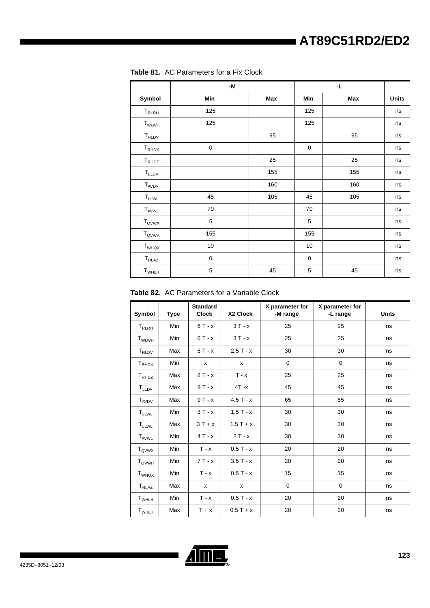|                                                         | -M          |     |             |     |              |
|---------------------------------------------------------|-------------|-----|-------------|-----|--------------|
| Symbol                                                  | Min         | Max | Min         | Max | <b>Units</b> |
| ${\sf T}_{\sf RLRH}$                                    | 125         |     | 125         |     | ns           |
| $T_{WLWH}$                                              | 125         |     | 125         |     | ns           |
| $\mathsf{T}_{\mathsf{RLDV}}$                            |             | 95  |             | 95  | ns           |
| $T_{RHDX}$                                              | $\mathbf 0$ |     | $\mathbf 0$ |     | ns           |
| $\mathsf{T}_{\mathsf{RH} \mathsf{D} \mathsf{Z}}$        |             | 25  |             | 25  | ns           |
| $\mathsf{T}_{\mathsf{LLDV}}$                            |             | 155 |             | 155 | ns           |
| $T_{AVDV}$                                              |             | 160 |             | 160 | ns           |
| $\mathsf{T}_{\mathsf{LLWL}}$                            | 45          | 105 | 45          | 105 | ns           |
| $T_{AVWL}$                                              | 70          |     | 70          |     | ns           |
| $T_{QVWX}$                                              | 5           |     | 5           |     | ns           |
| $T_{\rm QVWH}$                                          | 155         |     | 155         |     | ns           |
| $\mathsf{T}_{\mathsf{W}\mathsf{H}\mathsf{Q}\mathsf{X}}$ | $10\,$      |     | 10          |     | ns           |
| $T_{RLAZ}$                                              | $\mathbf 0$ |     | $\mathbf 0$ |     | ns           |
| $T_{WHLH}$                                              | 5           | 45  | 5           | 45  | ns           |

<span id="page-121-0"></span>**Table 81.** AC Parameters for a Fix Clock

**Table 82.** AC Parameters for a Variable Clock

| Symbol                       | Type | <b>Standard</b><br><b>Clock</b> | X2 Clock   | X parameter for<br>-M range | X parameter for<br>-L range | <b>Units</b> |
|------------------------------|------|---------------------------------|------------|-----------------------------|-----------------------------|--------------|
| ${\sf T}_{\sf RLRH}$         | Min  | $6T - x$                        | $3T - x$   | 25                          | 25                          | ns           |
| $T_{WLWH}$                   | Min  | $6T - x$                        | $3T - x$   | 25                          | 25                          | ns           |
| $T_{\tiny \text{RLDV}}$      | Max  | $5T - x$                        | $2.5T - x$ | 30                          | 30                          | ns           |
| $T_{RHDX}$                   | Min  | х                               | x          | $\mathbf 0$                 | $\mathbf 0$                 | ns           |
| $T_{RHDZ}$                   | Max  | $2T - x$                        | $T - x$    | 25                          | 25                          | ns           |
| $T_{LLDV}$                   | Max  | $8T - x$                        | $4T - x$   | 45                          | 45                          | ns           |
| $T_{AVDV}$                   | Max  | $9T - x$                        | $4.5T - x$ | 65                          | 65                          | ns           |
| <b>TLLWL</b>                 | Min  | $3T - x$                        | $1.5T - x$ | 30                          | 30                          | ns           |
| <b>TLLWL</b>                 | Max  | $3T + x$                        | $1.5T + x$ | 30                          | 30                          | ns           |
| $T_{AVWL}$                   | Min  | $4T - x$                        | $2T - x$   | 30                          | 30                          | ns           |
| $T_{QVWX}$                   | Min  | $T - x$                         | $0.5T - x$ | 20                          | 20                          | ns           |
| $T_{\mathsf{QVWH}}$          | Min  | $7T - x$                        | $3.5T - x$ | 20                          | 20                          | ns           |
| $T_{WHQX}$                   | Min  | $T - x$                         | $0.5T - x$ | 15                          | 15                          | ns           |
| $T_{RLAZ}$                   | Max  | X                               | X          | $\mathbf 0$                 | $\mathbf 0$                 | ns           |
| $\mathsf{T}_{\mathsf{WHLH}}$ | Min  | $T - x$                         | $0.5T - x$ | 20                          | 20                          | ns           |
| $T_{WHLH}$                   | Max  | $T + x$                         | $0.5T + x$ | 20                          | 20                          | ns           |

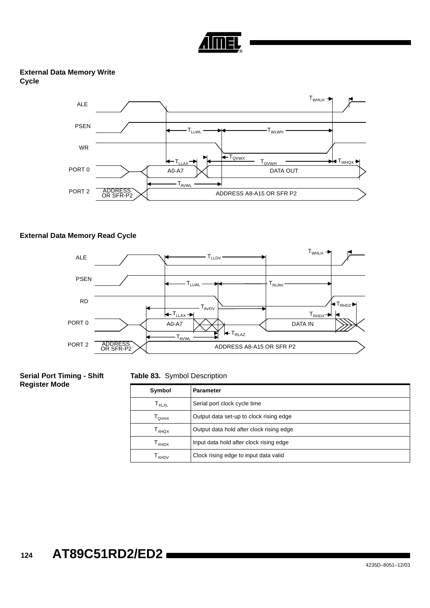

#### **External Data Memory Write Cycle**



#### **External Data Memory Read Cycle**



#### **Serial Port Timing - Shift Register Mode**

#### <span id="page-122-0"></span>**Table 83.** Symbol Description

| Symbol                                                  | <b>Parameter</b>                         |
|---------------------------------------------------------|------------------------------------------|
| $\mathsf{T}_{\mathsf{X}\mathsf{L}\mathsf{X}\mathsf{L}}$ | Serial port clock cycle time             |
| Т <sub>оvнх</sub>                                       | Output data set-up to clock rising edge  |
| l <sub>XHQX</sub>                                       | Output data hold after clock rising edge |
| Т <sub>хнрх</sub>                                       | Input data hold after clock rising edge  |
| I <sub>XHDV</sub>                                       | Clock rising edge to input data valid    |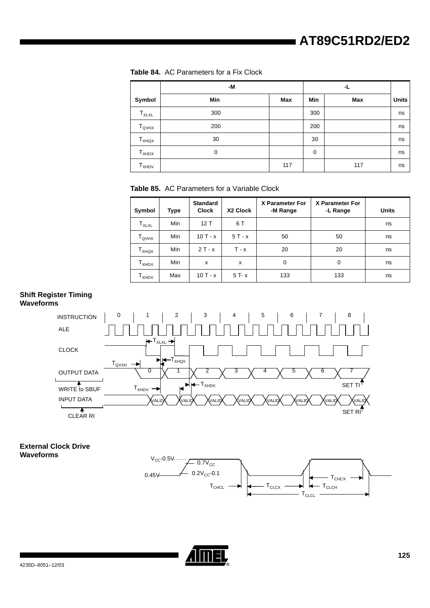<span id="page-123-0"></span>

|  |  | <b>Table 84.</b> AC Parameters for a Fix Clock |  |  |  |  |
|--|--|------------------------------------------------|--|--|--|--|
|--|--|------------------------------------------------|--|--|--|--|

|                     | -M  |     |             |     |              |
|---------------------|-----|-----|-------------|-----|--------------|
| Symbol              | Min | Max | Min         | Max | <b>Units</b> |
| $T_{XLXL}$          | 300 |     | 300         |     | ns           |
| $T_{\mathsf{QVHX}}$ | 200 |     | 200         |     | ns           |
| $T_{XHQX}$          | 30  |     | 30          |     | ns           |
| $T_{XHDX}$          | 0   |     | $\mathbf 0$ |     | ns           |
| $T_{XHDV}$          |     | 117 |             | 117 | ns           |

<span id="page-123-1"></span>**Table 85.** AC Parameters for a Variable Clock

| Symbol                       | Type | <b>Standard</b><br><b>Clock</b> | X2 Clock | X Parameter For<br>-M Range | X Parameter For<br>-L Range | <b>Units</b> |
|------------------------------|------|---------------------------------|----------|-----------------------------|-----------------------------|--------------|
| $T_{XLXL}$                   | Min  | 12T                             | 6 T      |                             |                             | ns           |
| ${\tt T}_{\sf QVHX}$         | Min  | $10T - x$                       | $5T - x$ | 50                          | 50                          | ns           |
| $\mathsf{T}_{\mathsf{XHQX}}$ | Min  | $2T - x$                        | $T - x$  | 20                          | 20                          | ns           |
| $\mathsf{T}_{\mathsf{XHDX}}$ | Min  | x                               | x        | $\mathbf 0$                 | 0                           | ns           |
| $T_{XHDV}$                   | Max  | $10T - x$                       | $5T - x$ | 133                         | 133                         | ns           |

#### **Shift Register Timing Waveforms**



**External Clock Drive Waveforms**



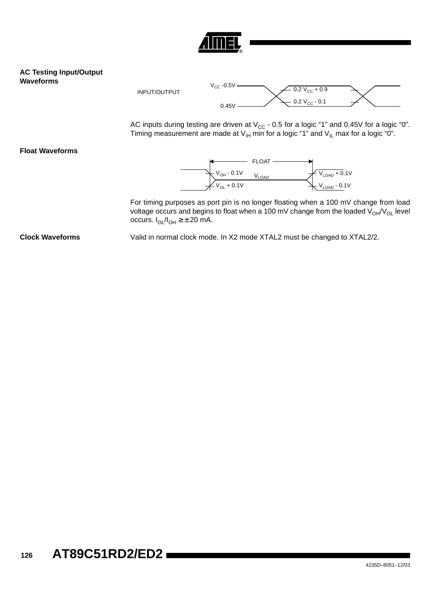

#### **AC Testing Input/Output Waveforms**



AC inputs during testing are driven at V<sub>CC</sub> - 0.5 for a logic "1" and 0.45V for a logic "0". Timing measurement are made at  $\mathsf{V}_{\mathsf{IH}}$  min for a logic "1" and  $\mathsf{V}_{\mathsf{IL}}$  max for a logic "0".

**Float Waveforms**



For timing purposes as port pin is no longer floating when a 100 mV change from load voltage occurs and begins to float when a 100 mV change from the loaded  $V_{OH}/V_{OL}$  level occurs.  $I_{OL}/I_{OH} \geq \pm 20$  mA.

**Clock Waveforms** Valid in normal clock mode. In X2 mode XTAL2 must be changed to XTAL2/2.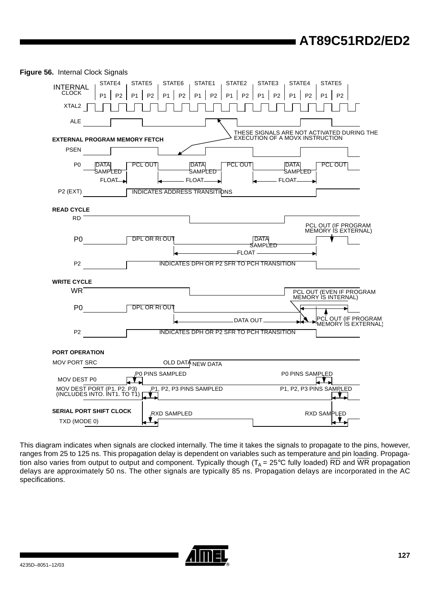

**Figure 56.** Internal Clock Signals

This diagram indicates when signals are clocked internally. The time it takes the signals to propagate to the pins, however, ranges from 25 to 125 ns. This propagation delay is dependent on variables such as temperature and pin loading. Propagation also varies from output to output and component. Typically though ( $T_A$  = 25°C fully loaded) RD and WR propagation delays are approximately 50 ns. The other signals are typically 85 ns. Propagation delays are incorporated in the AC specifications.

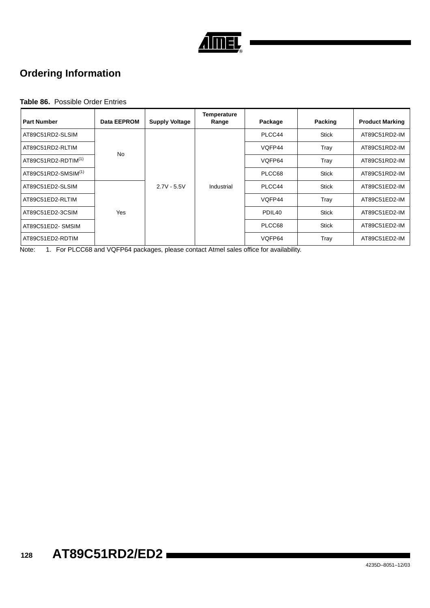

### <span id="page-126-0"></span>**Ordering Information**

#### **Table 86.** Possible Order Entries

| <b>Part Number</b>    | Data EEPROM | <b>Supply Voltage</b> | <b>Temperature</b><br>Range | Package            | Packing      | <b>Product Marking</b> |
|-----------------------|-------------|-----------------------|-----------------------------|--------------------|--------------|------------------------|
| AT89C51RD2-SLSIM      |             |                       |                             | PLCC44             | <b>Stick</b> | AT89C51RD2-IM          |
| AT89C51RD2-RLTIM      | <b>No</b>   |                       |                             | VQFP44             | Tray         | AT89C51RD2-IM          |
| AT89C51RD2-RDTIM(1)   |             |                       |                             | VOFP64             | Tray         | AT89C51RD2-IM          |
| $AT89C51RD2-SMSIM(1)$ |             |                       |                             | PLCC68             | Stick        | AT89C51RD2-IM          |
| AT89C51ED2-SLSIM      |             | $2.7V - 5.5V$         | Industrial                  | PLCC44             | <b>Stick</b> | AT89C51ED2-IM          |
| AT89C51ED2-RLTIM      |             |                       |                             | VQFP44             | Tray         | AT89C51ED2-IM          |
| AT89C51ED2-3CSIM      | <b>Yes</b>  |                       |                             | PDIL <sub>40</sub> | <b>Stick</b> | AT89C51ED2-IM          |
| AT89C51ED2-SMSIM      |             |                       |                             | PLCC68             | <b>Stick</b> | AT89C51ED2-IM          |
| AT89C51ED2-RDTIM      |             |                       |                             | VQFP64             | Tray         | AT89C51ED2-IM          |

Note: 1. For PLCC68 and VQFP64 packages, please contact Atmel sales office for availability.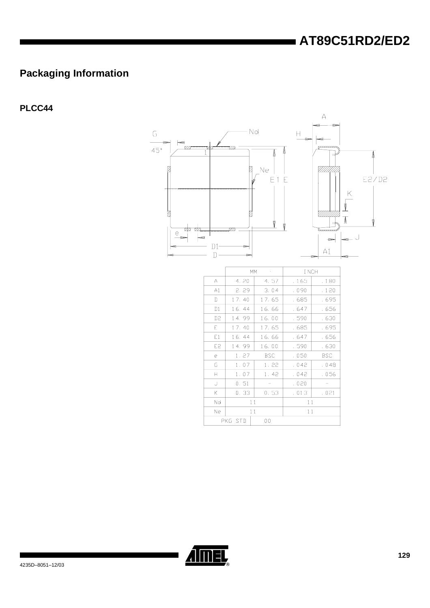### <span id="page-127-0"></span>**Packaging Information**

### <span id="page-127-1"></span>PLCC44



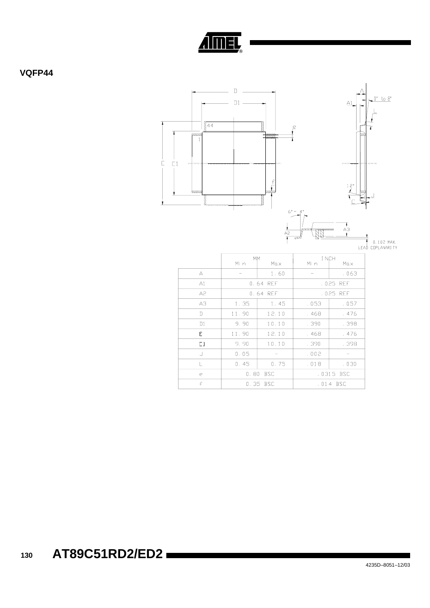

<span id="page-128-0"></span>VQFP44



0.80 BSC

0.35 BSC

 $\mathsf e$  $\overline{f}$  .0315 BSC

 $.014$  BSC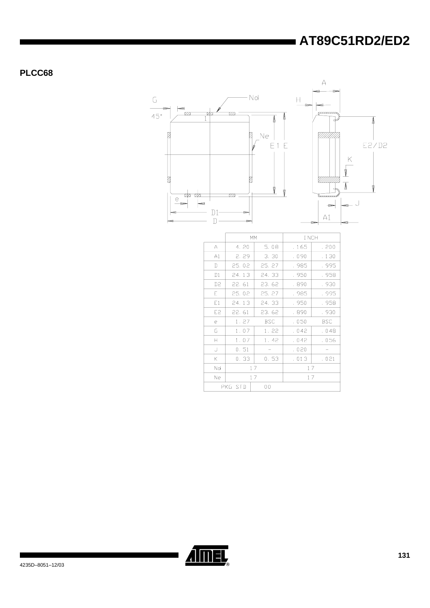<span id="page-129-0"></span>PLCC68



|                |       | MM             | I NCH |            |  |
|----------------|-------|----------------|-------|------------|--|
| A              | 4.20  | 5.08           | . 165 | . 200      |  |
| A1             | 2.29  | 3.30           | . 090 | . 130      |  |
| D              | 25.02 | 25.27          | . 985 | . 995      |  |
| D1             | 24.13 | 24.33          | . 950 | . 958      |  |
| D <sub>2</sub> | 22.61 | 23.62          | . 890 | . 930      |  |
| E.             | 25.02 | 25.27          | . 985 | . 995      |  |
| E1             | 24.13 | 24.33          | . 950 | . 958      |  |
| E <sub>2</sub> | 22.61 | 23.62          | . 890 | . 930      |  |
| e              | 1.27  | <b>BSC</b>     | .050  | <b>BSC</b> |  |
| G              | 1.07  | 1.22           | . 042 | . 048      |  |
| $\mathsf{H}$   | 1.07  | 1.42           | . 042 | .056       |  |
| J              | 0.51  |                | . 020 |            |  |
| Κ              | 0.33  | 0.53           | .013  | .021       |  |
| Nd             | 17    |                | 17    |            |  |
| Ne             | 17    |                | 17    |            |  |
| PKG STD        |       | 0 <sub>0</sub> |       |            |  |

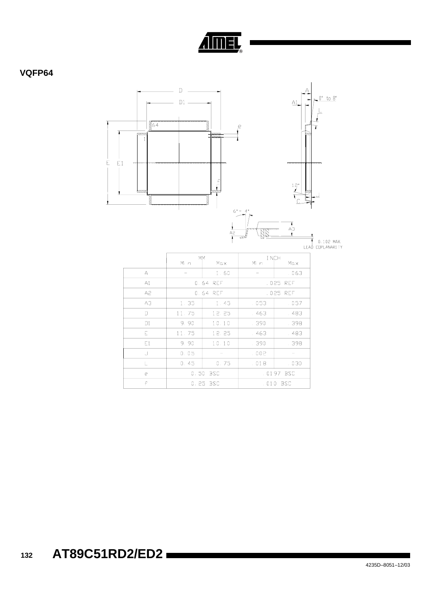

### <span id="page-130-0"></span>VQFP64



|    | <b>MM</b> |            | I NCH |           |
|----|-----------|------------|-------|-----------|
|    | Mi n      | Max        | Mi n  | Max       |
| A  |           | 1.60       |       | .063      |
| A1 |           | 0.64 REF   |       | .025 REF  |
| A2 |           | 0.64 REF   |       | .025 REF  |
| A3 | 1,35      | 1.45       | .053  | .057      |
| D  | 11.75     | 12.25      | . 463 | . 483     |
| D1 | 9.90      | 10.10      | . 390 | . 398     |
| E. | 11.75     | 12.25      | . 463 | . 483     |
| E1 | 9.90      | 10.10      | . 390 | . 398     |
| J  | 0.05      |            | .002  |           |
|    | 0.45      | 0.75       | .018  | .030      |
| e  | 0.50      | <b>BSC</b> |       | .0197 BSC |
| £  | 0.25 BSC  |            | .010  | BSC       |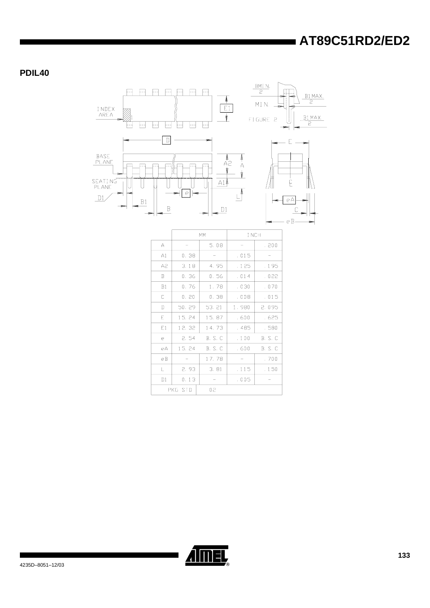<span id="page-131-0"></span>PDIL40



|    |         | MM             | I NCH |                |
|----|---------|----------------|-------|----------------|
| A  |         | 5.08           |       | .200           |
| A1 | 0.38    |                | .015  |                |
| A2 | 3.18    | 4.95           | . 125 | . 195          |
| B  | 0.36    | 0.56           | .014  | . 022          |
| B1 | 0.76    | 1.78           | .030  | .070           |
| С  | 0.20    | 0.38           | .008  | . 015          |
| D  | 50.29   | 53.21          | 1.980 | 2.095          |
| E  | 15.24   | 15.87          | .600  | . 625          |
| E1 | 12.32   | 14.73          | . 485 | . 580          |
| e  | 2.54    | <b>B. S. C</b> | .100  | <b>B.</b> S. C |
| еA | 15.24   | B. S. C        | . 600 | <b>B.</b> S. C |
| eB |         | 17.78          |       | . 700          |
| L. | 2.93    | 3.81           | . 115 | . 150          |
| D1 | 0.13    |                | .005  |                |
|    | PKG STD | 02             |       |                |

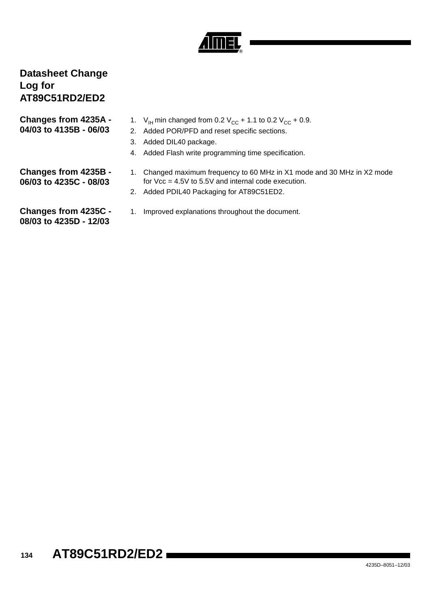

### <span id="page-132-0"></span>**Datasheet Change Log for AT89C51RD2/ED2**

<span id="page-132-1"></span>

| Changes from 4235A -<br>04/03 to 4135B - 06/03 | 2. | 1. $V_{\text{H}}$ min changed from 0.2 $V_{\text{CC}}$ + 1.1<br>Added POR/PFD and reset specific<br>3. Added DIL40 package.<br>4. Added Flash write programming tim |
|------------------------------------------------|----|---------------------------------------------------------------------------------------------------------------------------------------------------------------------|
| Changes from 4235B -<br>06/03 to 4235C - 08/03 |    | 1. Changed maximum frequency to 60<br>for $Vec = 4.5V$ to 5.5V and internal of<br>2. Added PDIL40 Packaging for AT890                                               |

- to 0.2  $V_{CC}$  + 0.9.
- sections.
- e specification.
- MHz in X1 mode and 30 MHz in X2 mode code execution.
- ging for AT89C51ED2.
- <span id="page-132-3"></span><span id="page-132-2"></span>**Changes from 4235C - 08/03 to 4235D - 12/03**
- 1. Improved explanations throughout the document.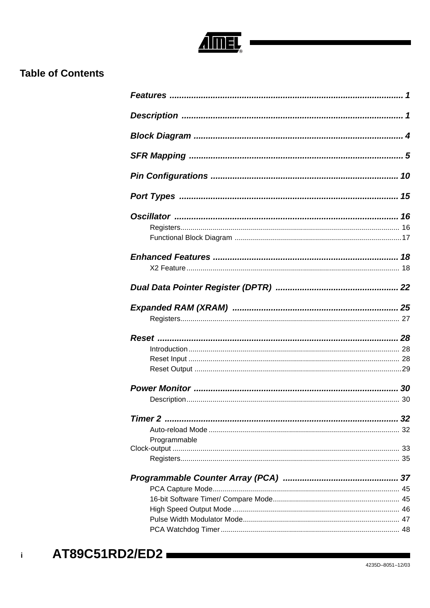

### <span id="page-133-0"></span>**Table of Contents**

| Programmable |  |
|--------------|--|
|              |  |
|              |  |
|              |  |
|              |  |
|              |  |
|              |  |
|              |  |

 $\mathbf{i}$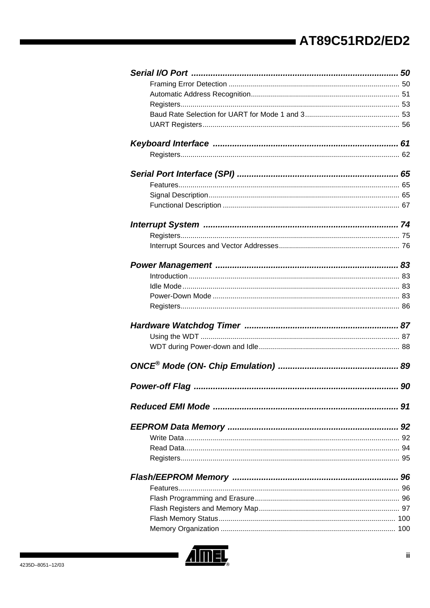| 91 |
|----|
|    |
|    |
|    |
|    |
|    |
|    |
|    |
|    |
|    |
|    |

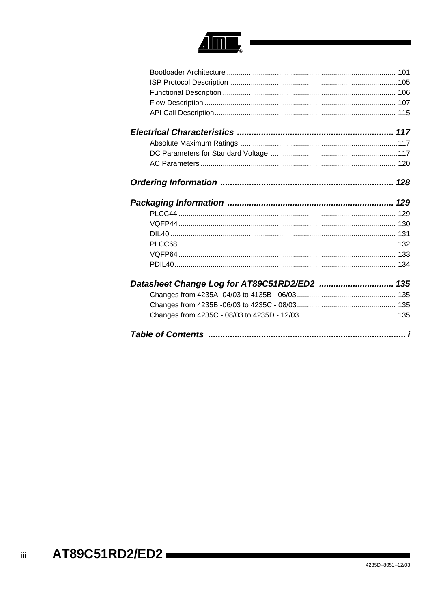

| Datasheet Change Log for AT89C51RD2/ED2  135 |
|----------------------------------------------|
|                                              |
|                                              |
|                                              |